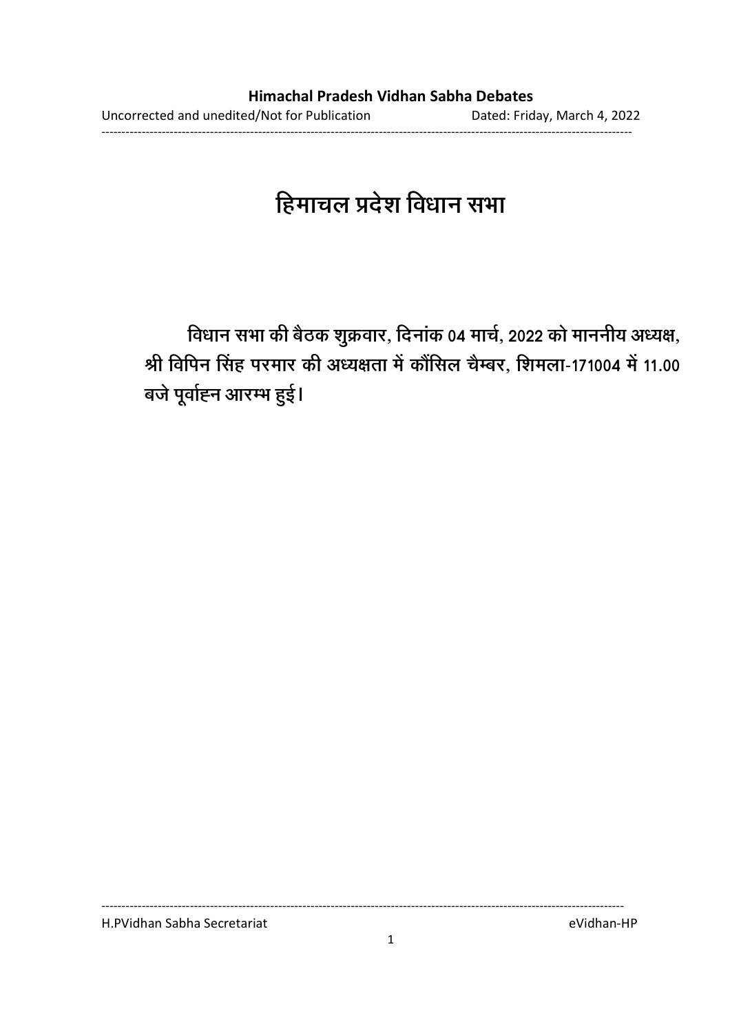# हिमाचल प्रदेश विधान सभा

विधान सभा की बैठक शुक्रवार, दिनाक 04 मार्च, 2022 को माननीय अध्यक्ष, श्री विपिन सिंह परमार की अध्यक्षता में कौसिल चैम्बर, शिमला-171004 में 11.00 बजे पूर्वाह्न आरम्भ हुई।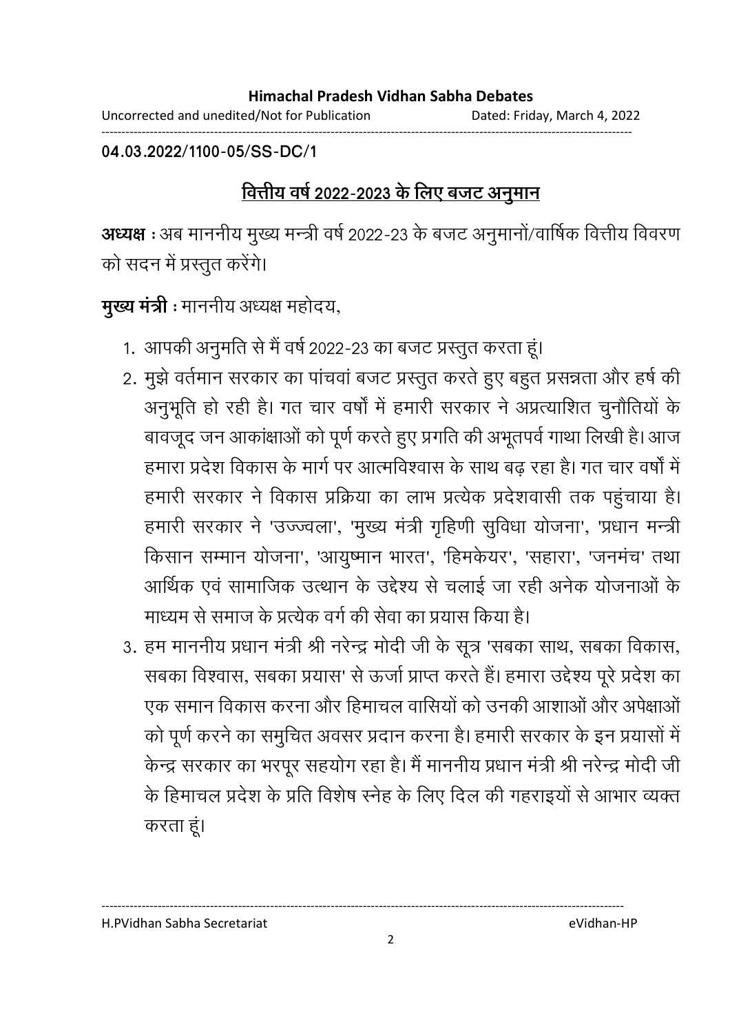Uncorrected and unedited/Not for Publication Dated: Friday, March 4, 2022 ------------------------------------------------------------------------------------------------------------------------------------

**04.03.2022/1100-05/SS-DC/1**

### <u>वित्तीय वर्ष 2022-2023 के लिए बजट अनुमान</u>

**अध्यक्ष :** अब माननीय मुख्य मन्त्री वर्ष 2022-23 के बजट अनुमानो/वार्षिक वित्तीय विवरण को सदन में प्रस्तुत करेंगे।

**मुख्य मंत्री** : माननीय अध्यक्ष महोदय,

- 1. आपकी अनुमति से मैं वर्ष 2022-23 का बजट प्रस्तुत करता हूं।
- 2. मुझे वर्तमान सरकार का पांचवां बजट प्रस्तुत करते हुए बहुत प्रसन्नता और हर्ष की अनुभूति हो रही है। गत चार वर्षा में हमारी सरकार ने अप्रत्याशित चुनौतियों के बावजूद जन आकाक्षाओं को पूर्ण करते हुए प्रगति की अभूतपर्व गाथा लिखी हैं। आज हमारा प्रदेश विकास के मार्ग पर आत्मविश्वास के साथ बढ रहा है। गत चार वर्षों में हमारी सरकार ने विकास प्रक्रिया का लाभ प्रत्येक प्रदेशवासी तक पहुंचाया है। हमारी सरकार ने 'उज्ज्वला', 'मुख्य मंत्री गृहिणी सुर्विधा योजना', 'प्रधान मन्त्री' किसान सम्मान योजना', 'आयुष्मान भारत', 'हिमकेयर', 'सहारा', 'जनमंच' तथा आर्थिक एवं सामाजिक उत्थान के उद्देश्य से चलाई जा रही अनेक योजनाओं के माध्यम से समाज के प्रत्येक वर्ग की सेवा का प्रयास किया है।
- 3. हम माननीय प्रधान मंत्री श्री नरेन्द्र मोदी जी के सूत्र 'सबका साथ, सबका विकास, सबका विश्वास, सबका प्रयास' से ऊर्जा प्राप्त करते हैं। हमारा उद्देश्य पूरे प्रदेश का एक समान विकास करना और हिमाचल वासियों को उनकी आशाओं और अपेक्षाओं को पूर्ण करने का समुचित अवसर प्रदान करना है। हमारी सरकार के इन प्रयासों में केन्द्र सरकार का भरपूर सहयोग रहा है। मैं माननीय प्रधान मंत्री श्री नरेन्द्र मोदी जी के हिमाचल प्रदेश के प्रति विशेष स्नेह के लिए दिल की गहराइयों से आभार व्यक्त करता हूं।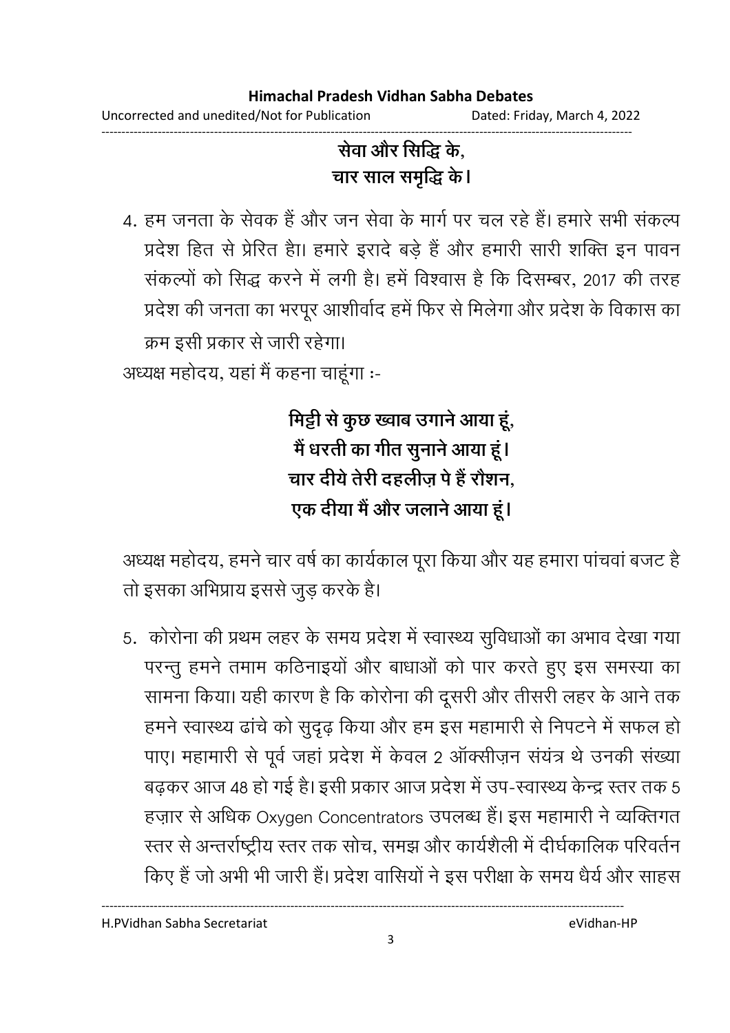### सेवा और सिद्धि के, चार साल समृद्धि के।

4. हम जनता के सेवक हैं और जन सेवा के मार्ग पर चल रहे हैं। हमारे सभी संकल्प प्रदेश हित से प्रेरित हैा। हमारे इरादे बड़े हैं और हमारी सारी शक्ति इन पावन संकल्पों को सिद्ध करने में लगी है। हमें विश्वास है कि दिसम्बर, 2017 की तरह प्रदेश की जनता का भरपूर आशीर्वाद हमें फिर से मिलेगा और प्रदेश के विकास का क्रम इसी प्रकार से जारी रहेगा।

अध्यक्ष महोदय, यहां मैं कहना चाहूंगा :-

मिट्टी से कुछ ख्वाब उगाने आया हूं, में धरती का गीत सुनाने आया हूं। चार देयि तेरी दहलीज़ पे हैं रोशन, एक दीया में और जलाने आया हूं।

अध्यक्ष महोदय, हमने चार वर्ष का कार्यकाल पूरा किया और यह हमारा पाचवा बजट हैं। तो इसका अभिप्राय इससे जुड़ करके हैं।

5. कोरोना की प्रथम लहर के समय प्रदेश में स्वास्थ्य सुविधाओं का अभाव देखा गया परन्तु हमने तमाम कठिनाइयों और बाधाओं को पार करते हुए इस समस्या का सामना किया। यही कारण है कि कोरोना की दूसरी और तीसरी लहर के आने तक हमने स्वास्थ्य ढांचे को सुदृढ़ किया और हम इस महामारी से निपटने में सफल हो पाए। महामारी से पूर्व जहां प्रदेश में केवल 2 आक्सीज़न सयत्र थे उनकी संख्या बढ़कर आज 48 हो गई है। इसी प्रकार आज प्रदेश में उप-स्वास्थ्य केन्द्र स्तर तक 5 हज़ार से अधिक Oxygen Concentrators उपलब्ध है। इस महामारी ने व्यक्तिगत स्तर से अन्तर्राष्ट्रीय स्तर तक सोच, समझ और कार्यशैली में दीर्घकालिक परिवर्तन किए हैं जो अभी भी जारी है। प्रदेश वासियों ने इस परीक्षा के समय धैर्य और साहस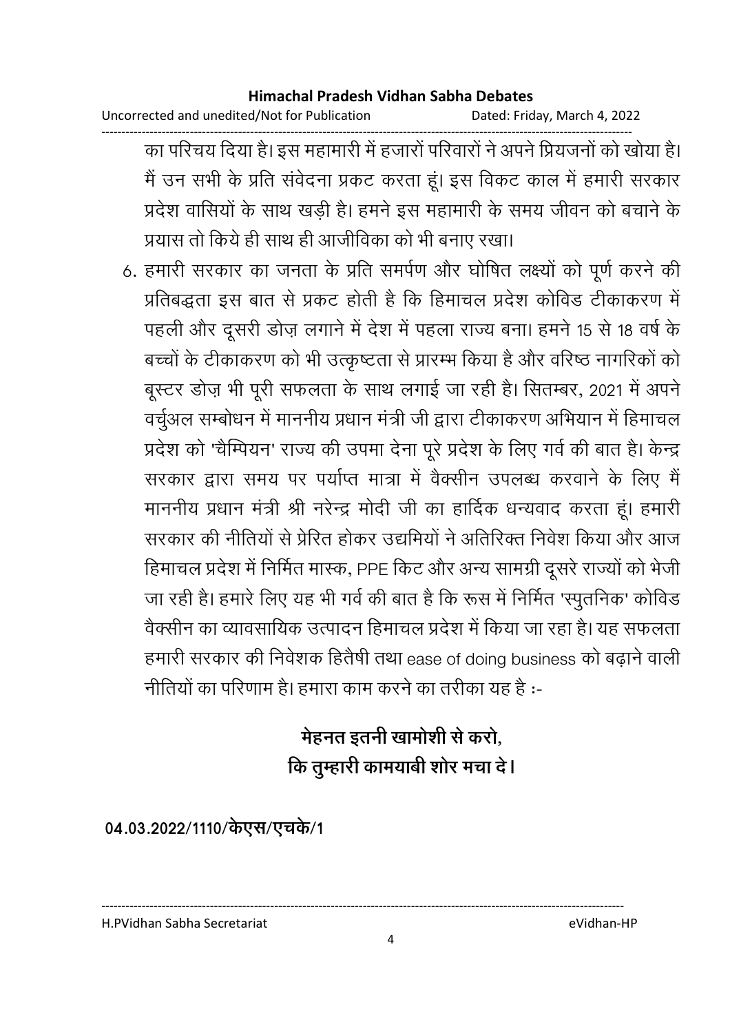Uncorrected and unedited/Not for Publication Dated: Friday, March 4, 2022

------------------------------------------------------------------------------------------------------------------------------------ का परिचय दिया है। इस महामारी में हजारों परिवारों ने अपने प्रियंजनों को खोया है। मैं उन सभी के प्रति संवेदना प्रकट करता हूं। इस विकट काल में हमारी सरकार प्रदेश वासियों के साथ खड़ी है। हमने इस महामारी के समय जीवन को बचाने के प्रयास तो किये ही साथ ही आजीविका को भी बनाए रखा।

6. हमारी सरकार का जनता के प्रति समर्पण और घोषित लक्ष्यों को पूर्ण करने की प्रतिबद्धता इस बात से प्रकट होती है कि हिमाचल प्रदेश कोविड टीकाकरण में पहली और दूसरी डोज़ लगाने में देश में पहला राज्य बना। हमने 15 से 18 वर्ष के बच्चों के टीकाकरण को भी उत्कृष्टता से प्रारम्भ किया है और वरिष्ठ नागरिकों को बूस्टर डोज़ भी पूरी सफलता के साथ लगाई जा रही है। सितम्बर, 2021 में अपने वर्चुअल सम्बोधन में माननीय प्रधान मंत्री जी द्वारा टीकाकरण अभियान में हिमाचल प्रदेश को 'चैम्पियन' राज्य की उपमा देना पूरे प्रदेश के लिए गर्व की बात है। केन्द्र सरकार द्वारा समय पर पर्याप्त मात्रा में वैक्सीन उपलब्ध करवाने के लिए मैं माननीय प्रधान मंत्री श्री नरेन्द्र मोदी जी का हार्दिक धन्यवाद करता हूं। हमारी सरकार की नीतियों से प्रेरित होकर उद्यमियों ने अतिरिक्त निर्वेश किया और आज हिमाचल प्रदेश में निर्मित मास्क, PPE किट और अन्य सामग्री दूसरे राज्यों को भेजी जा रही है। हमारे लिए यह भी गर्व की बात है कि रूस में निर्मित 'स्पुतनिक' कोविड वेक्सीन का व्यावसायिक उत्पादन हिमाचल प्रदेश में किया जा रहा है। यह सफलता हमारी सरकार की निवेशक हितैषी तथा ease of doing business को बढ़ाने वाली नीतियों का परिणाम है। हमारा काम करने का तरीका यह है :-

# मेहनत इतनी खामोशी से करो, कि तुम्हारी कामयाबी शोर मचा दें l

04.03.2022/1110/केएस/एचके/1

H.PVidhan Sabha Secretariat eVidhan-HP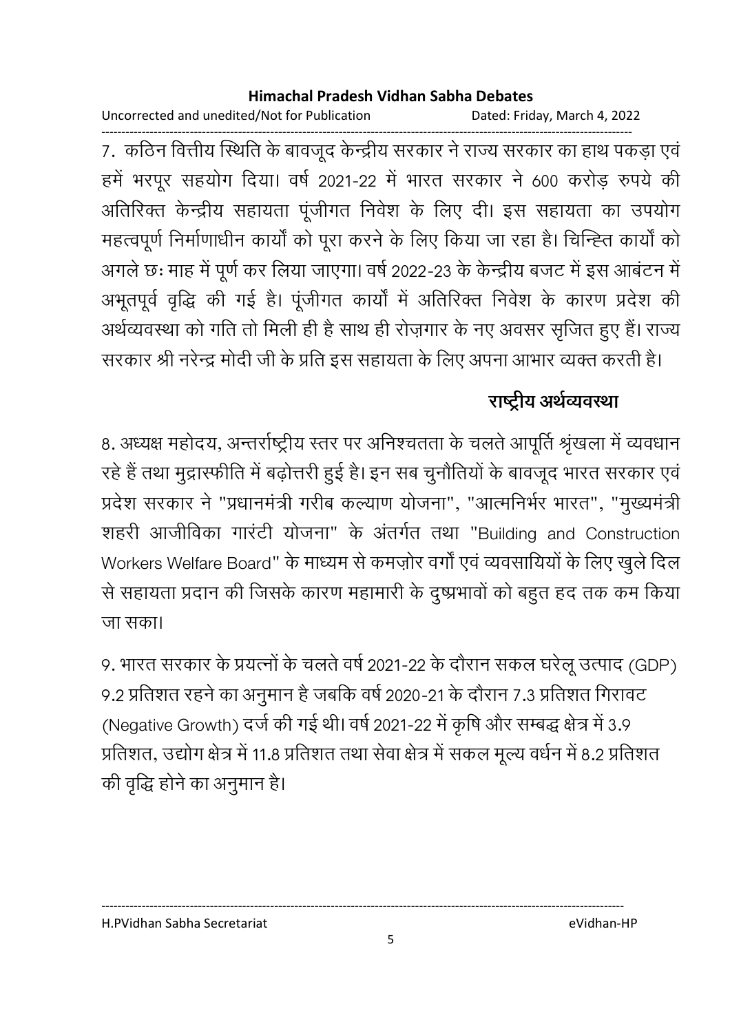Uncorrected and unedited/Not for Publication Dated: Friday, March 4, 2022

------------------------------------------------------------------------------------------------------------------------------------ 7. कठिन वित्तीय स्थिति के बावजूद केन्द्रीय सरकार ने राज्य सरकार का हाथ पकड़ा एवं हमें भरपूर सहयोग दिया। वर्ष 2021-22 में भारत सरकार ने 600 करोड़ रुपये की आतीरेक्त केन्द्रीय सहायता पूजीगत निवेश के लिए दी। इस सहायता का उपयोग महत्वपूर्ण निर्माणाधीन कार्यों को पूरा करने के लिए किया जा रहा है। चिन्ह्ति कार्यों को अगले छः माह में पूर्ण कर लिया जाएगा। वर्ष 2022-23 के केन्द्रीय बजट में इस आबटन में अभूतपूर्व वृद्धि की गई है। पूजीगत कार्या में अतिरिक्त निर्वेश के कारण प्रदेश की अर्थव्यवस्था को गति तो मिली ही है साथ ही रोज़गार के नए अवसर सृजित हुए हैं। राज्य सरकार श्री नरेन्द्र मोदी जी के प्रति इस सहायता के लिए अपना आभार व्यक्त करती है।

### राष्ट्रीय अर्थव्यवस्था

8. अध्यक्ष महोदय, अन्तर्राष्ट्रीय स्तर पर अनिश्चतता के चलते आपूर्ति श्रृंखला में व्यवधान रहे हैं तथा मुद्रास्फीति में बढ़ोत्तरी हुई है। इन सब चुनौतियों के बावजूद भारत सरकार एवं प्रदेश सरकार ने "प्रधानमंत्री गरीब कल्याण योजना", "आत्मनिभेर भारत", "मुख्यमंत्री शहरी आजीविका गारटी योजना" के अंतर्गत तथा "Building and Construction" Workers Welfare Board" के माध्यम से कमज़ोर वर्गों एवं व्यवसायियों के लिए खुले दिल से सहायता प्रदान की जिसके कारण महामारी के दुष्प्रभावों को बहुत हद तक कम किया जा सका।

9. भारत सरकार के प्रयत्नों के चलते वर्ष 2021-22 के दौरान सकल घरेलू उत्पाद (GDP) 9.2 प्रतिशत रहने का अनुमान है जबकि वर्ष 2020-21 के दौरान 7.3 प्रतिशत गिरावट (Negative Growth) दर्ज की गई थी। वर्ष 2021-22 में कृषि और सम्बद्ध क्षेत्र में 3.9 प्रतिशत, उद्योग क्षेत्र में 11.8 प्रतिशत तथा सेवा क्षेत्र में सकल मूल्य वर्धन में 8.2 प्रतिशत की वृद्धि होने का अनुमान है।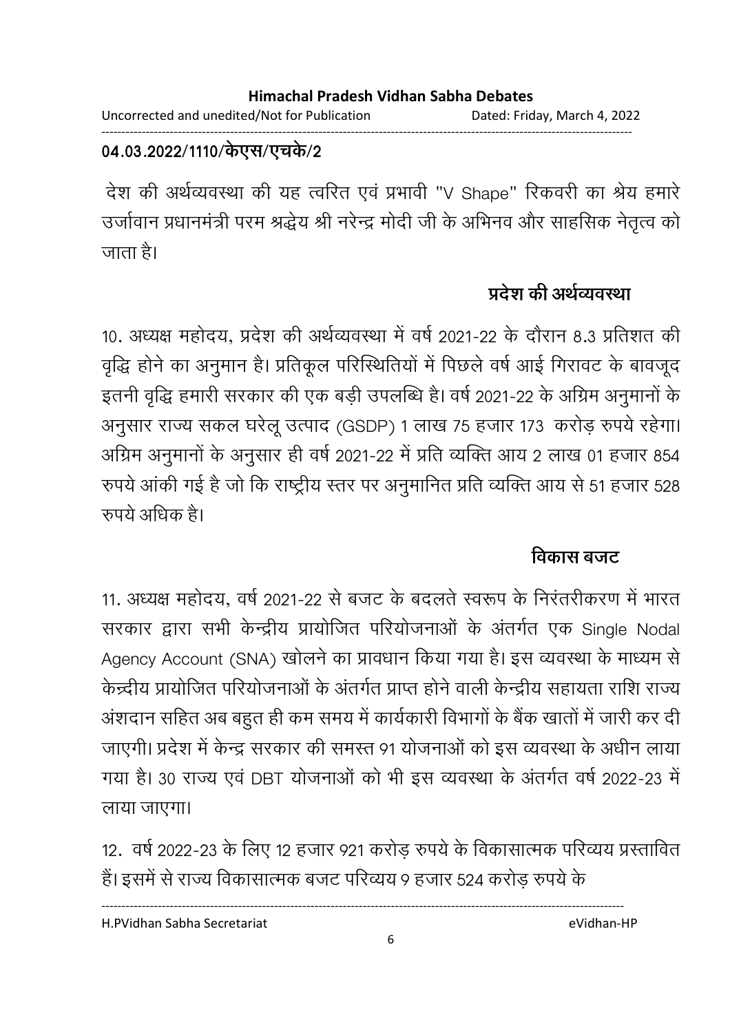#### **Himachal Pradesh Vidhan Sabha Debates**  Uncorrected and unedited/Not for Publication Dated: Friday, March 4, 2022

------------------------------------------------------------------------------------------------------------------------------------

### 04.03.2022/1110/केएस/एचर्क/2

देश की अर्थव्यवस्था की यह त्वरित एवं प्रभावी "V Shape" रिंकवरी का श्रेय हमारे उजीवान प्रधानमंत्री परम श्रद्धेय श्री नरेन्द्र मोदी जी के अभिनव और साहसिक नेतृत्व को जाता है।

### प्रदेश की अर्थव्यवस्था

10. अध्यक्ष महोदय, प्रदेश की अर्थव्यवस्था में वर्ष 2021-22 के दौरान 8.3 प्रतिशत की वृद्धि होने का अनुमान है। प्रतिकूल परिस्थितियों में पिछले वर्ष आई गिरावट के बावजूद इतनी वृद्धि हमारी सरकार की एक बड़ी उपलब्धि है। वर्ष 2021-22 के अग्रिम अनुमानों के अनुसार राज्य सकल घरेलू उत्पाद (GSDP) 1 लाख 75 हजार 173 करोड़ रुपये रहेगा। आंग्रेम अनुमानों के अनुसार ही वर्ष 2021-22 में प्रति व्यक्ति आयं 2 लाख 01 हजार 854 रुपर्य आकी गई है जो कि राष्ट्रीय स्तर पर अनुमानित प्रति व्यक्ति आय से 51 हजार 528  $\,$ रुपये अधिक है।

### <u>विकास बजट</u>

11. अध्यक्ष महोदय, वर्ष 2021-22 से बजट के बदलते स्वरूप के निरंतरीकरण में भारत सरकार द्वारा सभी केन्द्रीय प्रायोजित परियोजनाओं के अंतर्गत एक Single Nodal Agency Account (SNA) खोलने का प्रावधान किया गया है। इस व्यवस्था के माध्यम से केन्द्रीय प्रायोजित परियोजनाओं के अंतर्गत प्राप्त होने वाली केन्द्रीय सहायता राशि राज्य अशदान सहित अब बहुत ही कम समय में कार्यकारी विभागों के बैंक खातों में जारी कर दी जाएगी। प्रदेश में केन्द्र सरकार की समस्त 91 योजनाओं को इस व्यवस्था के अधीन लाया गया है। 30 राज्य एवं DBT योजनाओं को भी इस व्यवस्था के अंतर्गत वर्ष 2022-23 में लाया जाएगा।

12. वर्ष 2022-23 के लिए 12 हजार 921 करोड़ रुपये के विकासात्मक परिव्यय प्रस्तावित हैं। इसमें से राज्य विकासात्मक बजट परिव्यय 9 हजार 524 करोड़ रुपये के

H.PVidhan Sabha Secretariat eVidhan-HP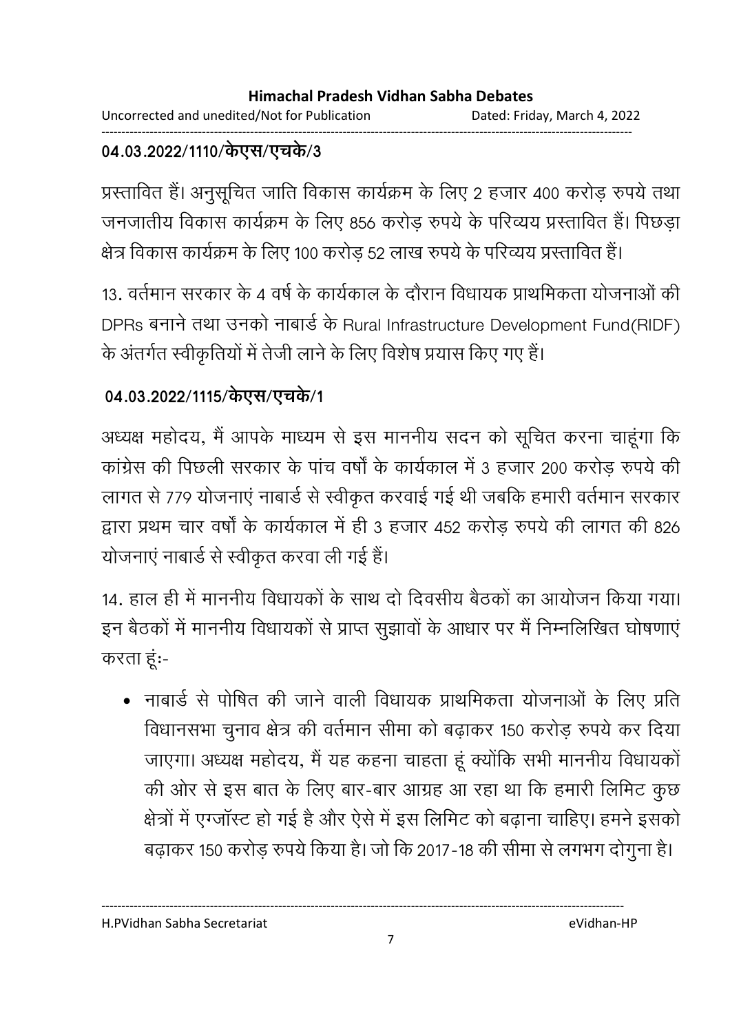Uncorrected and unedited/Not for Publication Dated: Friday, March 4, 2022 ------------------------------------------------------------------------------------------------------------------------------------

### 04.03.2022/1110/केएस/एचर्क/3

प्रस्तावित है। अनुसूचित जाति विकास कार्यक्रम के लिए 2 हजार 400 करोड़ रुपये तथा जनजातीय विकास कार्यक्रम के लिए 856 करोड़ रुपये के परिव्यय प्रस्तावित हैं। पिछड़ा क्षेत्र विकास कार्यक्रम के लिए 100 करोड़ 52 लाख रुपये के परिव्यय प्रस्तावित हैं।

13. वर्तमान सरकार के 4 वर्ष के कार्यकाल के दौरान विधायक प्राथमिकता योजनाओं की DPRs बनाने तथा उनको नाबार्ड के Rural Infrastructure Development Fund(RIDF) के अंतर्गत स्वीकृतियों में तेजी लाने के लिए विशेष प्रयास किए गए हैं।

### 04.03.2022/1115/केएस/एचके/1

अध्यक्ष महोदय, मैं आपके माध्यम से इस माननीय सदन को सूचित करना चाहूगा कि कांग्रेस की पिछली सरकार के पांच वर्षों के कार्यकाल में 3 हजार 200 करोड़ रुपये की लागत से 779 योजनाएं नाबार्ड से स्वीकृत करवाई गई थी जबकि हमारी वर्तमान सरकार द्वारा प्रथम चार वर्षों के कार्यकाल में ही 3 हजार 452 करोड़ रुपये की लागत की 826 योजनाएं नाबार्ड से स्वीकृत करवा ली गई हैं।

14. हाल ही में माननीय विधायकों के साथ दो दिवसीय बैठकों का आयोजन किया गया। इन बैठकों में माननीय विधायकों से प्राप्त सुझावों के आधार पर मैं निम्नलिखित घोषणाएं करता हूं:-

• नाबार्ड से पोषित की जाने वाली विधायक प्राथमिकता योजनाओं के लिए प्रति विधानसभा चुनाव क्षेत्र की वर्तमान सीमा को बढ़ाकर 150 करोड़ रुपये कर दिया जाएगा। अध्यक्ष महोदय, मैं यह कहना चाहता हूँ क्योंकि सभी माननीय विधायको की ओर से इस बात के लिए बार-बार आग्रह आ रहा था कि हमारी लिमिट कुछ क्षेत्रों में एग्जॉस्ट हो गई है और ऐसे में इस लिमिट को बढ़ाना चाहिए। हमने इसको बढ़ाकर 150 करोड़ रुपये किया है। जो कि 2017-18 की सीमा से लगभग दोगुना है।

H.PVidhan Sabha Secretariat eVidhan-HP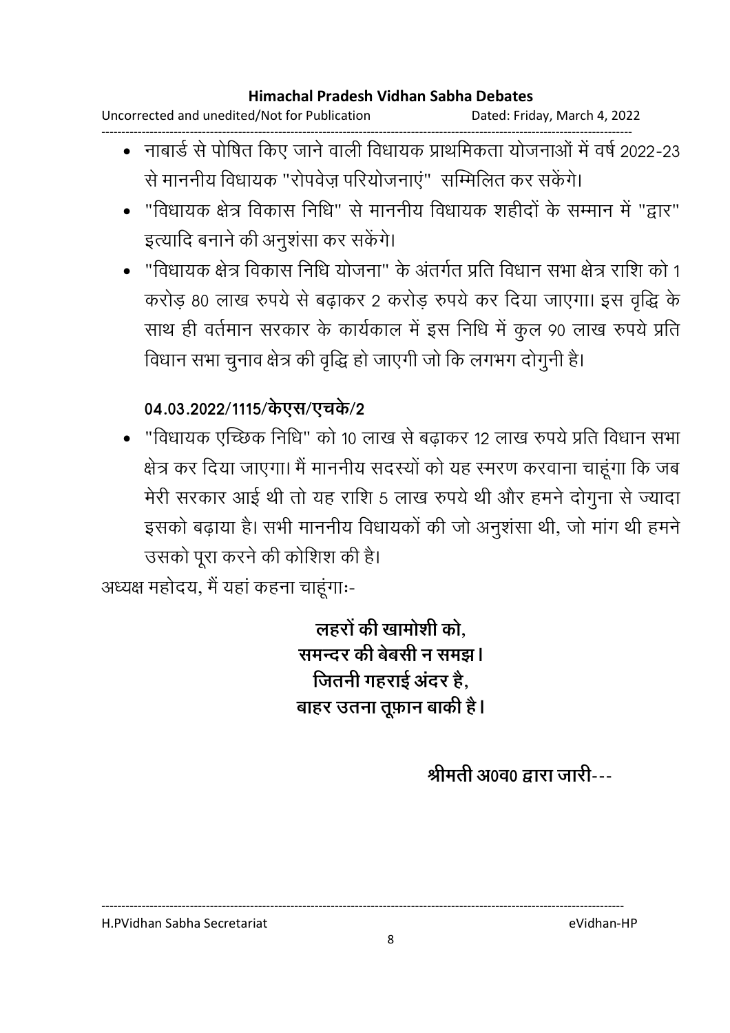Uncorrected and unedited/Not for Publication Dated: Friday, March 4, 2022 ------------------------------------------------------------------------------------------------------------------------------------

- नाबार्ड से पोषित किए जाने वाली विधायक प्राथमिकता योजनाओं में वर्ष 2022-23 से माननीय विधायक "रोपवेज़ परियोजनाएं" सम्मिलित कर सकेंगे।
- "विधायक क्षेत्र विकास निधि" से माननीय विधायक शहीदों के सम्मान में "द्वार" इत्यादि बनाने की अनुशंसा कर सकेंगे।
- "विधायक क्षेत्र विकास निधि योजना" के अंतर्गत प्रति विधान सभा क्षेत्र राशि को 1 करोड़ 80 लाख रुपये से बढ़ाकर 2 करोड़ रुपये कर दिया जाएगा। इस वृद्धि के साथ ही वर्तमान सरकार के कार्यकाल में इस निधि में कुल 90 लाख रुपये प्रति विधान सभा चुनाव क्षेत्र की वृद्धि हो जाएगी जो कि लगभग दोगुनी है।

### 04.03.2022/1115/केएस/एच**के**/2

• "विधायक एच्छिक निधि" को 10 लाख से बढाकर 12 लाख रुपये प्रति विधान सभा क्षेत्र कर दिया जाएगा। मैं माननीय सदस्यों को यह स्मरण करवाना चाहूंगा कि जब मेरी सरकार आई थी तो यह राशि 5 लाख रुपये थी और हमने दोगुना से ज्यादा इसको बढ़ाया है। सभी माननीय विधायकों की जो अनुशंसा थी, जो मांग थी हमने उसको पूरा करने की कोशिश की है।

अध्यक्ष महोदय, मैं यहाँ कहना चाहूगाः-

लहरों की खामोशी को. <u>समन्दर की बेबसी न समझ l</u> जितनी गहराई अंदर है, बाहर उतना तूफ़ान बाकी है।

<u>श्रीमती अ0व0 द्वारा जारी---</u>

H.PVidhan Sabha Secretariat eVidhan-HP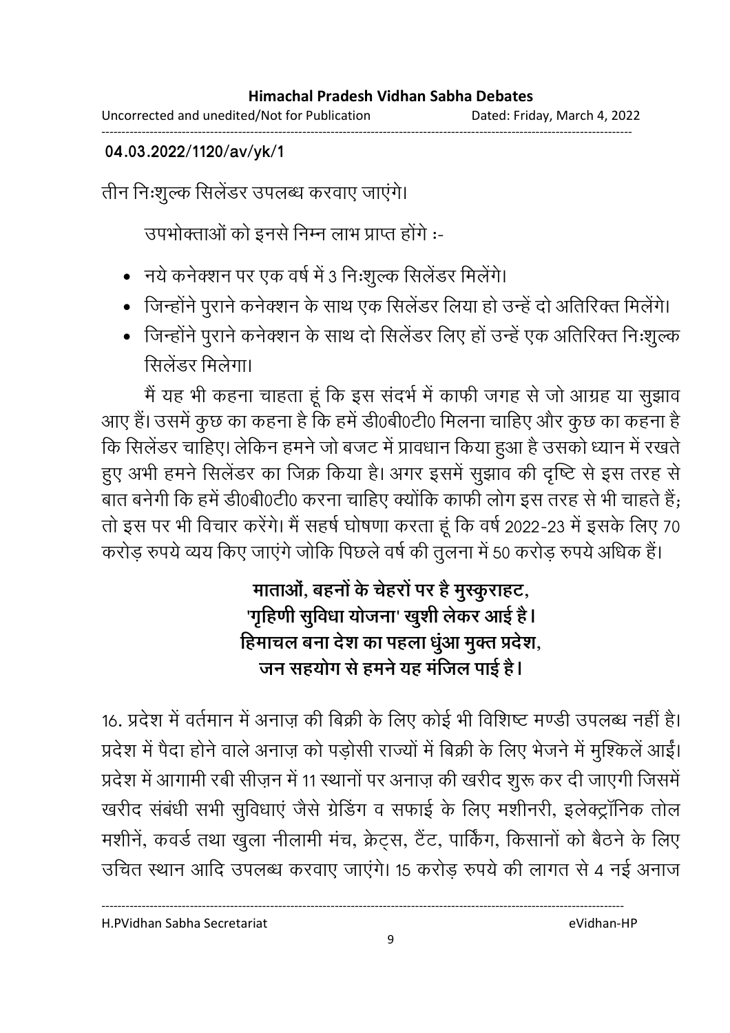Uncorrected and unedited/Not for Publication Dated: Friday, March 4, 2022 ------------------------------------------------------------------------------------------------------------------------------------

**04.03.2022/1120/av/yk/1**

तीन निःशुल्क सिलेंडर उपलब्ध करवाए जाएंगे।

उपभोक्ताओं को इनसे निम्न लाभ प्राप्त होंगे :-

- नये कनेक्शन पर एक वर्ष में 3 निःशुल्क सिलेंडर मिलेंगे।
- जिन्होंने पुराने कनेक्शन के साथ एक सिलेंडर लिया हो उन्हें दो अतिरिक्त मिलेंगे।
- जिन्होंने पुराने कनेक्शन के साथ दो सिलेंडर लिए हों उन्हें एक अतिरिक्त निःशुल्क सिलेंडर मिलेगा।

मैं यह भी कहना चाहता हूं कि इस संदर्भ में काफी जगह से जो आग्रह या सुझाव आए हैं। उसमें कुछ का कहना है कि हमें डी0बी0टी0 मिलना चाहिए और कुछ का कहना है कि सिलेंडर चाहिए। लेकिन हमने जो बजट में प्रावधान किया हुआ है उसको ध्यान में रखते हुए अभी हमने सिलेंडर का जिक्र किया है। अगर इसमें सुझाव की दृष्टि से इस तरह से बात बनेगी कि हमें डी0बी0टी0 करना चाहिए क्योंकि काफी लोग इस तरह से भी चाहते हैं; तो इस पर भी विचार करेंगे। मैं सहर्ष घोषणा करता हूं कि वर्ष 2022-23 में इसके लिए 70 करोड़ रुपये व्यय किए जाएंगे जोकि पिछले वर्ष की तुलना में 50 करोड़ रुपये अधिक है।

### माताओं, बहनों के चेहरों पर है मुस्कुराहट, 'गृहिणी सुविधा योजना' खुशी लेकर आई हैं l हिमाचल बना देश का पहला धुआ मुक्त प्रदेश, जन सहयोग से हमने यह मजिल पाई है।

16. प्रदेश में वर्तमान में अनाज़ की बिक्री के लिए कोई भी विशिष्ट मण्डी उपलब्ध नहीं है। प्रदेश में पैदा होने वाले अनाज़ को पड़ोसी राज्यों में बिक्री के लिए भेजने में मुश्किले आई। प्रदेश में आगामी रबी सीज़न में 11 स्थानों पर अनाज़ की खरीद शुरू कर दी जाएंगी जिसमें खरीद संबंधी सभी सुविधाएं जैसे ग्रेडिंग व सफाई के लिए मशीनरी, इलेक्ट्रॉनिक तोल मशीनें, कवर्ड तथा खुला नीलामी मंच, क्रेट्स, टैंट, पार्किंग, किसानों को बैठने के लिए उचित स्थान आदि उपलब्ध करवाए जाएंगे। 15 करोड़ रुपये की लागत से 4 नई अनाज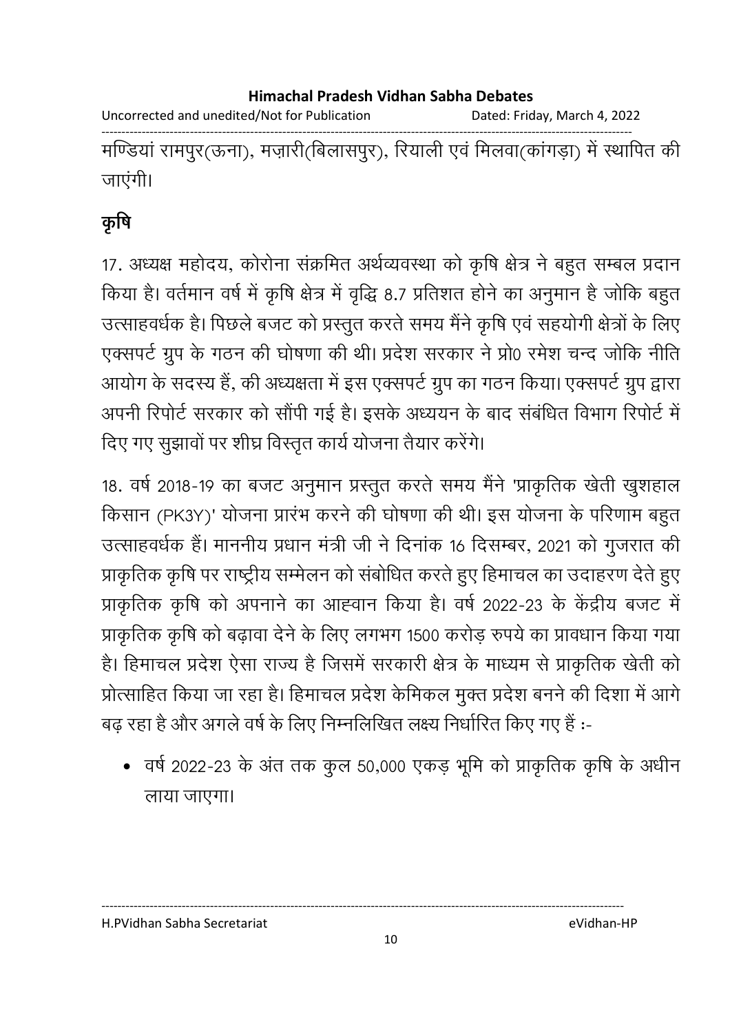Uncorrected and unedited/Not for Publication Dated: Friday, March 4, 2022

------------------------------------------------------------------------------------------------------------------------------------ मण्डिया रामपुर(ऊना), मज़ारी(बिलासपुर), रियाली एवं मिलवा(कागड़ा) में स्थापित की जाएंगी।

## कृषि

17. अध्यक्ष महोदय, कोरोना सक्रमित अर्थव्यवस्था को कृषि क्षेत्र ने बहुत सम्बल प्रदान किया है। वर्तमान वर्ष में कृषि क्षेत्र में वृद्धि 8.7 प्रतिशत होने का अनुमान है जोकि बहुत उत्साहवर्धक है। पिछले बजट को प्रस्तुत करते समय मैंने कृषि एवं सहयोगी क्षेत्रों के लिए एक्सपर्ट ग्रुप के गठन की घोषणा की थी। प्रदेश सरकार ने प्रो0 रमेश चन्द जोकि नीति आयोग के सदस्य है, की अध्यक्षता में इस एक्सपर्ट ग्रुप का गठन किया। एक्सपर्ट ग्रुप द्वारा अपनी रिपोर्ट सरकार को सौपी गई है। इसके अध्ययन के बाद संबंधित विभाग रिपोर्ट में दिए गए सूझावों पर शीघ्र विस्तृत कार्य योजना तैयार करेंगे।

18. वर्ष 2018-19 का बजट अनुमान प्रस्तुत करते समय मैंने 'प्राकृतिक खेती खुशहाल किसान (PK3Y)' योजना प्रारंभ करने की घोषणा की थी। इस योजना के परिणाम बहुत उत्साहवर्धक हैं। माननीय प्रधान मंत्री जी ने दिनांक 16 दिसम्बर, 2021 को गुजरात की प्राकृतिक कृषि पर राष्ट्रीय सम्मेलन को संबोधित करते हुए हिमाचल का उदाहरण देते हुए प्राकृतिक कृषि को अपनाने का आह्वान किया है। वर्ष 2022-23 के केंद्रीय बजट में प्राकृतिक कृषि को बढ़ावा देने के लिए लगभग 1500 करोड़ रुपये का प्रावधान किया गया है। हिमाचल प्रदेश ऐसा राज्य है जिसमें सरकारी क्षेत्र के माध्यम से प्राकृतिक खेती को प्रोत्साहित किया जा रहा है। हिमाचल प्रदेश केमिकल मुक्त प्रदेश बनने की दिशा में आगे बढ़ रहा है और अगले वर्ष के लिए निम्नलिखित लक्ष्य निर्धारित किए गए हैं :--

• वर्ष 2022-23 के अंत तक कुल 50,000 एकड़ भूमि को प्राकृतिक कृषि के अधीन लाया जाएगा।

H.PVidhan Sabha Secretariat eVidhan-HP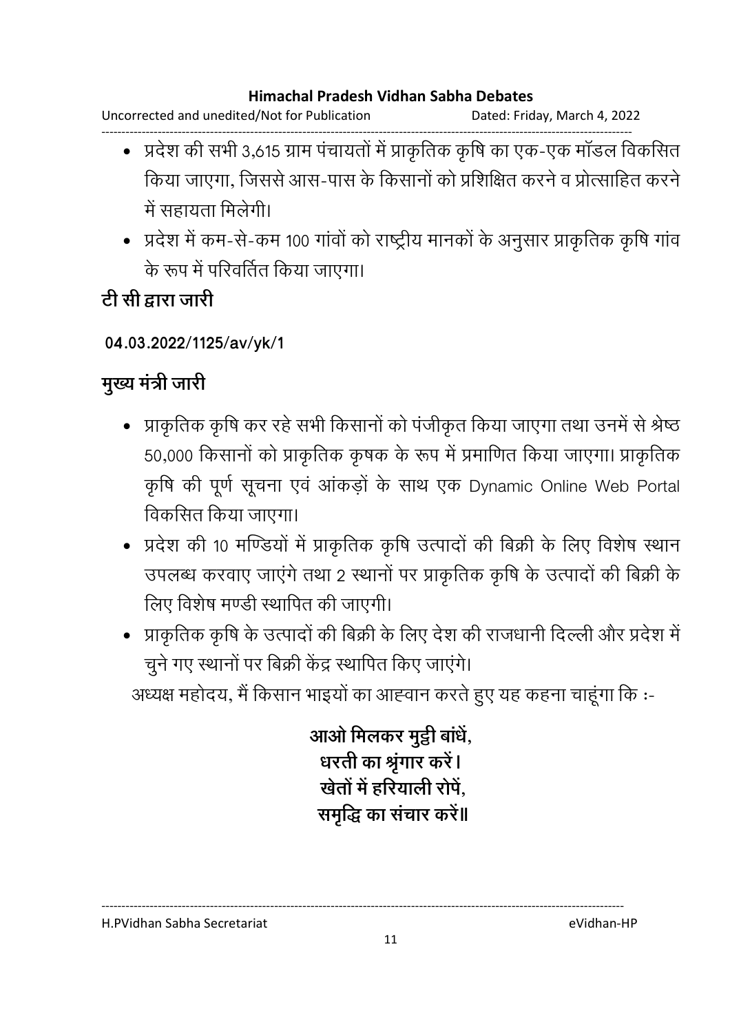Uncorrected and unedited/Not for Publication Dated: Friday, March 4, 2022

- ------------------------------------------------------------------------------------------------------------------------------------ • प्रदेश की सभी 3,615 ग्राम पंचायतों में प्राकृतिक कृषि का एक-एक मॉडल विकसित किया जाएगा, जिससे आस-पास के किसानों को प्रशिक्षित करने व प्रोत्साहित करने में सहायता मिलेगी।
	- प्रदेश में कम-से-कम 100 गांवों को राष्ट्रीय मानकों के अनुसार प्राकृतिक कृषि गांव के रूप में परिवर्तित किया जाएगा।

<u>टी सी द्वारा जारी</u>

### **04.03.2022/1125/av/yk/1**

### **मुख्य मंत्री जारी**

- प्राकृतिक कृषि कर रहे सभी किसानों को पंजीकृत किया जाएगा तथा उनमें से श्रेष्ठ 50,000 किसानों को प्राकृतिक कृषक के रूप में प्रमाणित किया जाएगा। प्राकृतिक कृषि की पूर्ण सूचना एवं आंकड़ों के साथ एक Dynamic Online Web Portal विकसित किया जाएगा।
- प्रदेश की 10 मण्डियों में प्राकृतिक कृषि उत्पादों की बिक्री के लिए विशेष स्थान उपलब्ध करवाए जाएंगे तथा 2 स्थानों पर प्राकृतिक कृषि के उत्पादों की बिक्री के लिए विशेष मण्डी स्थापित की जाएगी।
- प्राकृतिक कृषि के उत्पादों की बिक्री के लिए देश की राजधानी दिल्ली और प्रदेश में चुने गए स्थानों पर बिक्री केंद्र स्थापित किए जाएंगे।

अध्यक्ष महोदय, मैं किसान भाइयों का आह्वान करते हुए यह कहना चाहूंगा कि :-

आओ मिलकर मुट्ठी बाधे, धरती का श्रृंगार करें**।** <u>खेतों में हरियाली रोपे,</u> ्समृद्धि का सचार करे**॥** 

H.PVidhan Sabha Secretariat eVidhan-HP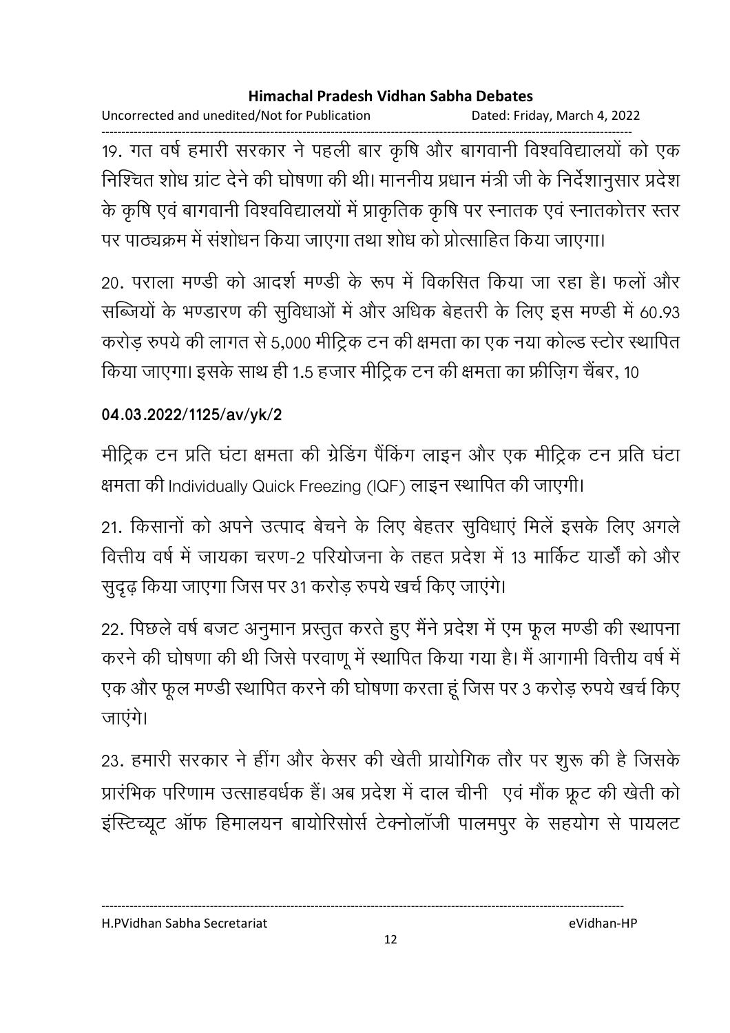Uncorrected and unedited/Not for Publication Dated: Friday, March 4, 2022

------------------------------------------------------------------------------------------------------------------------------------ 19. गत वर्ष हमारी सरकार ने पहली बार कृषि और बागवानी विश्वविद्यालयों को एक निश्चित शोध ग्रांट देने की घोषणा की थी। माननीय प्रधान मंत्री जी के निर्देशानुसार प्रदेश के कृषि एवं बागवानी विश्वविद्यालयों में प्राकृतिक कृषि पर स्नातक एवं स्नातकोत्तर स्तर पर पाठ्यक्रम में संशोधन किया जाएगा तथा शोध को प्रोत्साहित किया जाएगा।

20. पराला मण्डी को आदर्श मण्डी के रूप में विकसित किया जा रहा है। फलों और सब्जियों के भण्डारण की सुविधाओं में और अधिक बेहतरी के लिए इस मण्डी में 60.93 करोड़ रुपये की लागत से 5,000 मीट्रिक टन की क्षमता का एक नया कोल्ड स्टोर स्थापित किया जाएगा। इसके साथ ही 1.5 हजार मीट्रिक टन की क्षमता का फ्रीज़िग चैंबर, 10

### **04.03.2022/1125/av/yk/2**

मीट्रिक टन प्रति घंटा क्षमता की ग्रेडिंग पैंकिंग लाइन और एक मीट्रिक टन प्रति घंटा क्षमता की Individually Quick Freezing (IQF) लाइन स्थापित की जाएगी।

21. किसानों को अपने उत्पाद बेचने के लिए बेहतर सुविधाएं मिले इसके लिए अगले वित्तीय वर्ष में जायका चरण-2 परियोजना के तहत प्रदेश में 13 मार्किट यार्डों को और सुदृढ़ किया जाएगा जिस पर 31 करोड़ रुपये खर्च किए जाएंगे।

22. पिछले वर्ष बजट अनुमान प्रस्तुत करते हुए मैंने प्रदेश में एम फूल मण्डी की स्थापना करने की घोषणा की थी जिसे परवाणू में स्थापित किया गया है। मैं आगामी वित्तीय वर्ष में एक और फूल मण्डी स्थापित करने की घोषणा करता हूं जिस पर 3 करोड़ रुपये खर्च किए जाएंगे।

23. हमारी सरकार ने हींग और केसर की खेती प्रायोगिक तौर पर शुरू की है जिसके प्रारंभिक परिणाम उत्साहवर्धक है। अब प्रदेश में दाल चीनी एवं मौक फ्रूट की खेती को इंस्टिच्यूट ऑफ हिमालयन बायोरिसोर्स टेक्नोलॉजी पालमपुर के सहयोग से पायलट

H.PVidhan Sabha Secretariat eVidhan-HP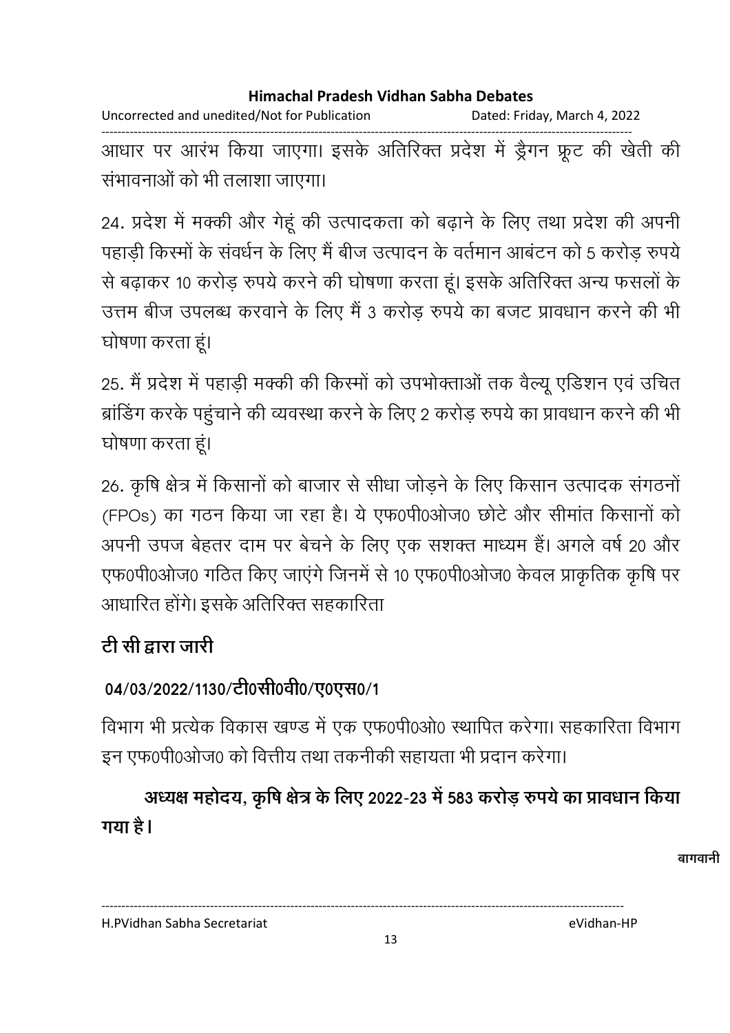Uncorrected and unedited/Not for Publication Dated: Friday, March 4, 2022 ------------------------------------------------------------------------------------------------------------------------------------ आधार पर आरंभ किया जाएगा। इसके अतिरिक्त प्रदेश में ड्रैगन फ्रूंट की खेती की संभावनाओं को भी तलाशा जाएगा।

24. प्रदेश में मक्की और गेहूं की उत्पादकता को बढ़ाने के लिए तथा प्रदेश की अपनी पहाड़ी किस्मों के संवर्धन के लिए मैं बीज उत्पादन के वर्तमान आबंटन को 5 करोड़ रुपये से बढ़ाकर 10 करोड़ रुपये करने की घोषणा करता हूं। इसके अतिरिक्त अन्य फसलों के उत्तम बीज उपलब्ध करवाने के लिए मैं 3 करोड़ रुपये का बजट प्रावधान करने की भी घोषणा करता हूं।

25. मैं प्रदेश में पहाड़ी मक्की की किस्मों को उपभोक्ताओं तक वैल्यू एडिशन एवं उचित ब्रांडिंग करके पहुंचाने की व्यवस्था करने के लिए 2 करोड़ रुपये का प्रावधान करने की भी घोषणा करता हूं।

26. कृषि क्षेत्र में किसानों को बाजार से सीधा जोड़ने के लिए किसान उत्पादक संगठनों (FPOs) का गठन किया जा रहा है। ये एफ0पी0ओज0 छोटे और सीमांत किसानों को अपनी उपज बेहतर दाम पर बेचने के लिए एक संशक्त माध्यम है। अगले वर्ष 20 और एफ0पी0ओज0 गठित किए जाएंगे जिनमें से 10 एफ0पी0ओज0 केवल प्राकृतिक कृषि पर आधारित होंगे। इसके अतिरिक्त सहकारिता

# <u>टी सी द्वारा जारी</u>

### 04/03/2022/1130/टी0सी0वी0/ए0एस0/1

विभाग भी प्रत्येक विकास खण्ड में एक एफ0पी0ओ0 स्थापित करेगा। सहकारिता विभाग इन एफ0पी0ओज0 को वित्तीय तथा तकनीकी सहायता भी प्रदान करेगा।

अध्यक्ष महोदय, कृषि क्षेत्र के लिए 2022-23 में 583 करोड़ रुपये का प्रावधान किया **गया है।** 

बागवानी

H.PVidhan Sabha Secretariat eVidhan-HP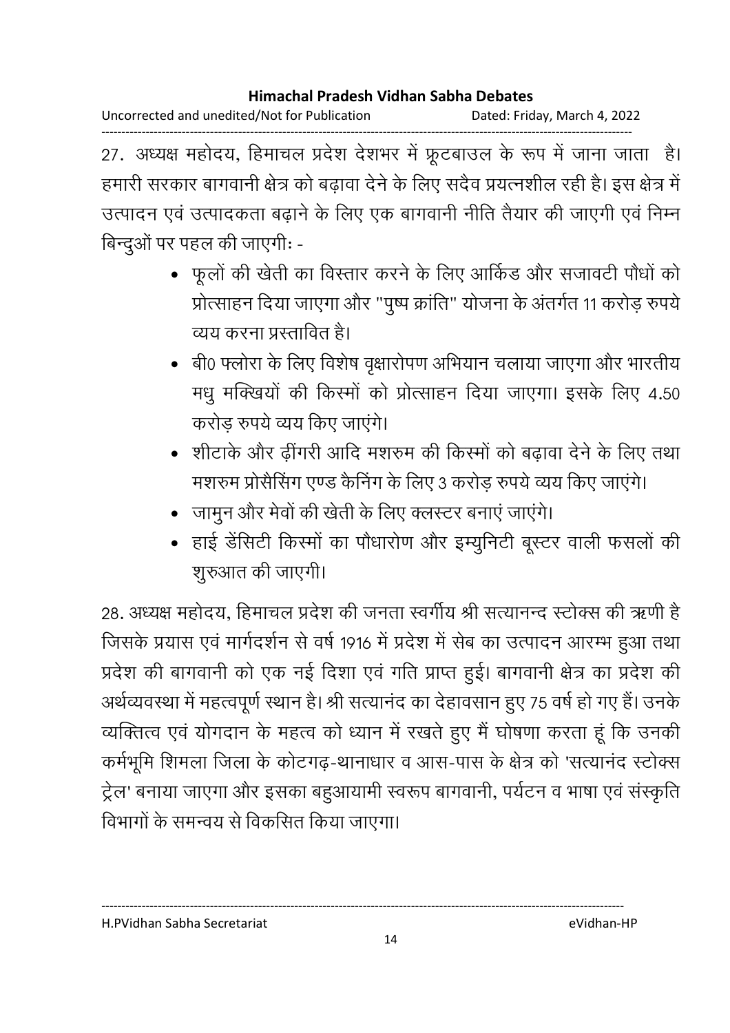Uncorrected and unedited/Not for Publication Dated: Friday, March 4, 2022

------------------------------------------------------------------------------------------------------------------------------------ 27. अध्यक्ष महोदय, हिमाचल प्रदेश देशभर में फ्रूटबाउल के रूप में जाना जाता हैं। हमारी सरकार बागवानी क्षेत्र को बढ़ावा देने के लिए सदैव प्रयत्नशील रही है। इस क्षेत्र में उत्पादन एवं उत्पादकता बढ़ाने के लिए एक बागवानी नीति तैयार की जाएगी एवं निम्न बिन्दुओं पर पहल की जाएगी: -

- फूलों की खेती का विस्तार करने के लिए आर्किड और सजावटी पौधों को प्रोत्साहन दिया जाएगा और "पुष्प क्रांति" योजना के अंतर्गत 11 करोड़ रुपये | व्यय करना प्रस्तावित है।
- •) बी0 फ्लोरा के लिए विशेष वृक्षारोपण अभियान चलाया जाएगा और भारतीय मधु मक्खियों की किस्मों को प्रोत्साहन दिया जाएगा। इसके लिए 4.50 करोड़ रुपये व्यय किए जाएंगे।
- शीटाके और ढींगरी आदि मशरुम की किस्मों को बढावा देने के लिए तथा मशरुम प्रोसैसिंग एण्ड कैनिंग के लिए 3 करोड़ रुपये व्यय किए जाएंगे।
- जामुन और मेवों की खेती के लिए क्लस्टर बनाएं जाएंगे।
- हाई डेंसिटी किस्मों का पौधारोण और इम्युनिटी बूस्टर वाली फसलों की शूरुआत की जाएगी।

28. अध्यक्ष महोदय, हिमाचल प्रदेश की जनता स्वर्गीय श्री सत्यानन्द स्टोक्स की ऋणी है जिसके प्रयास एवं मार्गदर्शन से वर्ष 1916 में प्रदेश में सेब का उत्पादन आरम्भ हुआ तथा प्रदेश की बागवानी को एक नई दिशा एवं गति प्राप्त हुई। बागवानी क्षेत्र का प्रदेश की अर्थव्यवस्था में महत्वपूर्ण स्थान है। श्री सत्यानद का देहावसान हुए 75 वर्ष हो गए है। उनके व्यक्तित्व एवं योगदान के महत्व को ध्यान में रखते हुए मैं घोषणा करता हूं कि उनकी कर्मभूमि शिमला जिला के कोटगढ़-थानाधार व आस-पास के क्षेत्र को 'सत्यानंद स्टोक्स ट्रेल' बनाया जाएगा और इसका बहुआयामी स्वरूप बागवानी, पर्यटन व भाषा एवं संस्कृति विभागों के समन्वय से विकसित किया जाएगा।

H.PVidhan Sabha Secretariat eVidhan-HP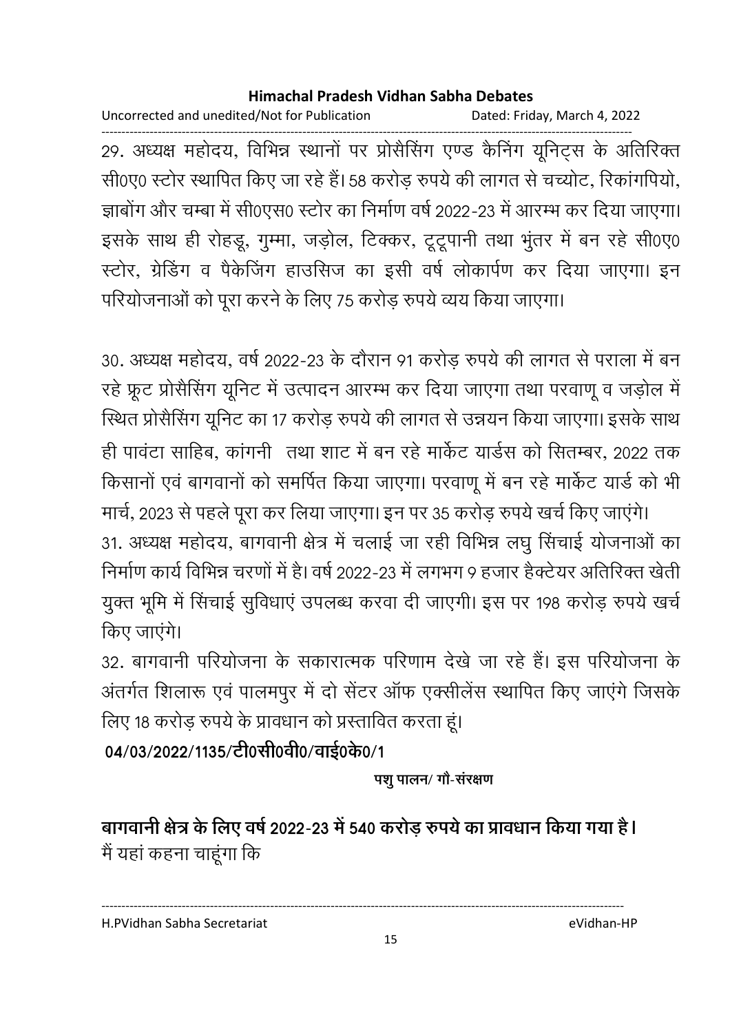Uncorrected and unedited/Not for Publication Dated: Friday, March 4, 2022

------------------------------------------------------------------------------------------------------------------------------------ 29. अध्यक्ष महोदय, विभिन्न स्थानों पर प्रसिसिंग एण्ड कैनिंग यूनिट्स के अतिरिक्त सी0ए0 स्टोर स्थापित किए जा रहे हैं। 58 करोड़ रुपये की लागत से चच्योट, रिकांगपियो, जाबोंग और चम्बा में सी0एस0 स्टोर का निर्माण वर्ष 2022-23 में आरम्भ कर दिया जाएगा। इसके साथ ही रोहडू, गुम्मा, जड़ोल, टिक्कर, टूटूपानी तथा भुंतर में बन रहे सी0ए0 स्टोर, ग्रेडिंग व पैकेजिंग हाउसिज का इसी वर्ष लोकार्पण कर दिया जाएगा। इन परियोजनाओं को पूरा करने के लिए 75 करोड़ रुपये व्यय किया जाएगा।

30. अध्यक्ष महोदय, वर्ष 2022-23 के दौरान 91 करोड़ रुपये की लागत से पराला में बन रहे फ्रूट प्रोसैसिंग यूनिट में उत्पादन आरम्भ कर दिया जाएगा तथा परवाणू व जड़ोल में स्थित प्रोसैसिंग यूनिट का 17 करोड़ रुपये की लागत से उन्नयन किया जाएगा। इसके साथ ही पावंटा साहिब, कांगनी ) तथा शाट में बन रहे मार्केट यार्ड्स को सितम्बर, 2022 तक किसानों एवं बागवानों को समर्पित किया जाएगा। परवाणू में बन रहे मार्केट यार्ड को भी

मार्च, 2023 से पहले पूरा कर लिया जाएगा। इन पर 35 करोड़ रुपये खर्च किए जाएंगे। 31. अध्यक्ष महोदय, बागवानी क्षेत्र में चलाई जा रही विभिन्न लघु सिचाई योजनाओं का निर्माण कार्य विभिन्न चरणों में हैं। वर्ष 2022-23 में लगभग 9 हजार हैक्टेयर अतिरिक्त खेती युक्त भूमि में सिंचाई सुविधाएं उपलब्ध करवा दी जाएगी। इस पर 198 करोड़ रुपये खर्च किए जाएंगे।

32. बागवानी परियोजना के सकारात्मक परिणाम देखे जा रहे हैं। इस परियोजना के अंतर्गत शिलारू एवं पालमपुर में दो सेंटर आफ एक्सीलेस स्थापित किए जाएंगे जिसकें | लिए 18 करोड़ रुपये के प्रावधान को प्रस्तावित करता हूं।

04/03/2022/1135/टी0सी0वी0/वाई0के0/1

पशु पालन/ गौ-संरक्षण

बागवानी क्षेत्र के लिए वर्ष 2022-23 में 540 करोड़ रुपये का प्रावधान किया गया है। मैं यहां कहना चाहूंगा कि

----------------------------------------------------------------------------------------------------------------------------------

H.PVidhan Sabha Secretariat eVidhan-HP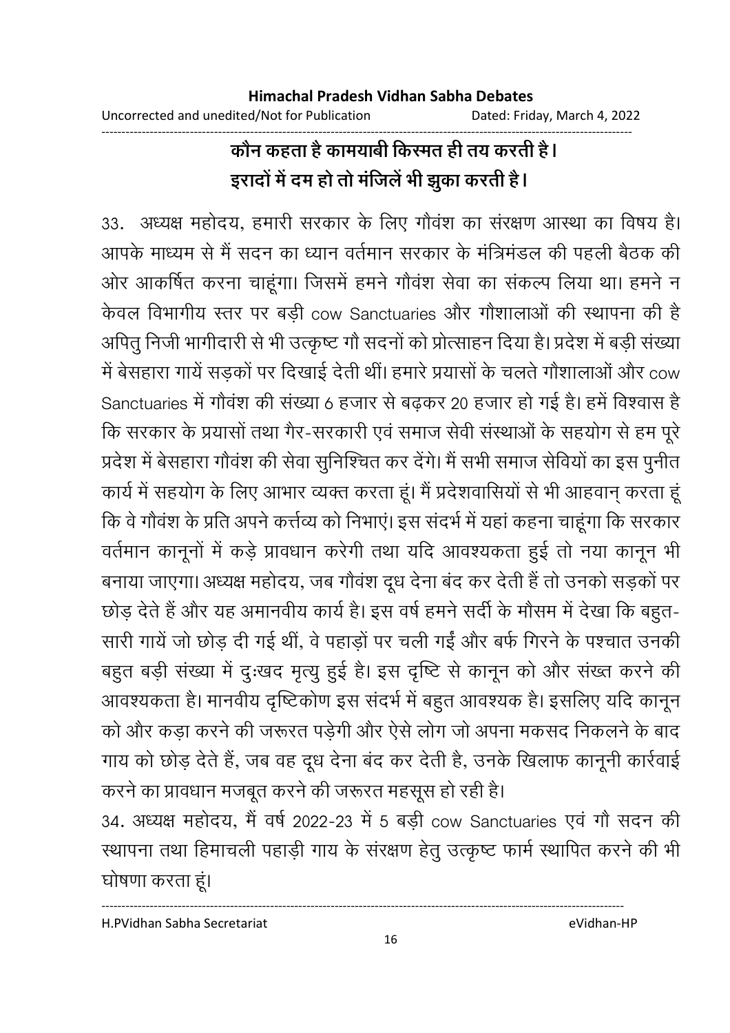# कौन कहता है कामयाबी किस्मत ही तय करती है। इरादों में दम हो तो मंजिले भी झुका करती हैं।

33. अध्यक्ष महोदय, हमारी सरकार के लिए गौवश का सरक्षण आस्था का विषय है। आपके माध्यम से मैं सदन का ध्यान वर्तमान सरकार के मंत्रिमंडल की पहली बैठक की ओर आकर्षित करना चाहूंगा। जिसमें हमने गौवंश सेवा का संकल्प लिया था। हमने न केवल विभागीय स्तर पर बड़ी cow Sanctuaries और गौशालाओं की स्थापना की है आपेतु निजी भागीदारी से भी उत्कृष्ट गों सदनों को प्रोत्साहन दिया है। प्रदेश में बड़ी संख्या में बेसहारा गायें सड़कों पर दिखाई देती थीं। हमारे प्रयासों के चलते गौशालाओं और cow Sanctuaries में गौवश की संख्या 6 हजार से बढ़कर 20 हजार हो गई है। हमें विश्वास है कि सरकार के प्रयासों तथा गैर-सरकारी एवं समाज सेवी संस्थाओं के सहयोग से हम पूरे प्रदेश में बेसहारा गौवंश की सेवा सुनिश्चित कर देंगे। मैं सभी समाज सेवियों का इस पुनीत कार्य में सहयोग के लिए आभार व्यक्त करता हूं। मैं प्रदेशवासियों से भी आहवान् करता हूं कि वे गौवश के प्रति अपने कर्त्तव्य को निभाए। इस सदर्भ में यहाँ कहना चाहूँगा कि सरकार वर्तमान कानूनों में कड़े प्रावधान करेगी तथा यदि आवश्यकता हुई तो नया कानून भी बनाया जाएगा। अध्यक्ष महोदय, जब गोवश दूध देना बंद कर देती है तो उनको सड़को पर छोड़ देते हैं और यह अमानवीय कार्य है। इस वर्ष हमने सदी के मौसम में देखा कि बहुत-सारी गायें जो छोड़ दी गई थीं, वे पहाड़ों पर चली गईं और बर्फ गिरने के पश्चात उनकी बहुत बड़ी संख्या में दुःखंद मृत्यु हुई है। इस दृष्टि से कानून को और संख्त करने की आवश्यकता है। मानवीय दृष्टिकोण इस संदर्भ में बहुत आवश्यक है। इसलिए यदि कानून को और कड़ा करने की जरूरत पड़ेगी और ऐसे लोग जो अपना मकसद निकलने के बाद गाय को छोड़ देते हैं, जब वह दूध देना बंद कर देती है, उनके खिलाफ कानूनी कार्रवाई करने का प्रावधान मजबूत करने की जरूरत महसूस हो रही है।

34. अध्यक्ष महोदय, मै वर्ष 2022-23 में 5 बड़ी cow Sanctuaries एव गौ सदन की स्थापना तथा हिमाचली पहाड़ी गाय के संरक्षण हेतु उत्कृष्ट फार्म स्थापित करने की भी घोषणा करता हूं।

H.PVidhan Sabha Secretariat eVidhan-HP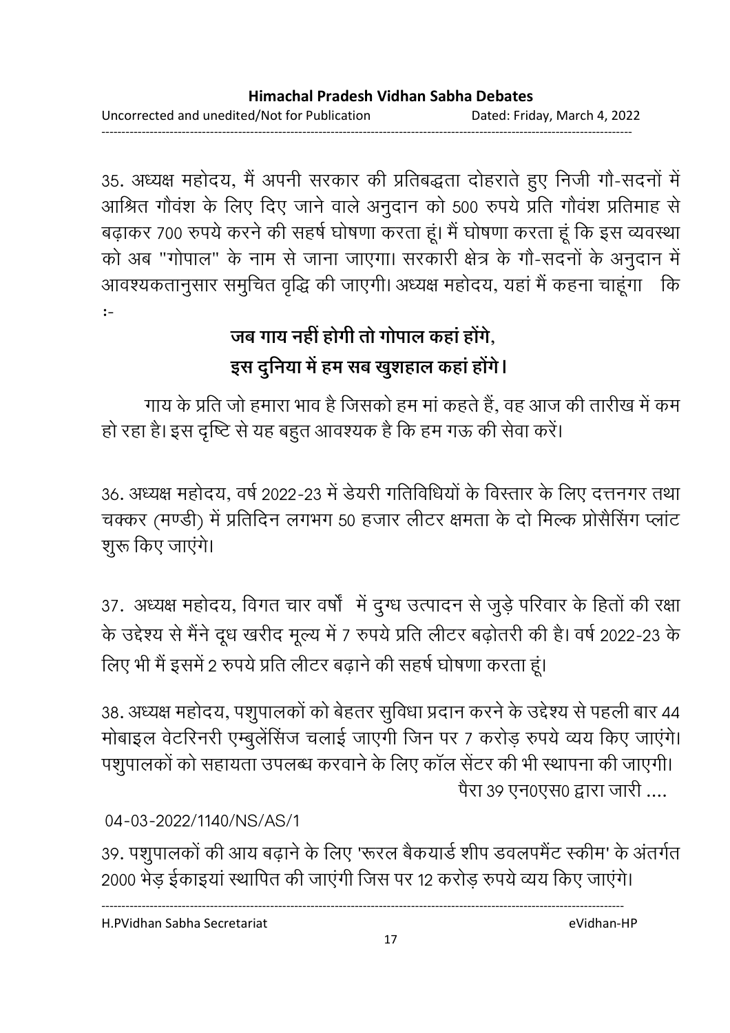------------------------------------------------------------------------------------------------------------------------------------

35. अध्यक्ष महोदय, मैं अपनी सरकार की प्रतिबद्धता दोहराते हुए निजी गौ-सदनों में आश्रित गौवश के लिए दिए जाने वाले अनुदान को 500 रुपये प्रति गौवश प्रतिमाह से बढ़ाकर 700 रुपये करने की सहर्ष घोषणा करता हूं। मैं घोषणा करता हूं कि इस व्यवस्था को अब "गोपाल" के नाम से जाना जाएगा। सरकारी क्षेत्र के गौ-सदनों के अनुदान में आवश्यकतानुसार समुचित वृद्धि की जाएगी। अध्यक्ष महोदय, यहां मैं कहना चाहूंगा । कि :-

# जब गाय नहीं होगी तो गोपाल कहा होंगे, इस दुनिया में हम सब खुशहाल कहा होंगे।

गाय के प्रति जो हमारा भाव है जिसको हम मां कहते हैं, वह आज की तारीख में कम हो रहा है। इस दृष्टि से यह बहुत आवश्यक है कि हम गऊ की सेवा करें।

36. अध्यक्ष महोदय, वर्ष 2022-23 में डेयरी गतिविधियों के विस्तार के लिए दत्तनगर तथा चक्कर (मण्डी) में प्रतिदिन लगभग 50 हजार लीटर क्षमता के दो मिल्क प्रोसैसिंग प्लांट शूरू किए जाएंगे।

37. अध्यक्ष महोदय, विगत चार वर्षा में दुग्ध उत्पादन से जुड़े परिवार के हितों की रक्षा के उद्देश्य से मैंने दूध खरीद मूल्य में 7 रुपये प्रति लीटर बढ़ोतरी की है। वर्ष 2022-23 के लिए भी मैं इसमें 2 रुपये प्रति लीटर बढ़ाने की सहर्ष घोषणा करता हूं।

38. अध्यक्ष महोदय, पशुपालको को बेहतर सुविधा प्रदान करने के उद्देश्य से पहली बार 44 मोबाइल वेटरिनरी एम्बुलेंसिंज चलाई जाएगी जिन पर 7 करोड़ रुपये व्यय किए जाएंगे। पशुपालकों को सहायता उपलब्ध करवाने के लिए कॉल सेंटर की भी स्थापना की जाएगी। पैरा ३९ एन0एस0 द्वारा जारी ....

04-03-2022/1140/NS/AS/1

39. पशुपालको की आय बढ़ाने के लिए 'रूरल बैकयार्ड शीप डवलपमेंट स्कीम' के अंतर्गत 2000 भेड़ ईकाइयां स्थापित की जाएंगी जिस पर 12 करोड़ रुपये व्यय किए जाएंगे।

H.PVidhan Sabha Secretariat eVidhan-HP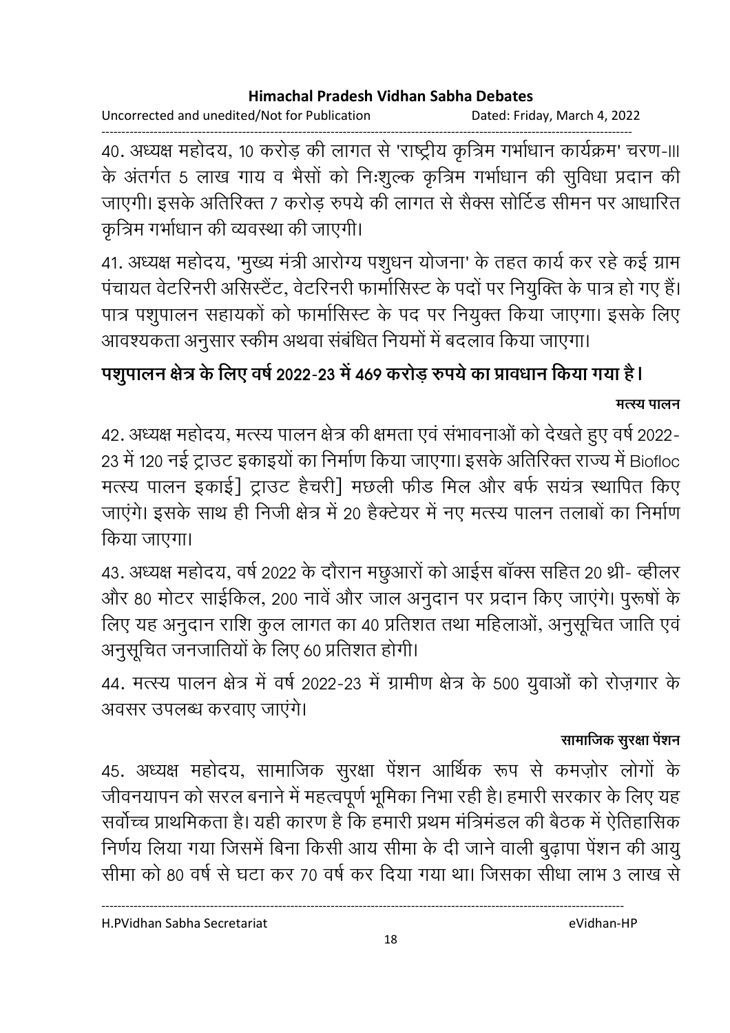Uncorrected and unedited/Not for Publication Dated: Friday, March 4, 2022

------------------------------------------------------------------------------------------------------------------------------------ 40. अध्यक्ष महोदय, 10 करोड़ की लागत से 'राष्ट्रीय कृत्रिम गर्भाधान कार्यक्रम' चरण-॥। के अंतर्गत 5 लाख गाय व भैसों को निःशुल्क कृत्रिम गर्भाधान की सुर्विधा प्रदान की जाएगी। इसके अतिरिक्त 7 करोड़ रुपये की लागत से सैक्स सोटिंड सीमन पर आधारित कृत्रिम गर्भाधान की व्यवस्था की जाएगी।

41. अध्यक्ष महोदय, 'मुख्य मंत्री आरोग्य पशुधन योजना' के तहत कार्य कर रहे कई ग्राम पंचायत वेटरिनरी असिस्टैट, वेटरिनरी फामोसिस्ट के पदों पर नियुक्ति के पात्र हो गए हैं। पात्र पशुपालन सहायकों को फार्मासिस्ट के पद पर नियुक्त किया जाएगा। इसके लिए आवश्यकता अनुसार स्कीम अथवा संबंधित नियमों में बदलाव किया जाएगा।

# पशुपालन क्षेत्र के लिए वर्ष 2022-23 में 469 करोड़ रुपये का प्रावधान किया गया है l *मत्स्य* **पालन**

42. अध्यक्ष महोदय, मत्स्य पालन क्षेत्र की क्षमता एवं सभावनाओं को देखते हुए वर्ष 2022-23 में 120 नई ट्राउट इकाइयों का निर्माण किया जाएगा। इसके अतिरिक्त राज्य में Biofloc मत्स्य पालन इकाई] ट्राउट हैचरी] मछली फीड मिल और बर्फ सयंत्र स्थापित किए जाएंगे। इसके साथ ही निजी क्षेत्र में 20 हैक्टेयर में नए मत्स्य पालन तलाबों का निर्माण किया जाएगा।

43. अध्यक्ष महोदय, वर्ष 2022 के दौरान मछुआरों को आईस बाक्स सहित 20 थ्री- व्हीलर और 80 मोटर साइंकिल, 200 नावें और जाल अनुदान पर प्रदान किए जाएंगे। पुरूषों के लिए यह अनुदान राशि कुल लागत का 40 प्रतिशत तथा महिलाओ, अनुसूचित जाति एवं अनुसूचित जनजातियों के लिए 60 प्रतिशत होगी।

44. मत्स्य पालन क्षेत्र में वर्ष 2022-23 में ग्रामीण क्षेत्र के 500 युवाओं को रोज़गार के अवसर उपलब्ध करवाए जाएगे।

### सामाजिक सुरक्षा पेशन

45. अध्यक्ष महोदय, सामाजिक सुरक्षा पेशन आर्थिक रूप से कमज़ोर लोगों के जीवनयापन को सरल बनाने में महत्वपूर्ण भूमिका निभा रही है। हमारी सरकार के लिए यह सर्वोच्च प्राथमिकता है। यही कारण है कि हमारी प्रथम मंत्रिमंडल की बैठक में ऐतिहासिक निर्णय लिया गया जिसमें बिना किसी आय सीमा के दी जाने वाली बुढ़ापा पेंशन की आयु सीमा को 80 वर्ष से घटा कर 70 वर्ष कर दिया गया था। जिसका सीधा लाभ 3 लाख से

H.PVidhan Sabha Secretariat eVidhan-HP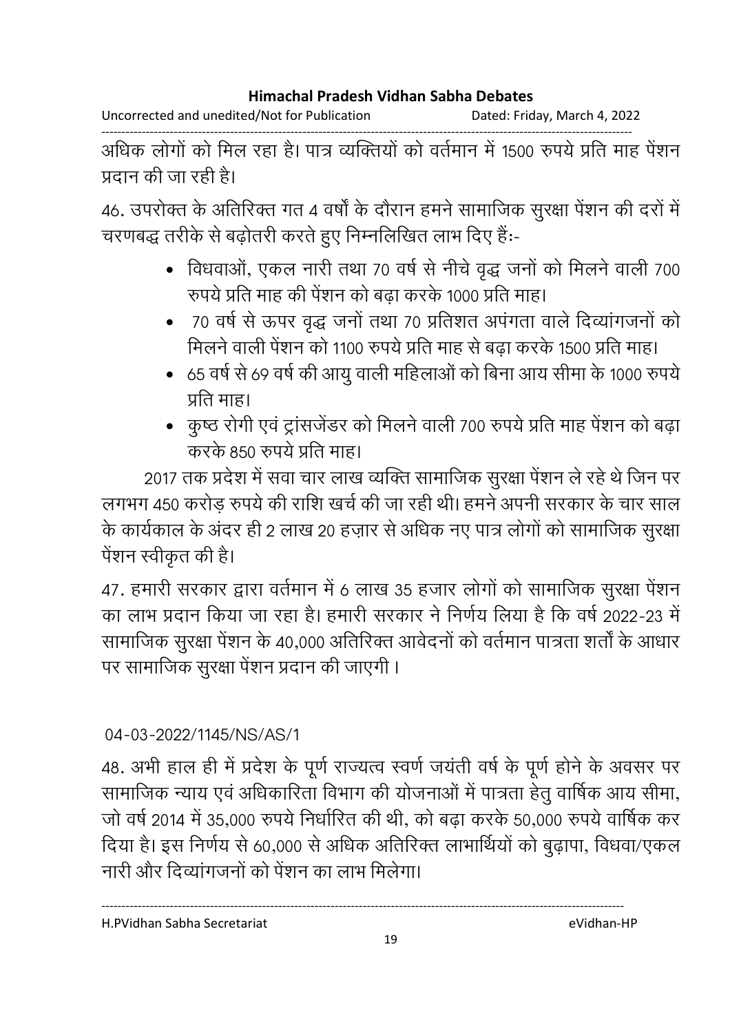Uncorrected and unedited/Not for Publication Dated: Friday, March 4, 2022

------------------------------------------------------------------------------------------------------------------------------------ आंधक लोगों को मिल रहा है। पात्र व्यक्तियों को वर्तमान में 1500 रुपये प्रति माह पेशन प्रदान की जा रही है।

46. उपरोक्त के अतिरिक्त गत 4 वर्षा के दौरान हमने सामाजिक सुरक्षा पेशन की दर्रा में चरणबद्ध तरीके से बढ़ोतरी करते हुए निम्नलिखित लाभ दिए हैं:-

- विधवाओं, एकल नारी तथा 70 वर्ष से नीचे वृद्ध जनों को मिलने वाली 700 रुपये प्रति माह की पेंशन को बढा करके 1000 प्रति माह।
- 70 वर्ष से ऊपर वृद्ध जनों तथा 70 प्रतिशत अपंगता वाले दिव्यांगजनों को मिलने वाली पेंशन को 1100 रुपये प्रति माह से बढ़ा करके 1500 प्रति माह।
- 65 वर्ष से 69 वर्ष की आयु वाली महिलाओं को बिना आय सीमा के 1000 रुपये प्रति माह।
- कुष्ठ रोगी एवं ट्रांसजेंडर को मिलने वाली 700 रुपये प्रति माह पेंशन को बढ़ा करके 850 रुपये प्रति माह।

2017 तक प्रदेश में सवा चार लाख व्यक्ति सामाजिक सुरक्षा पेंशन ले रहे थे जिन पर लगभग 450 करोड़ रुपये की राशि खर्च की जा रही थी। हमने अपनी सरकार के चार साल के कार्यकाल के अंदर ही 2 लाख 20 हज़ार से अधिक नए पात्र लोगों को सामाजिक सुरक्षा पेंशन स्वीकृत की है।

47. हमारी सरकार द्वारा वर्तमान में 6 लाख 35 हजार लोगों को सामाजिक सुरक्षा पेंशन का लाभ प्रदान किया जा रहा है। हमारी सरकार ने निर्णय लिया है कि वर्ष 2022-23 में सामाजिक सुरक्षा पेशन के 40,000 अतिरिक्त आवेदनों को वर्तमान पात्रता शतों के आधार पर सामाजिक सुरक्षा पेंशन प्रदान की जाएगी।

### 04-03-2022/1145/NS/AS/1

48. अभी हाल ही में प्रदेश के पूर्ण राज्यत्व स्वर्ण जयती वर्ष के पूर्ण होने के अवसर पर सामाजिक न्याय एवं अधिकारिता विभाग की योजनाओं में पात्रता हेतु वार्षिक आयं सीमा, जो वर्ष 2014 में 35,000 रुपये निर्धारित की थी, को बढ़ा करके 50,000 रुपये वार्षिक कर दिया है। इस निर्णय से 60,000 से अधिक अतिरिक्त लाभार्थियों को बुढ़ापा, विधवा/एकल नारी और दिव्यांगजनों को पेंशन का लाभ मिलेगा।

H.PVidhan Sabha Secretariat eVidhan-HP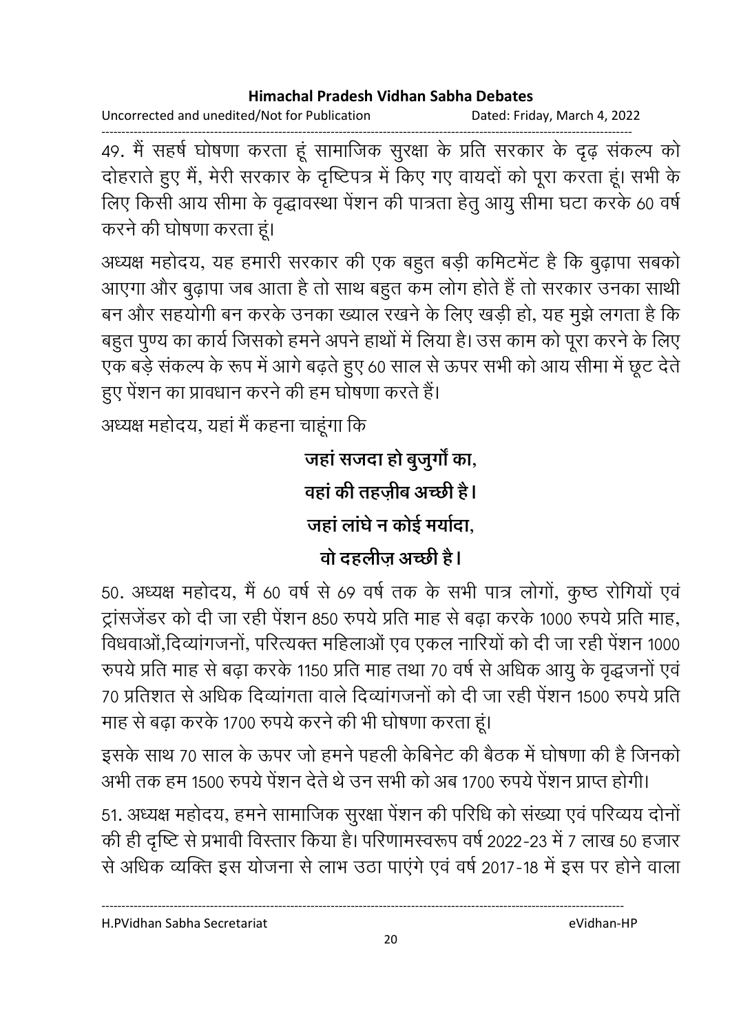Uncorrected and unedited/Not for Publication Dated: Friday, March 4, 2022

------------------------------------------------------------------------------------------------------------------------------------ 49. मैं सहर्ष घोषणा करता हूं सामाजिक सुरक्षा के प्रति सरकार के दृढ़ संकल्प को दोहराते हुए मैं, मेरी सरकार के दृष्टिपत्र में किए गए वायदों को पूरा करता हूं। सभी के लिए किसी आय सीमा के वृद्धावस्था पेंशन की पात्रता हेतु आयु सीमा घटा करके 60 वर्ष करने की घोषणा करता हूं।

अध्यक्ष महोदय, यह हमारी सरकार की एक बहुत बड़ी कमिटमेंट हैं कि बुढ़ापा सबको आएगा और बुढ़ापा जब आता है तो साथ बहुत कम लोग होते हैं तो सरकार उनका साथी बन और सहयोगी बन करके उनका ख्याल रखने के लिए खड़ी हो, यह मुझे लगता है कि बहुत पुण्य का कार्य जिसको हमने अपने हाथों में लिया है। उस काम को पूरा करने के लिए एक बड़े संकल्प के रूप में आगे बढ़ते हुए 60 साल से ऊपर सभी को आय सीमा में छूट देते हुए पेंशन का प्रावधान करने की हम घोषणा करते हैं।

अध्यक्ष महोदय, यहां मैं कहना चाहूंगा कि

जहां सजदा हो बूजुर्गों का, <u>वहां की तहजीब अच्छी है।</u> जहां लाघे न कोई मयोदा, <u>वो दहलीज अच्छी है।</u>

50. अध्यक्ष महोदय, मैं 60 वर्ष से 69 वर्ष तक के सभी पात्र लोगो, कुष्ठ रोगियों एवं ट्रांसजेंडर को दी जा रही पेंशन 850 रुपये प्रति माह से बढ़ा करके 1000 रुपये प्रति माह, विधवाओं,दिव्यांगजनों, परित्यक्त महिलाओं एव एकल नारियों को दी जा रही पेंशन 1000 रुपर्य प्रति माह से बढ़ा करके 1150 प्रति माह तथा 70 वर्ष से अधिक आयु के वृद्धजनो एव 70 प्रतिशत से अधिक दिव्यागता वाले दिव्यागजनों को दी जा रही पेशन 1500 रुपये प्रति माह से बढ़ा करके 1700 रुपये करने की भी घोषणा करता हूं।

इसके साथ 70 साल के ऊपर जो हमने पहली केबिनेट की बैठक में घोषणा की है जिनको अभी तक हम 1500 रुपये पेशन देते थे उन सभी को अब 1700 रुपये पेशन प्राप्त होगी।

51. अध्यक्ष महोदय, हमने सामाजिक सुरक्षा पेशन की परिधि को संख्या एवं परिव्यय दोनो की ही दृष्टि से प्रभावी विस्तार किया है। परिणामस्वरूप वर्ष 2022-23 में 7 लाख 50 हजार से अधिक व्यक्ति इस योजना से लाभ उठा पाएंगे एवं वर्ष 2017-18 में इस पर होने वाला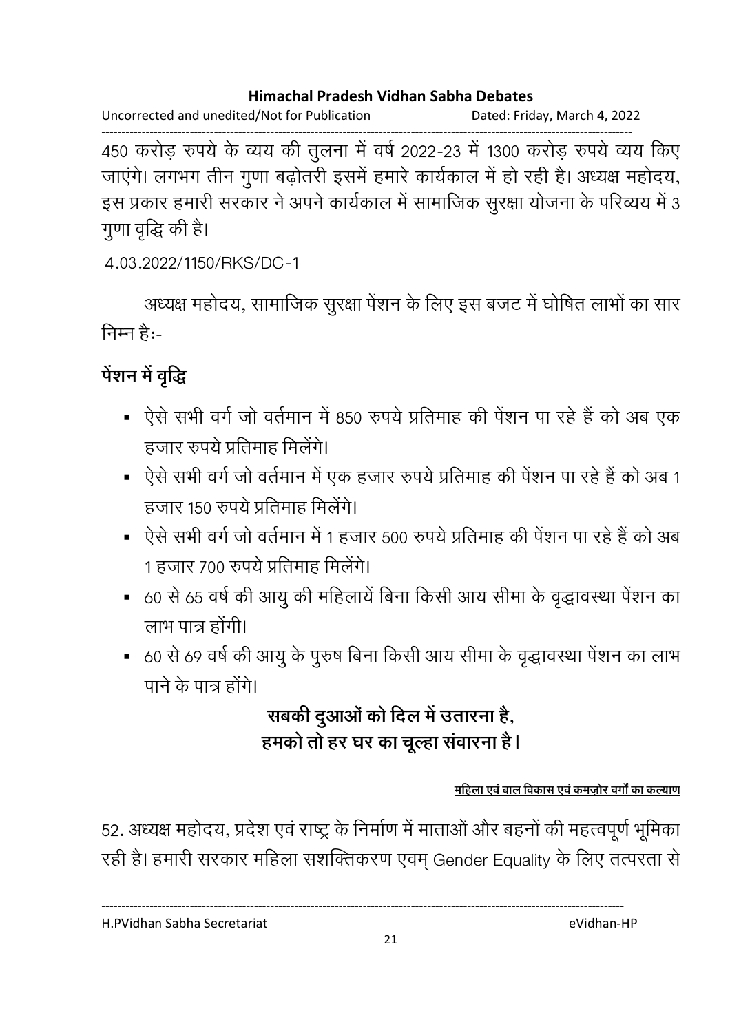Uncorrected and unedited/Not for Publication Dated: Friday, March 4, 2022

------------------------------------------------------------------------------------------------------------------------------------ 450 करोड़ रुपये के व्यय की तुलना में वर्ष 2022-23 में 1300 करोड़ रुपये व्यय किए जाएंगे। लगभग तीन गुणा बढ़ोतरी इसमें हमारे कार्यकाल में हो रही है। अध्यक्ष महोदय, इस प्रकार हमारी सरकार ने अपने कार्यकाल में सामाजिक सुरक्षा योजना के परिव्यय में 3 गुणा वृद्धि की है।

4.03.2022/1150/RKS/DC-1

अध्यक्ष महोदय, सामाजिक सुरक्षा पेशन के लिए इस बजट में घोषित लाभों का सार निम्न है:-

# <u>पेशन में वृद्धि</u>

- ऐसे सभी वर्ग जो वर्तमान में 850 रुपये प्रतिमाह की पेंशन पा रहे हैं को अब एक हजार रुपये प्रतिमाह मिलेंगे।
- ऐसे सभी वर्ग जो वर्तमान में एक हजार रुपये प्रतिमाह की पेंशन पा रहे हैं को अब 1 हजार 150 रुपये प्रतिमाह मिलेंगे।
- ऐसे सभी वर्ग जो वर्तमान में 1 हजार 500 रुपये प्रतिमाह की पेंशन पा रहे हैं को अब 1 हजार 700 रुपये प्रतिमाह मिलेंगे।
- 60 से 65 वर्ष की आयु की महिलायें बिना किसी आय सीमा के वृद्धावस्था पेंशन का लाभ पात्र होंगी।
- 60 से 69 वर्ष की आयु के पुरुष बिना किसी आय सीमा के वृद्धावस्था पेंशन का लाभ पाने के पात्र होंगे।

# सबकी दुआओ को दिल में उतारना **है**, हमको तो हर घर का चूल्हा संवारना **है**।

<u>महिला एवं बाल विकास एवं कमजोर वर्गा का कल्याण</u>

52. अध्यक्ष महोदय, प्रदेश एवं राष्ट्र के निर्माण में माताओं और बहनों की महत्वपूर्ण भूमिका रही है। हमारी सरकार महिला सशक्तिकरण एवम् Gender Equality के लिए तत्परता से

H.PVidhan Sabha Secretariat eVidhan-HP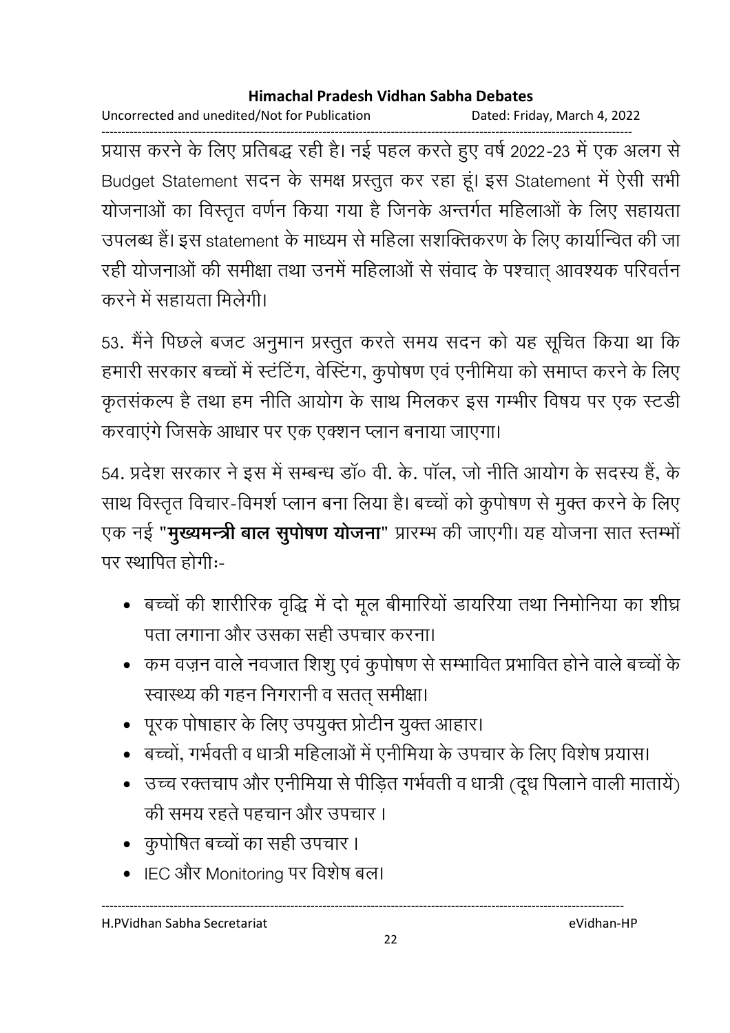Uncorrected and unedited/Not for Publication Dated: Friday, March 4, 2022

------------------------------------------------------------------------------------------------------------------------------------ प्रयास करने के लिए प्रतिबद्ध रही है। नई पहल करते हुए वर्ष 2022-23 में एक अलग से Budget Statement सदन के समक्ष प्रस्तुत कर रहा हूं। इस Statement में ऐसी सभी योजनाओं का विस्तृत वर्णन किया गया है जिनके अन्तर्गत महिलाओं के लिए सहायता उपलब्ध हैं। इस statement के माध्यम से महिला सशक्तिकरण के लिए कार्यान्वित की जा रही योजनाओं की समीक्षा तथा उनमें महिलाओं से संवाद के पश्चात् आवश्यक परिवर्तन करने में सहायता मिलेगी।

53. मैंने पिछले बजट अनुमान प्रस्तुत करते समय सदन को यह सूचित किया था कि हमारी सरकार बच्चों में स्टंटिंग, वेस्टिंग, कुपोषण एवं एनीमिया को समाप्त करने के लिए कृतसंकल्प है तथा हम नीति आयोग के साथ मिलकर इस गम्भीर विषय पर एक स्टडी करवाएंगे जिसके आधार पर एक एक्शन प्लान बनाया जाएगा।

54. प्रदेश सरकार ने इस में सम्बन्ध डॉ॰ वी. के. पॉल, जो नीति आयोग के सदस्य हैं, के साथ विस्तृत विचार-विमर्श प्लान बना लिया है। बच्चों को कुपोषण से मुक्त करने के लिए एक नई "**मुख्यमन्त्री बाल सुपोषण योजना**" प्रारम्भ की जाएगी। यह योजना सात स्तम्भों पर स्थापित होगी:-

- बच्चों की शारीरिक वृद्धि में दो मूल बीमारियों डायरिया तथा निमोनिया का शीघ्र पता लगाना और उसका सही उपचार करना।
- कम वज़न वाले नवजात शिशू एवं कुपोषण से सम्भावित प्रभावित होने वाले बच्चों के स्वास्थ्य की गहन निगरानी व सतत् समीक्षा।
- पूरक पोषाहार के लिए उपयुक्त प्रोटीन युक्त आहार।
- बच्चों, गर्भवती व धात्री महिलाओं में एनीमिया के उपचार के लिए विशेष प्रयास।

----------------------------------------------------------------------------------------------------------------------------------

22

- उच्च रक्तचाप और एनीमिया से पीड़ित गर्भवती व धात्री (दूध पिलाने वाली मातायें) की समय रहते पहचान और उपचार ।
- <u>कुपोषित बच्चों का सही उपचार ।</u>
- IEC और Monitoring पर विशेष बल।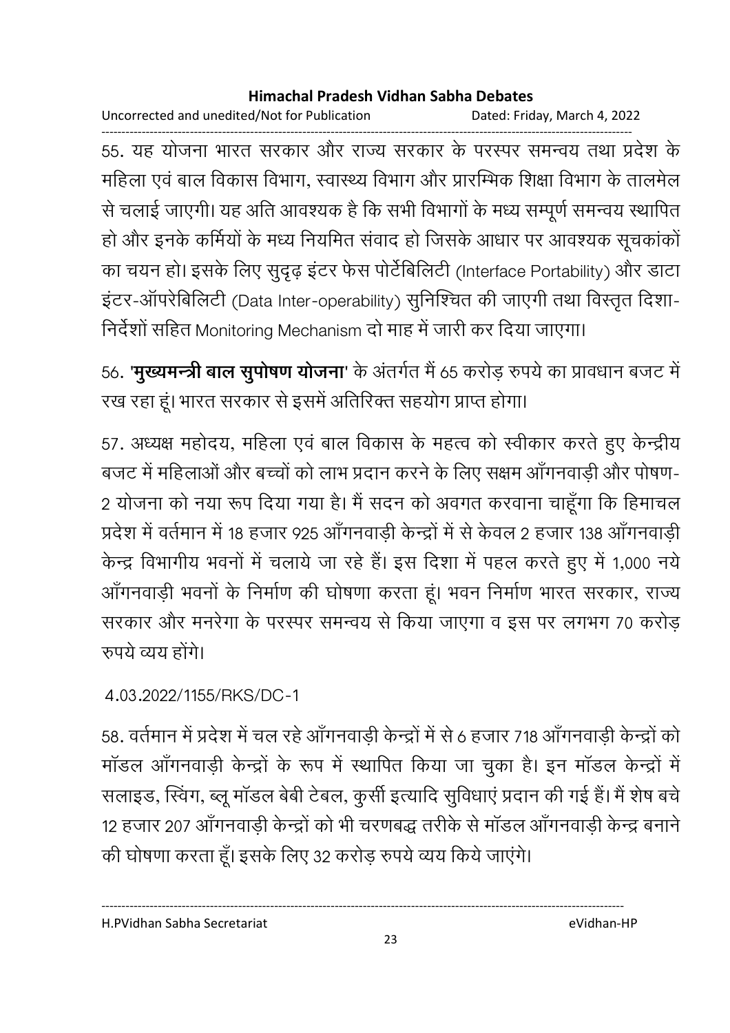Uncorrected and unedited/Not for Publication Dated: Friday, March 4, 2022

------------------------------------------------------------------------------------------------------------------------------------ 55. यह योजना भारत सरकार और राज्य सरकार के परस्पर समन्वय तथा प्रदेश के महिला एवं बाल विकास विभाग, स्वास्थ्य विभाग और प्रारम्भिक शिक्षा विभाग के तालमेल से चलाई जाएगी। यह अति आवश्यक है कि सभी विभागों के मध्य सम्पूर्ण समन्वय स्थापित हो और इनके कर्मियों के मध्य नियमित संवाद हो जिसके आधार पर आवश्यक सूचकांकों का चयन हो। इसके लिए सुदृढ़ इंटर फेस पोर्टेबिलिटी (Interface Portability) और डाटा इंटर-ऑपरेबिलिटी (Data Inter-operability) सुनिश्चित की जाएगी तथा विस्तृत दिशा-निर्देशों सहित Monitoring Mechanism दो माह में जारी कर दिया जाएगा।

56. **'मुख्यमन्त्री बाल सुपोषण योजना**' के अंतर्गत में 65 करोड़ रुपये का प्रावधान बजट में रख रहा हूं। भारत सरकार से इसमें अतिरिक्त सहयोग प्राप्त होगा।

57. अध्यक्ष महोदय, महिला एवं बाल विकास के महत्व को स्वीकार करते हुए केन्द्रीय बजट में महिलाओं और बच्चों को लाभ प्रदान करने के लिए सक्षम ऑगनवाडी और पोषण-2 योजना को नया रूप दिया गया है। मैं सदन को अवगत करवाना चाहूंगा कि हिमाचल प्रदेश में वर्तमान में 18 हजार 925 ऑगनवाड़ी केन्द्रों में से केवल 2 हजार 138 ऑगनवाड़ी केन्द्र विभागीय भवनों में चलाये जा रहे हैं। इस दिशा में पहल करते हुए में 1,000 नये आँगनवाड़ी भवनों के निर्माण की घोषणा करता हूं। भवन निर्माण भारत सरकार, राज्य सरकार और मनरेगा के परस्पर समन्वय से किया जाएगा व इस पर लगभग 70 करोड़ रुपये व्यय होंगे।

4.03.2022/1155/RKS/DC-1

58. वर्तमान में प्रदेश में चल रहे आँगनवाड़ी केन्द्रों में से 6 हजार 718 आँगनवाड़ी केन्द्रों को मॉडल आँगनवाड़ी केन्द्रों के रूप में स्थापित किया जा चुका है। इन मॉडल केन्द्रों में सलाइड, स्विंग, ब्लू मॉडल बेबी टेबल, कूर्सी इत्यादि सुविधाएं प्रदान की गई हैं। मैं शेष बचे 12 हजार 207 आँगनवाडी केन्द्रों को भी चरणबद्ध तरीके से मॉडल ऑंगनवाडी केन्द्र बनाने की घोषणा करता हूँ। इसके लिए 32 करोड़ रुपये व्यय किये जाएंगे।

H.PVidhan Sabha Secretariat eVidhan-HP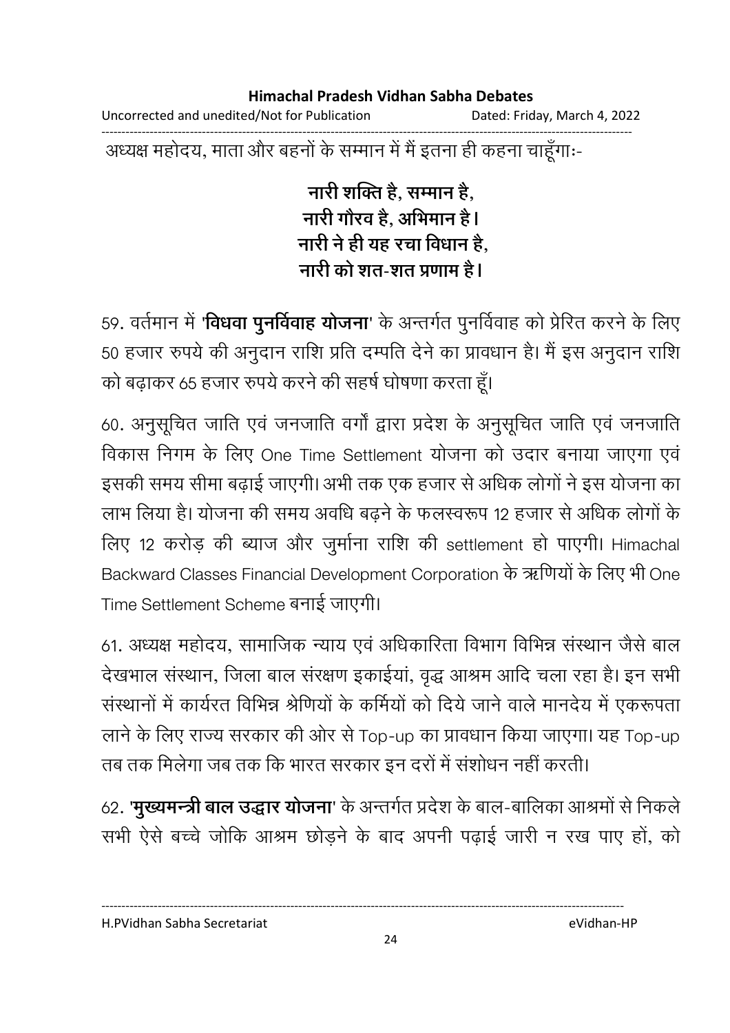Uncorrected and unedited/Not for Publication Dated: Friday, March 4, 2022

------------------------------------------------------------------------------------------------------------------------------------ अध्यक्ष महोदय, माता और बहनों के सम्मान में मैं इतना ही कहना चाहूगाः-

> <u>नारी शक्ति है. सम्मान है.</u> नारी गौरव है, अभिमान है l **नारी ने ही यह रचा विधान है,** <u>नारी को शत-शत प्रणाम है।</u>

59. वर्तमान में **'विधवा पुनर्विवाह योजना**' के अन्तर्गत पुनर्विवाह को प्रेरित करने के लिए 50 हजार रुपये की अनुदान राशि प्रति दम्पति देने का प्रावधान है। मैं इस अनुदान राशि को बढ़ाकर 65 हजार रुपये करने की सहर्ष घोषणा करता हूँ।

60. अनुसूचित जाति एव जनजाति वर्गा द्वारा प्रदेश के अनुसूचित जाति एव जनजाति विकास निगम के लिए One Time Settlement योजना को उदार बनाया जाएगा एवं इसकी समय सीमा बढ़ाई जाएगी। अभी तक एक हजार से अधिक लोगों ने इस योजना का लाभ लिया है। योजना की समय अवधि बढ़ने के फलस्वरूप 12 हजार से अधिक लोगों के लिए 12 करोड़ की ब्याज और जुर्माना राशि की settlement हो पाएगी। Himachal Backward Classes Financial Development Corporation के ऋणियों के लिए भी One Time Settlement Scheme बनाई जाएगी।

61. अध्यक्ष महोदय, सामाजिक न्याय एवं अधिकारिता विभाग विभिन्न संस्थान जैसे बाल देखभाल संस्थान, जिला बाल संरक्षण इकाईयां, वृद्ध आश्रम आदि चला रहा है। इन सभी संस्थानों में कार्यरत विभिन्न श्रेणियों के कर्मियों को दिये जाने वाले मानदेय में एकरूपता लाने के लिए राज्य सरकार की ओर से Top-up का प्रावधान किया जाएगा। यह Top-up तब तक मिलेगा जब तक कि भारत सरकार इन दरों में संशोधन नहीं करती।

62. **'मुख्यमन्त्री बाल उद्धार योजना**' के अन्तर्गत प्रदेश के बाल-बालिका आश्रमों से निकले सभी ऐसे बच्चे जोकि आश्रम छोड़ने के बाद अपनी पढ़ाई जारी न रख पाए हो, को

H.PVidhan Sabha Secretariat eVidhan-HP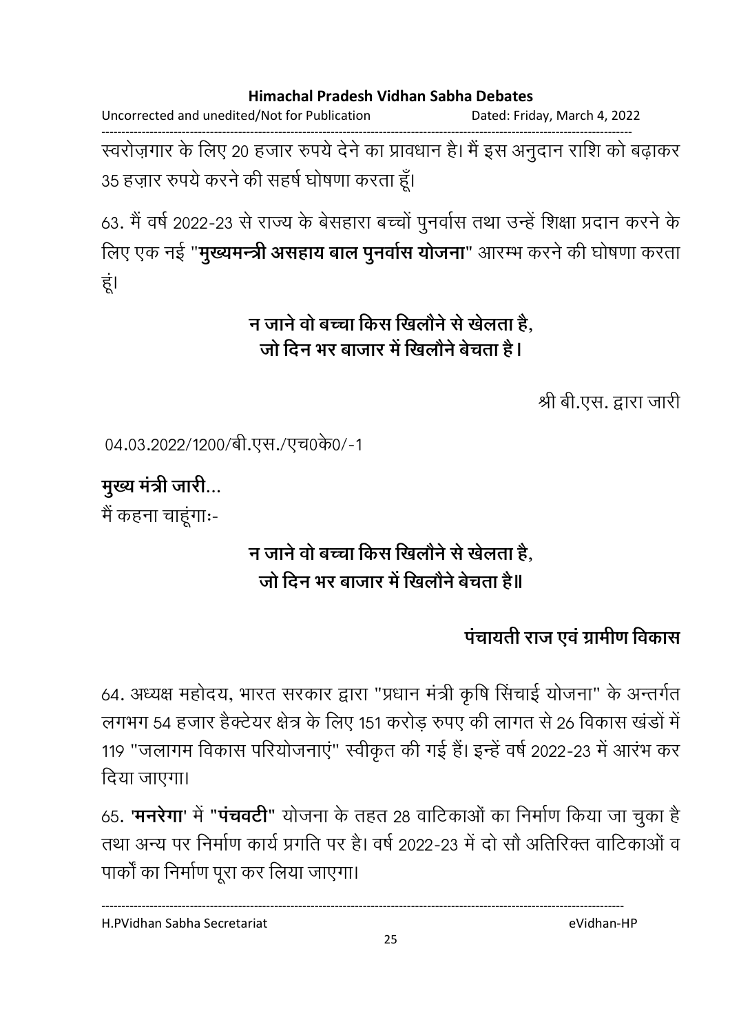Uncorrected and unedited/Not for Publication Dated: Friday, March 4, 2022

------------------------------------------------------------------------------------------------------------------------------------ स्वरोज़गार के लिए 20 हजार रुपये देने का प्रावधान है। मैं इस अनुदान राशि को बढ़ाकर 35 हज़ार रुपये करने की सहर्ष घोषणा करता हूँ।

63. मैं वर्ष 2022-23 से राज्य के बेसहारा बच्चों पुनर्वास तथा उन्हें शिक्षा प्रदान करने के लिए एक नई "**मुख्यमन्त्री असहाय बाल पुनर्वास योजना**" आरम्भ करने की घोषणा करता हूं।

## न जाने वो बच्चा किस खिलौने से खेलता है, जो दिन भर बाजार में खिलौने बेचता है l

श्री बी.एस. द्वारा जारी

 $04.03.2022/1200$ /बी.एस./एच0के0/-1

**मुख्य मंत्री जारी...** 

मैं कहना चाहूंगाः-

# न जाने वो बच्चा किस खिलौने से खेलता है, जो दिन भर बाजार में खिलोने बेचता है॥

## पचायती राज एवं ग्रामीण विकास

64. अध्यक्ष महोदय, भारत सरकार द्वारा "प्रधान मंत्री कृषि सिचाई योजना" के अन्तर्गत लगभग 54 हजार हैक्टेयर क्षेत्र के लिए 151 करोड़ रुपए की लागत से 26 विकास खंडों में 119 "जलागम विकास परियोजनाएं" स्वीकृत की गई हैं। इन्हें वर्ष 2022-23 में आरंभ कर दिया जाएगा।

65**. 'मनरेगा'** में **"पचवर्टी"** योजना के तहत 28 वार्टिकाओं का निर्माण किया जा चुका है तथा अन्य पर निर्माण कार्य प्रगति पर है। वर्ष 2022-23 में दो सौ अतिरिक्त वार्टिकाओं व पार्कों का निर्माण पूरा कर लिया जाएगा।

H.PVidhan Sabha Secretariat eVidhan-HP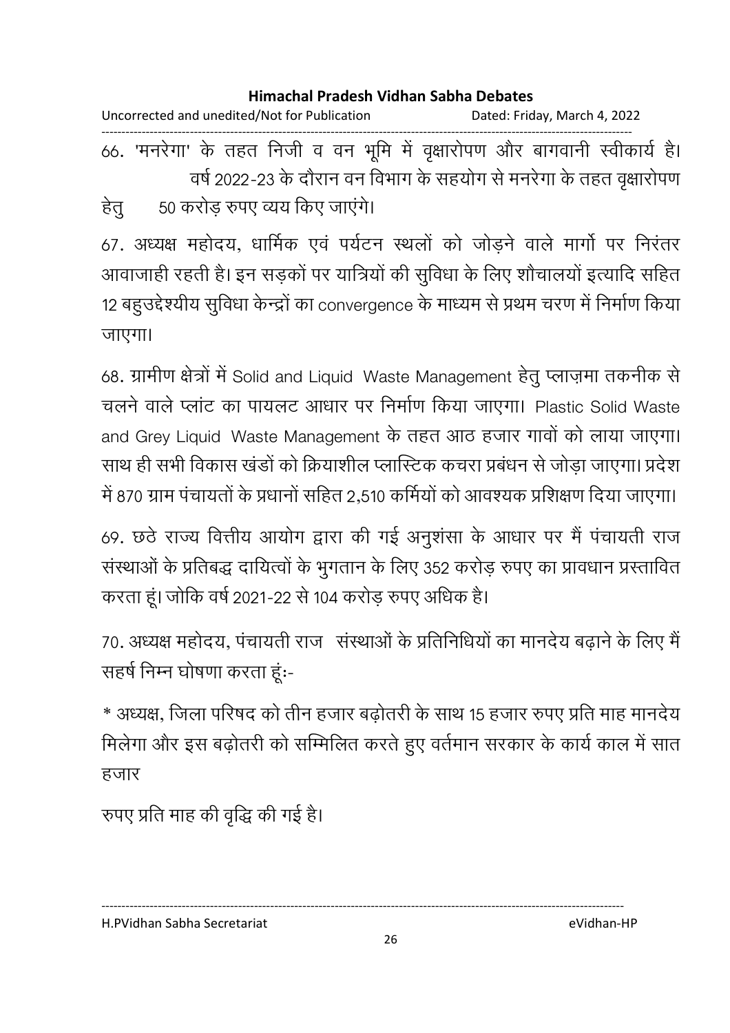| Uncorrected and unedited/Not for Publication |  |  |  |  |  |  |  | Dated: Friday, March 4, 2022                                               |  |  |  |  |
|----------------------------------------------|--|--|--|--|--|--|--|----------------------------------------------------------------------------|--|--|--|--|
|                                              |  |  |  |  |  |  |  | 66. 'मनरेगा' के तहत निजी व वन भूमि में वृक्षारोपण और बागवानी स्वीकार्य है। |  |  |  |  |
|                                              |  |  |  |  |  |  |  | वर्ष 2022-23 के दौरान वन विभाग के सहयोग से मनरेगा के तहत वृक्षारोपण        |  |  |  |  |

हेतु 50 करोड़ रुपए व्यय किए जाएंगे।

67. अध्यक्ष महोदय, धार्मिक एवं पर्यटन स्थलों को जोड़ने वाले मांगों पर निरंतर आवाजाही रहती है। इन सड़कों पर यात्रियों की सूविधा के लिए शौचालयों इत्यादि सहित 12 बहुउद्देश्यीय सुविधा केन्द्रों का convergence के माध्यम से प्रथम चरण में निर्माण किया जाएगा।

68. ग्रामीण क्षेत्रों में Solid and Liquid Waste Management हेतु प्लाज़मा तकनीक से चलने वाले प्लांट का पायलट आधार पर निर्माण किया जाएगा। Plastic Solid Waste and Grey Liquid Waste Management के तहत आठ हजार गावों को लाया जाएगा। साथ ही सभी विकास खंडों को क्रियाशील प्लास्टिक कचरा प्रबंधन से जोड़ा जाएगा। प्रदेश में 870 ग्राम पंचायतों के प्रधानों सहित 2,510 कर्मियों को आवश्यक प्रशिक्षण दिया जाएगा।

69. छंठे राज्य वित्तीय आयोग द्वारा की गई अनुशंसा के आधार पर मैं पंचायती राज संस्थाओं के प्रतिबद्ध दायित्वों के भुगतान के लिए 352 करोड़ रुपए का प्रावधान प्रस्तावित करता हूं। जोकि वर्ष 2021-22 से 104 करोड़ रुपए अधिक है।

70. अध्यक्ष महोदय, पंचायती राज संस्थाओं के प्रतिनिधियों का मानदेय बढ़ाने के लिए मैं सहर्ष निम्न घोषणा करता हूं:-

\* अध्यक्ष, जिला परिषद को तीन हजार बढ़ोतरी के साथ 15 हजार रुपए प्रति माह मानदेय मिलेगा और इस बढ़ोतरी को सम्मिलित करते हुए वर्तमान सरकार के कार्य काल में सात हजार

रुपए प्रति माह की वृद्धि की गई है।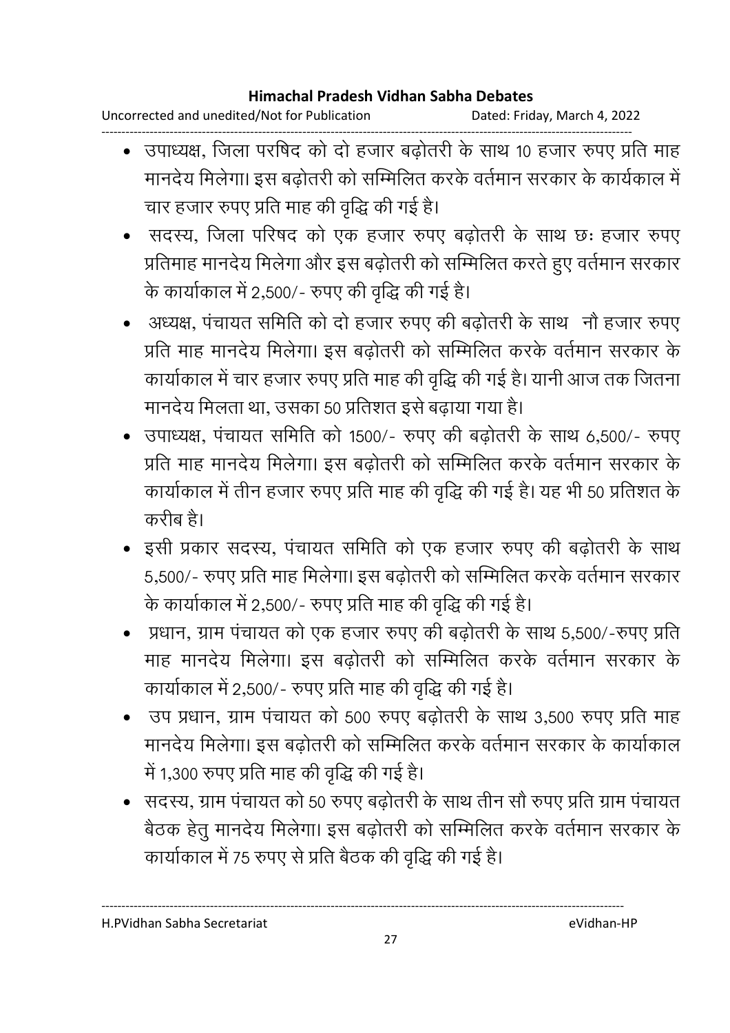Uncorrected and unedited/Not for Publication Dated: Friday, March 4, 2022

- ------------------------------------------------------------------------------------------------------------------------------------ • उपाध्यक्ष, जिला परषिद को दो हजार बढ़ोतरी के साथ 10 हजार रुपए प्रति माह मानदेय मिलेगा। इस बढोतरी को सम्मिलित करके वर्तमान सरकार के कार्यकाल में चार हजार रुपए प्रति माह की वृद्धि की गई है।
	- सदस्य, जिला परिषद को एक हजार रुपए बढ़ोतरी के साथ छः हजार रुपए प्रतिमाह मानदेय मिलेगा और इस बढ़ोतरी को सम्मिलित करते हुए वर्तमान सरकार के कार्याकाल में 2,500/- रुपए की वृद्धि की गई है।
	- अध्यक्ष, पंचायत समिति को दो हजार रुपए की बढ़ोतरी के साथ नौ हजार रुपए प्रति माह मानदेय मिलेगा। इस बढ़ोतरी को सम्मिलित करके वर्तमान सरकार के कार्याकाल में चार हजार रुपए प्रति माह की वृद्धि की गई है। यानी आज तक जितना मानदेय मिलता था, उसका 50 प्रतिशत इसे बढ़ाया गया है।
	- उपाध्यक्ष, पंचायत समिति को 1500/- रुपए की बढोतरी के साथ 6,500/- रुपए प्रति माह मानदेय मिलेगा। इस बढ़ोतरी को सम्मिलित करके वर्तमान सरकार के कार्याकाल में तीन हजार रुपए प्रति माह की वृद्धि की गई है। यह भी 50 प्रतिशत के करीब है।
	- इसी प्रकार सदस्य, पंचायत समिति को एक हजार रुपए की बढ़ोतरी के साथ 5,500/- रुपए प्रति माह मिलेगा। इस बढ़ोतरी को सम्मिलित करके वर्तमान सरकार के कार्याकाल में 2,500/- रुपए प्रति माह की वृद्धि की गई है।
	- प्रधान, ग्राम पंचायत को एक हजार रुपए की बढ़ोतरी के साथ 5,500/-रुपए प्रति माह मानदेय मिलेगा। इस बढ़ोतरी को सम्मिलित करके वर्तमान सरकार के कार्याकाल में 2,500/- रुपए प्रति माह की वृद्धि की गई है।
	- उप प्रधान, ग्राम पंचायत को 500 रुपए बढ़ोतरी के साथ 3,500 रुपए प्रति माह मानदेय मिलेगा। इस बढ़ोतरी को सम्मिलित करके वर्तमान सरकार के कार्याकाल में 1,300 रुपए प्रति माह की वृद्धि की गई है।
	- सदस्य, ग्राम पंचायत को 50 रुपए बढ़ोतरी के साथ तीन सौ रुपए प्रति ग्राम पंचायत बैठक हेतु मानदेय मिलेगा। इस बढ़ोतरी को सम्मिलित करके वर्तमान सरकार के कार्याकाल में 75 रुपए से प्रति बैठक की वृद्धि की गई है।

H.PVidhan Sabha Secretariat eVidhan-HP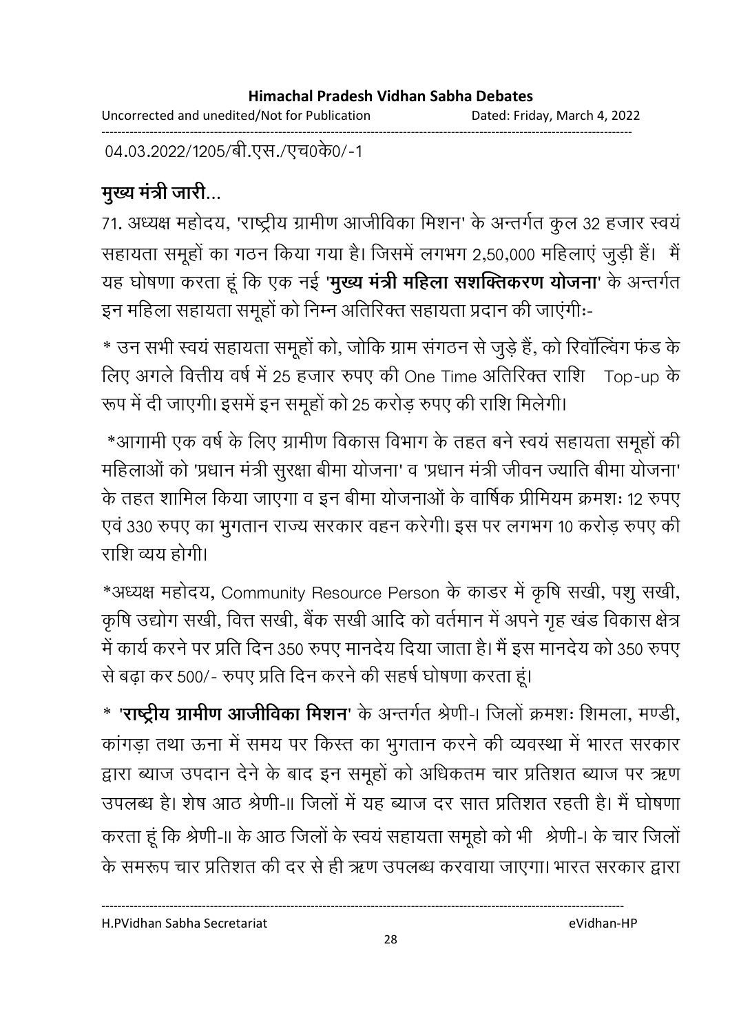Uncorrected and unedited/Not for Publication Dated: Friday, March 4, 2022 ------------------------------------------------------------------------------------------------------------------------------------

04.03.2022/1205/बी.एस./एच0के0/-1

# मुख्य मंत्री जारी...

71. अध्यक्ष महोदय, 'राष्ट्रीय ग्रामीण आजीविका मिशन' के अन्तर्गत कुल 32 हजार स्वय सहायता समूहों का गठन किया गया है। जिसमें लगभग 2,50,000 महिलाएं जुड़ी हैं। मैं यह घोषणा करता हूँ कि एक नई '**मुख्य मंत्री महिला संशक्तिकरण योजना**' के अन्तर्गत इन महिला सहायता समूहों को निम्न अतिरिक्त सहायता प्रदान की जाएगी:--

\* उन सभी स्वयं सहायता समूहों को, जोकि ग्राम संगठन से जुड़े हैं, को रिवॉल्विंग फंड के लिए अगले वित्तीय वर्ष में 25 हजार रुपए की One Time अतिरिक्त राशि Top-up के रूप में दी जाएगी। इसमें इन समूहों को 25 करोड़ रुपए की राशि मिलेगी।

\*आगामी एक वर्ष के लिए ग्रामीण विकास विभाग के तहत बने स्वयं सहायता समूहों की महिलाओं को 'प्रधान मंत्री सुरक्षा बीमा योजना' व 'प्रधान मंत्री जीवन ज्याति बीमा योजना' के तहत शामिल किया जाएगा व इन बीमा योजनाओं के वार्षिक प्रीमियम क्रमशः 12 रुपए एवं 330 रुपए का भुगतान राज्य सरकार वहन करेगी। इस पर लगभग 10 करोड़ रुपए की राशि व्यय होगी।

\*अध्यक्ष महोदय, Community Resource Person के कांडर में कृषि सखी, पशु सखी, कृषि उद्योग संखी, वित्त संखी, बैंक संखी आदि को वर्तमान में अपने गृह खंड विकास क्षेत्र में कार्य करने पर प्रति दिन 350 रुपए मानदेय दिया जाता है। मैं इस मानदेय को 350 रुपए से बढ़ा कर 500/- रुपए प्रति दिन करने की सहर्ष घोषणा करता हूं।

<u>\* '**राष्ट्रीय ग्रामीण आजीविका मिशन**' के अन्तर्गत श्रेणी-। जिलो क्रमशः शिमला, मण्डी, </u> कांगड़ा तथा ऊना में समय पर किस्त का भुगतान करने की व्यवस्था में भारत सरकार द्वारा ब्याज उपदान देने के बाद इन समूहों को अधिकतम चार प्रतिशत ब्याज पर ऋण उपलब्ध है। शेष आठ श्रेणी-॥ जिलों में यह ब्याज दर सात प्रतिशत रहती है। मैं घोषणा करता हूं कि श्रेणी-II के आठ जिलों के स्वयं सहायता समूहो को भी श्रेणी-I के चार जिलों के समरूप चार प्रतिशत की दर से ही ऋण उपलब्ध करवाया जाएगा। भारत सरकार द्वारा

H.PVidhan Sabha Secretariat eVidhan-HP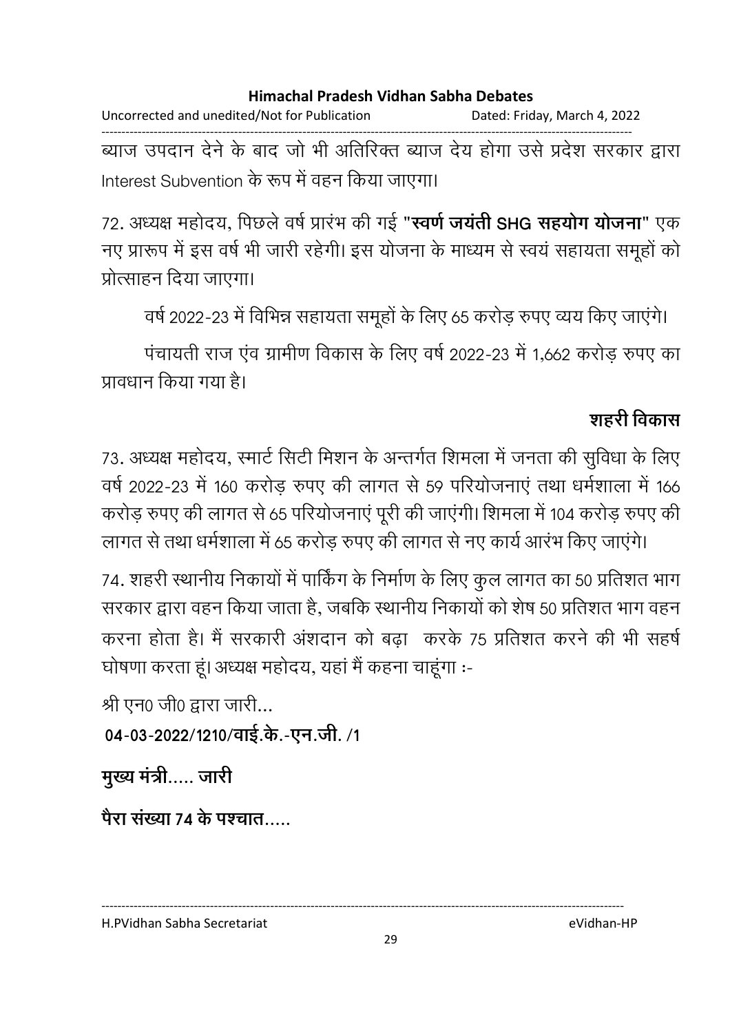Uncorrected and unedited/Not for Publication Dated: Friday, March 4, 2022 ------------------------------------------------------------------------------------------------------------------------------------ ब्याज उपदान देने के बाद जो भी अतिरिक्त ब्याज देय होगा उसे प्रदेश सरकार द्वारा

Interest Subvention के रूप में वहन किया जाएगा।

72. अध्यक्ष महोदय, पिछले वर्ष प्रारभ की गई "**स्वर्ण जयती SHG सहयोग योजना**" एक नए प्रारूप में इस वर्ष भी जारी रहेगी। इस योजना के माध्यम से स्वयं सहायता समूहों को प्रोत्साहन दिया जाएगा।

वर्ष 2022-23 में विभिन्न सहायता समूहों के लिए 65 करोड़ रुपए व्यय किए जाएंगे।

पंचायती राज एंव ग्रामीण विकास के लिए वर्ष 2022-23 में 1,662 करोड़ रुपए का प्रावधान किया गया है।

### <u>शहरी विकास</u>

73. अध्यक्ष महोदय, स्मार्ट सिटी मिशन के अन्तर्गत शिमला में जनता की सुविधा के लिए वर्ष 2022-23 में 160 करोड़ रुपए की लागत से 59 परियोजनाएं तथा धर्मशाला में 166 करोड़ रुपए की लागत से 65 परियोजनाएं पूरी की जाएंगी। शिमला में 104 करोड़ रुपए की लागत से तथा धर्मशाला में 65 करोड़ रुपए की लागत से नए कार्य आरंभ किए जाएंगे।

74. शहरी स्थानीय निकायों में पार्किंग के निर्माण के लिए कुल लागत का 50 प्रतिशत भाग सरकार द्वारा वहन किया जाता है, जबकि स्थानीय निकायों को शेष 50 प्रतिशत भाग वहन करना होता है। मैं सरकारी अशदान को बढ़ा ँ करके 75 प्रतिशत करने की भी सहर्ष घोषणा करता हू। अध्यक्ष महोदय, यहां मैं कहना चाहूंगा :-

श्री एन $0$  जी $0$  द्वारा जारी...

04-03-2022/1210/वाई.के.-एन.जी. /1

**मुख्य मंत्री.....** जारी

पैरा संख्या 74 के पश्चात…..

H.PVidhan Sabha Secretariat eVidhan-HP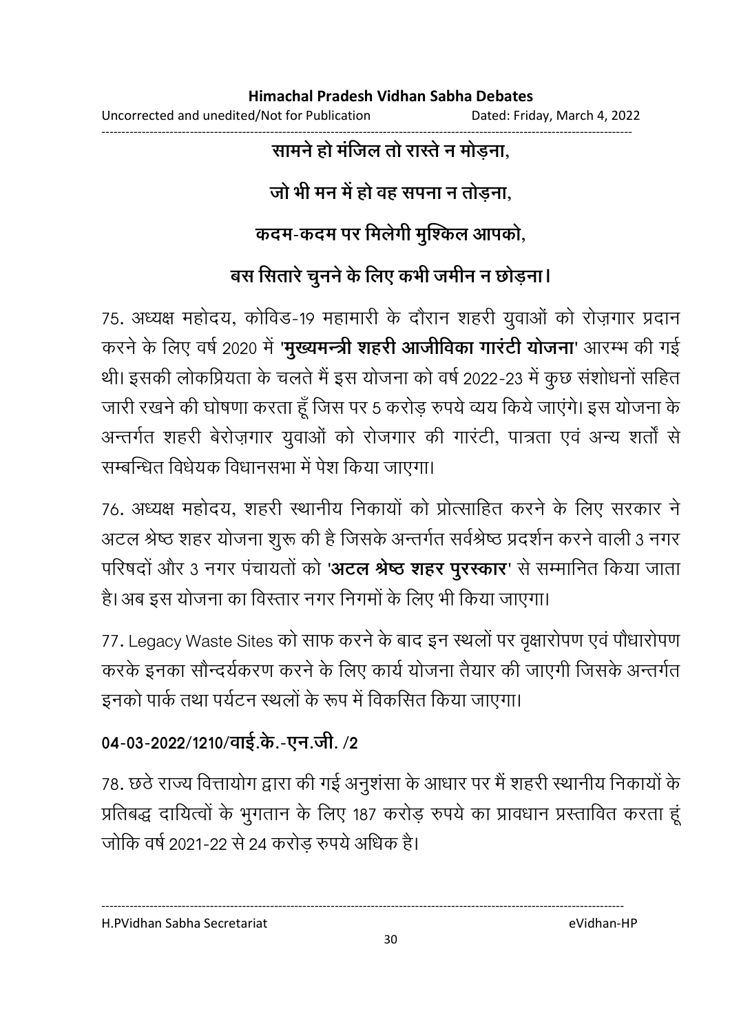#### ------------------------------------------------------------------------------------------------------------------------------------ सामने हो मजिल तो रास्ते न मोड़ना,

# जो भी मन में हो वह सपना न तोड़ना,

## कदम-कदम पर मिलेगी मुश्किल आपको,

# बस सितारे चुनने के लिए कभी जमीन न छोड़ना।

75. अध्यक्ष महोदय, कोविंड-19 महामारी के दौरान शहरी युवाओं को रोज़गार प्रदान करने के लिए वर्ष 2020 में '**मुख्यमन्त्री शहरी आजीविका गारटी योजना**' आरम्भ की गई थी। इसकी लोकप्रियता के चलते मैं इस योजना को वर्ष 2022-23 में कुछ संशोधनों सहित जारी रखने की घोषणा करता हूँ जिस पर 5 करोड़ रुपये व्यय किये जाएंगे। इस योजना के अन्तर्गत शहरी बेरोज़गार युवाओं को रोजगार की गारटी, पात्रता एवं अन्य शतों से सम्बन्धित विधेयक विधानसभा में पेश किया जाएगा।

76. अध्यक्ष महोदय, शहरी स्थानीय निकार्या को प्रोत्साहित करने के लिए सरकार ने अटल श्रेष्ठ शहर योजना शुरू की है जिसके अन्तर्गत सर्वश्रेष्ठ प्रदर्शन करने वाली 3 नगर परिषदों और 3 नगर पंचायतों को '**अटल श्रेष्ठ शहर पुरस्कार**' से सम्मानित किया जाता हैं। अब इस योजना का विस्तार नगर निगमों के लिए भी किया जाएगा।

77. Legacy Waste Sites को साफ करने के बाद इन स्थलों पर वृक्षारोपण एवं पौधारोपण करके इनका सौन्दर्यकरण करने के लिए कार्य योजना तैयार की जाएगी जिसके अन्तर्गत इनको पार्क तथा पर्यटन स्थलों के रूप में विकसित किया जाएगा।

## 04-03-2022/1210/वाई.के.-एन.जी. /2

78. छठे राज्य वित्तायोग द्वारा की गई अनुशंसा के आधार पर मैं शहरी स्थानीय निकार्यों के प्रतिबद्ध दायित्वों के भूगतान के लिए 187 करोड़ रुपये का प्रावधान प्रस्तावित करता हूं जोकि वर्ष 2021-22 से 24 करोड़ रुपये अधिक है।

H.PVidhan Sabha Secretariat eVidhan-HP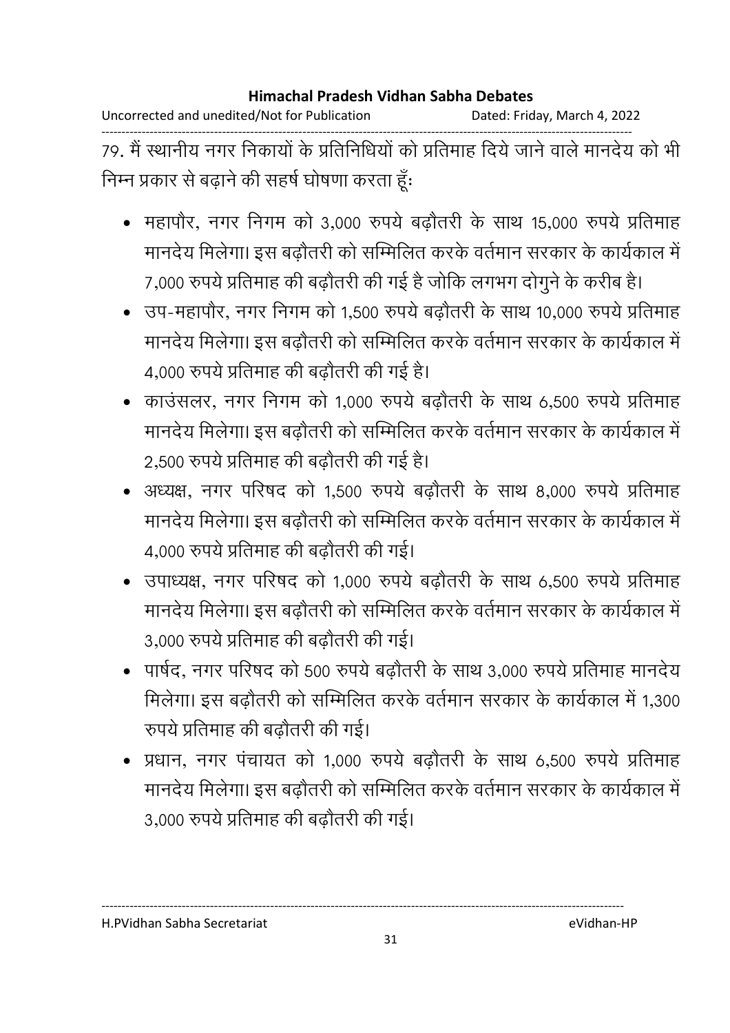Uncorrected and unedited/Not for Publication Dated: Friday, March 4, 2022

------------------------------------------------------------------------------------------------------------------------------------ 79. मैं स्थानीय नगर निकायों के प्रतिनिधियों को प्रतिमाह दिये जाने वाले मानदेय को भी निम्न प्रकार से बढ़ाने की सहर्ष घोषणा करता हूँ:

- महापौर, नगर निगम को 3,000 रुपये बढ़ौतरी के साथ 15,000 रुपये प्रतिमाह मानदेय मिलेगा। इस बढ़ौतरी को सम्मिलित करके वर्तमान सरकार के कार्यकाल में 7,000 रुपये प्रतिमाह की बढ़ौतरी की गई है जोकि लगभग दोगुने के करीब है।
- उप-महापौर, नगर निगम को 1.500 रुपये बढौतरी के साथ 10,000 रुपये प्रतिमाह मानदेय मिलेगा। इस बढौतरी को सम्मिलित करके वर्तमान सरकार के कार्यकाल में 4,000 रुपये प्रतिमाह की बढ़ौतरी की गई है।
- काउंसलर, नगर निगम को 1,000 रुपये बढौतरी के साथ 6,500 रुपये प्रतिमाह मानदेय मिलेगा। इस बढौतरी को सम्मिलित करके वर्तमान सरकार के कार्यकाल में 2,500 रुपये प्रतिमाह की बढ़ौतरी की गई है।
- अध्यक्ष, नगर परिषद को 1,500 रुपये बढ़ौतरी के साथ 8,000 रुपये प्रतिमाह मानदेय मिलेगा। इस बढौतरी को सम्मिलित करके वर्तमान सरकार के कार्यकाल में 4,000 रुपये प्रतिमाह की बढ़ौतरी की गई।
- उपाध्यक्ष, नगर परिषद को 1,000 रुपये बढ़ौतरी के साथ 6,500 रुपये प्रतिमाह मानदेय मिलेगा। इस बढ़ौतरी को सम्मिलित करके वर्तमान सरकार के कार्यकाल में 3,000 रुपये प्रतिमाह की बढ़ौतरी की गई।
- पार्षद, नगर परिषद को 500 रुपये बढ़ौतरी के साथ 3,000 रुपये प्रतिमाह मानदेय मिलेगा। इस बढ़ौतरी को सम्मिलित करके वर्तमान सरकार के कार्यकाल में 1,300 रुपये प्रतिमाह की बढ़ौतरी की गई।
- प्रधान, नगर पंचायत को 1,000 रुपये बढौतरी के साथ 6,500 रुपये प्रतिमाह मानदेय मिलेगा। इस बढौतरी को सम्मिलित करके वर्तमान सरकार के कार्यकाल में 3,000 रुपये प्रतिमाह की बढ़ौतरी की गई।

H.PVidhan Sabha Secretariat eVidhan-HP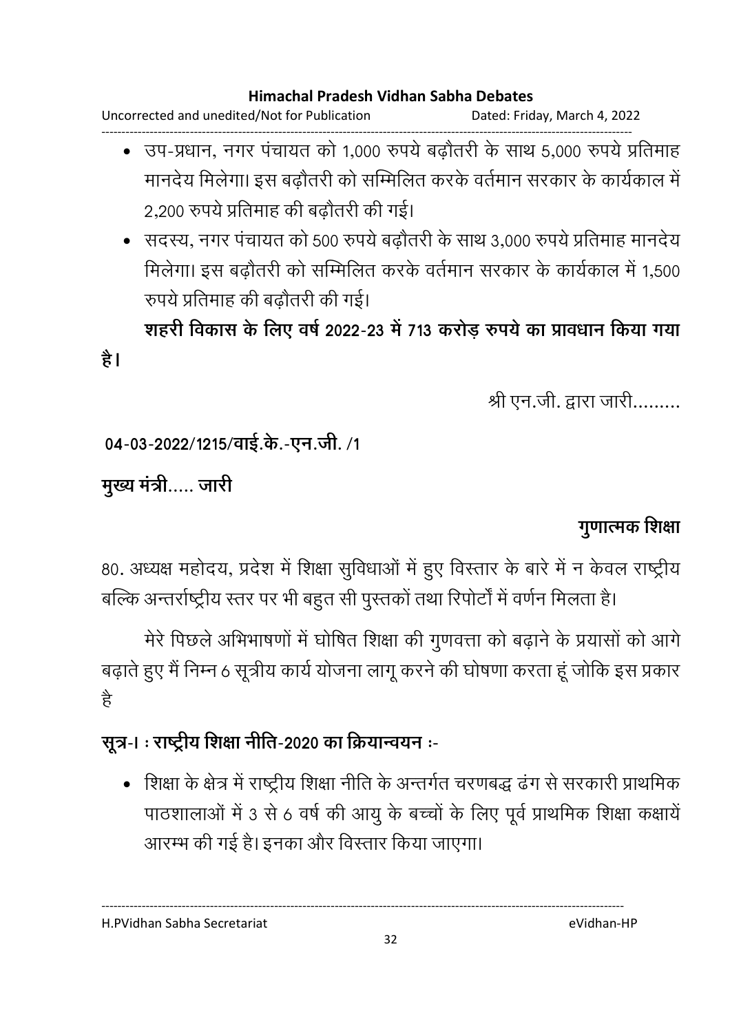Uncorrected and unedited/Not for Publication Dated: Friday, March 4, 2022

- ------------------------------------------------------------------------------------------------------------------------------------ • उप-प्रधान, नगर पंचायत को 1,000 रुपये बढ़ौतरी के साथ 5,000 रुपये प्रतिमाह मानदेय मिलेगा। इस बढ़ौतरी को सम्मिलित करके वर्तमान सरकार के कार्यकाल में 2,200 रुपये प्रतिमाह की बढ़ौतरी की गई।
	- . सदस्य, नगर पंचायत को 500 रुपये बढोतरी के साथ 3,000 रुपये प्रतिमाह मानदेय मिलेगा। इस बढ़ौतरी को सम्मिलित करके वर्तमान सरकार के कार्यकाल में 1,500 रुपये प्रतिमाह की बढ़ौतरी की गई।

शहरी विकास के लिए वर्ष 2022-23 में 713 करोड़ रुपये का प्रावधान किया गया

श्री एन.जी. द्वारा जारी.........

04-03-2022/1215/वाई.के.-एन.जी. /1

मुख्य मंत्री..... जारी

है।

### <u>गुणात्मक शिक्षा</u>

80. अध्यक्ष महोदय, प्रदेश में शिक्षा सुर्विधाओं में हुए विस्तार के बारे में न केवल राष्ट्रीय बल्कि अन्तर्राष्ट्रीय स्तर पर भी बहुत सी पुस्तको तथा रिपोर्टो में वर्णन मिलता है।

मेरे पिछले अभिभाषणों में घोषित शिक्षा की गुणवत्ता को बढ़ाने के प्रयासों को आगे बढ़ाते हुए मैं निम्न 6 सूत्रीय कार्य योजना लागू करने की घोषणा करता हूं जोकि इस प्रकार है

### सूत्र-। : राष्ट्रीय शिक्षा नीति-2020 का क्रियान्वयन **:-**

• शिक्षा के क्षेत्र में राष्ट्रीय शिक्षा नीति के अन्तर्गत चरणबद्ध ढंग से सरकारी प्राथमिक पाठशालाओं में 3 से 6 वर्ष की आयु के बच्चों के लिए पूर्व प्राथमिक शिक्षा कक्षायें आरम्भ की गई है। इनका और विस्तार किया जाएगा।

H.PVidhan Sabha Secretariat eVidhan-HP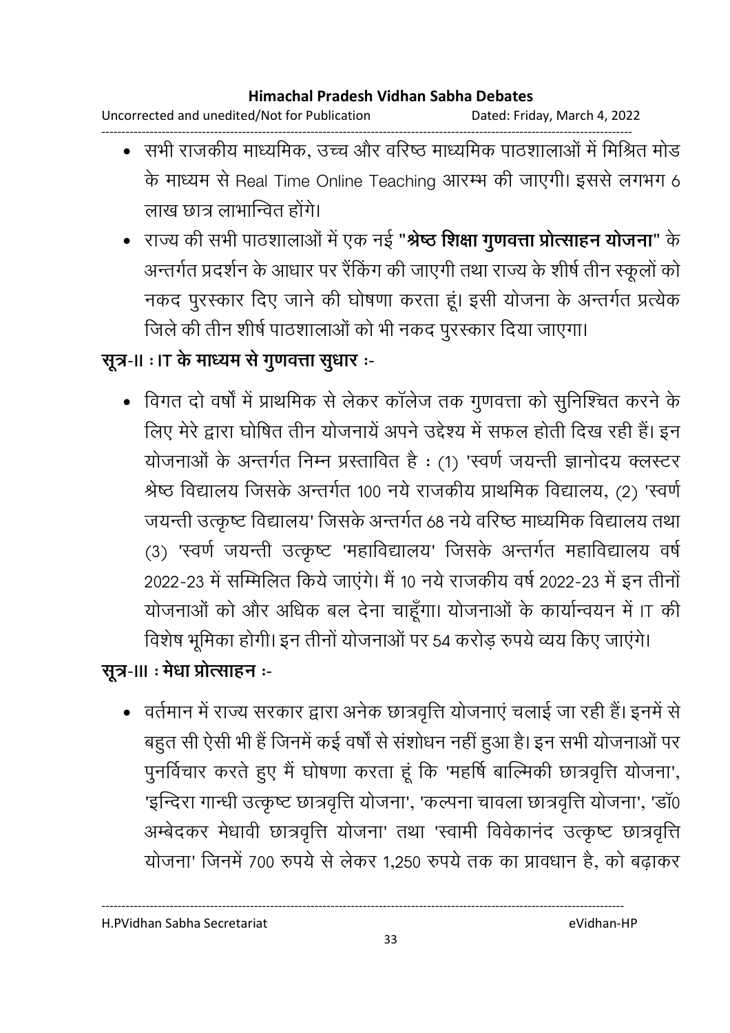Uncorrected and unedited/Not for Publication Dated: Friday, March 4, 2022 ------------------------------------------------------------------------------------------------------------------------------------

- सभी राजकीय माध्यमिक, उच्च और वरिष्ठ माध्यमिक पाठशालाओं में मिश्रित मोड के माध्यम से Real Time Online Teaching आरम्भ की जाएगी। इससे लगभग 6 लाख छात्र लाभान्वित होंगे।
- राज्य की सभी पाठशालाओं में एक नई "**श्रेष्ठ शिक्षा गुणवत्ता प्रोत्साहन योजना**" के अन्तर्गत प्रदर्शन के आधार पर रैंकिंग की जाएगी तथा राज्य के शीर्ष तीन स्कूलों को नकद पुरस्कार दिए जाने की घोषणा करता हूं। इसी योजना के अन्तर्गत प्रत्येक जिले की तीन शीर्ष पाठशालाओं को भी नकद पुरस्कार दिया जाएगा।

### सूत्र-II : IT के माध्यम से गुणवत्ता सुधार :-

• विगत दो वर्षों में प्राथमिक से लेकर कॉलेज तक गुणवत्ता को सुनिश्चित करने के लिए मेरे द्वारा घोषित तीन योजनाये अपने उद्देश्य में सफल होती दिख रही है। इन योजनाओं के अन्तर्गत निम्न प्रस्तावित है : (1) 'स्वर्ण जयन्ती ज्ञानोदय क्लस्टर श्रेष्ठ विद्यालय जिसके अन्तर्गत १०० नये राजकीय प्राथमिक विद्यालय, (2) 'स्वर्ण जयन्ती उत्कृष्ट विद्यालय' जिसके अन्तर्गत 68 नये वरिष्ठ माध्यमिक विद्यालय तथा। (3) 'स्वर्ण जयन्ती उत्कृष्ट 'महाविद्यालय' जिसके अन्तर्गत महाविद्यालय वर्षे 2022-23 में सम्मिलित किये जाएंगे। मैं 10 नये राजकीय वर्ष 2022-23 में इन तीनों योजनाओं को और अधिक बल देना चाहूंगा। योजनाओं के कार्यान्वयन में IT की विशेष भूमिका होगी। इन तीनों योजनाओं पर 54 करोड़ रुपये व्यय किए जाएंगे।

### सूत्र-III ः मेधा प्रोत्साहन ः-

• वर्तमान में राज्य सरकार द्वारा अनेक छात्रवृत्ति योजनाएं चलाई जा रही हैं। इनमें से बहुत सी ऐसी भी हैं जिनमें कई वर्षों से संशोधन नहीं हुआ है। इन सभी योजनाओं पर पुनर्विचार करते हुए मैं घोषणा करता हूं कि 'महर्षि बाल्मिकी छात्रवृत्ति योजना', 'इन्दिरा गान्धी उत्कृष्ट छात्रवृत्ति योजना', 'कल्पना चावला छात्रवृत्ति योजना', 'डाॅ0 अम्बेदकर मेधावी छात्रवृत्ति योजना' तथा 'स्वामी विवेकानद उत्कृष्ट छात्रवृत्ति | योजना' जिनमें 700 रुपये से लेकर 1,250 रुपये तक का प्रावधान है, को बढ़ाकर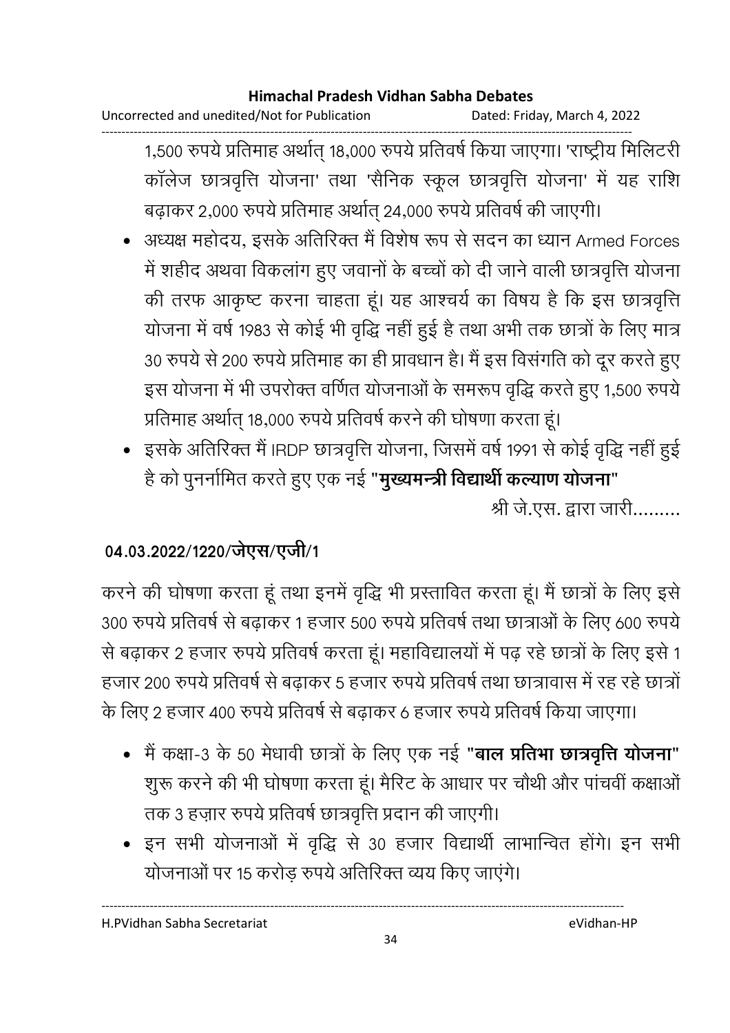Uncorrected and unedited/Not for Publication Dated: Friday, March 4, 2022

------------------------------------------------------------------------------------------------------------------------------------ 1,500 रुपये प्रतिमाह अर्थात् 18,000 रुपये प्रतिवर्ष किया जाएगा। 'राष्ट्रीय मिलिटरी' कॉलेज छात्रवृत्ति योजना' तथा 'सैनिक स्कूल छात्रवृत्ति योजना' में यह राशि बढ़ाकर 2,000 रुपये प्रतिमाह अर्थात् 24,000 रुपये प्रतिवर्ष की जाएगी।

- अध्यक्ष महोदय, इसके अतिरिक्त मैं विशेष रूप से सदन का ध्यान Armed Forces में शहीद अथवा विकलांग हुए जवानों के बच्चों को दी जाने वाली छात्रवृत्ति योजना की तरफ आकृष्ट करना चाहता हूं। यह आश्चर्य का विषय है कि इस छात्रवृत्ति योजना में वर्ष 1983 से कोई भी वृद्धि नहीं हुई हैं तथा अभी तक छात्रों के लिए मात्र 30 रुपये से 200 रुपये प्रतिमाह का ही प्रावधान है। मैं इस विसंगति को दूर करते हुए इस योजना में भी उपरोक्त वर्णित योजनाओं के समरूप वृद्धि करते हुए 1,500 रुपये प्रतिमाह अर्थात् १८,००० रुपर्य प्रतिवर्ष करने की घोषणा करता हूं।
- •) इसके अतिरिक्त मैं IRDP छात्रवृत्ति योजना, जिसमें वर्ष 1991 से कोई वृद्धि नहीं हुई है को पुनर्नामित करते हुए एक नई "**मुख्यमन्त्री विद्यार्थी कल्याण योजना**" श्री जे.एस. द्वारा जारी.........

### 04.03.2022/1220/जेएस/एजी/1

करने की घोषणा करता हूं तथा इनमें वृद्धि भी प्रस्तावित करता हूं। मैं छात्रों के लिए इसे 300 रुपये प्रतिवर्ष से बढाकर 1 हजार 500 रुपये प्रतिवर्ष तथा छात्राओं के लिए 600 रुपये से बढ़ाकर 2 हजार रुपये प्रतिवर्ष करता हूं। महाविद्यालयों में पढ़ रहे छात्रों के लिए इसे 1 हजार 200 रुपये प्रतिवर्ष से बढाकर 5 हजार रुपये प्रतिवर्ष तथा छात्रावास में रह रहे छात्रों के लिए 2 हजार 400 रुपये प्रतिवर्ष से बढ़ाकर 6 हजार रुपये प्रतिवर्ष किया जाएगा।

- मैं कक्षा-3 के 50 मेधावी छात्रों के लिए एक नई "**बाल प्रतिभा छात्रवृत्ति योजना**" शूरू करने की भी घोषणा करता हूं। मैरिट के आधार पर चौथी और पांचवीं कक्षाओं तक 3 हज़ार रुपये प्रतिवर्ष छात्रवृत्ति प्रदान की जाएगी।
- इन सभी योजनाओं में वृद्धि से 30 हजार विद्यार्थी लाभान्वित होंगे। इन सभी योजनाओं पर 15 करोड़ रुपये अतिरिक्त व्यय किए जाएंगे।

H.PVidhan Sabha Secretariat eVidhan-HP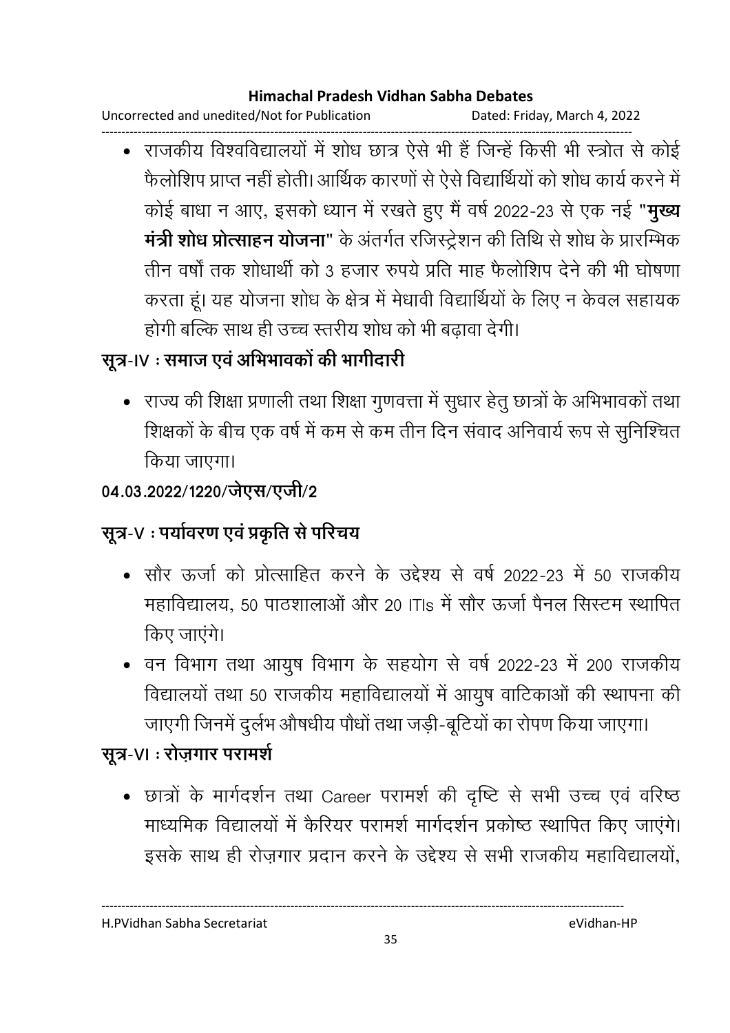Uncorrected and unedited/Not for Publication Dated: Friday, March 4, 2022

------------------------------------------------------------------------------------------------------------------------------------ • राजकीय विश्वविद्यालयों में शोध छात्र ऐसे भी हैं जिन्हें किसी भी स्त्रोत से कोई फैलोशिप प्राप्त नहीं होती। आर्थिक कारणों से ऐसे विद्यार्थियों को शोध कार्य करने में कोई बाधा न आए, इसको ध्यान में रखते हुए मैं वर्ष 2022-23 से एक नई "**मुख्य मंत्री शोध प्रोत्साहन योजना**" के अंतर्गत रजिस्ट्रेशन की तिथि से शोध के प्रारम्भिक तीन वर्षों तक शोधार्थी को 3 हजार रुपये प्रति माह फैलोशिप देने की भी घोषणा करता हूं। यह योजना शोध के क्षेत्र में मेधावी विद्यार्थियों के लिए न केवल सहायक होगी बल्कि साथ ही उच्च स्तरीय शोध को भी बढ़ावा देगी।

# सूत्र-IV : समाज एवं अभिभावकों की भागीदारी

• राज्य की शिक्षा प्रणाली तथा शिक्षा गुणवत्ता में सुधार हेतु छात्रों के अभिभावकों तथा शिक्षकों के बीच एक वर्ष में कम से कम तीन दिन सवाद अनिवायें रूप से सुनिश्चित किया जाएगा।

### 04.03.2022/1220/जेएस/एजी/2

# सूत्र-V ः पर्यावरण एव प्रकृति से परिचय

- सौर ऊर्जा को प्रोत्साहित करने के उद्देश्य से वर्ष 2022-23 में 50 राजकीय महाविद्यालय, 50 पाठशालाओं और 20 ITIs में सौर ऊर्जा पैनल सिस्टम स्थापित किए जाएंगे।
- वन विभाग तथा आयुष विभाग के सहयोग से वर्ष 2022-23 में 200 राजकीय विद्यालयों तथा 50 राजकीय महाविद्यालयों में आयुष वाटिकाओं की स्थापना की जाएगी जिनमें दुर्लभ औषधीय पौधों तथा जड़ी-बूटियों का रोपण किया जाएगा।

# सूत्र-**VI : रोज़गार परामर्श**

• छात्रों के मार्गदर्शन तथा Career परामर्श की दृष्टि से सभी उच्च एवं वरिष्ठ माध्यमिक विद्यालयों में कैरियर परामर्श मार्गदर्शन प्रकोष्ठ स्थापित किए जाएंगे। इसके साथ ही रोज़गार प्रदान करने के उद्देश्य से सभी राजकीय महाविद्यालयों,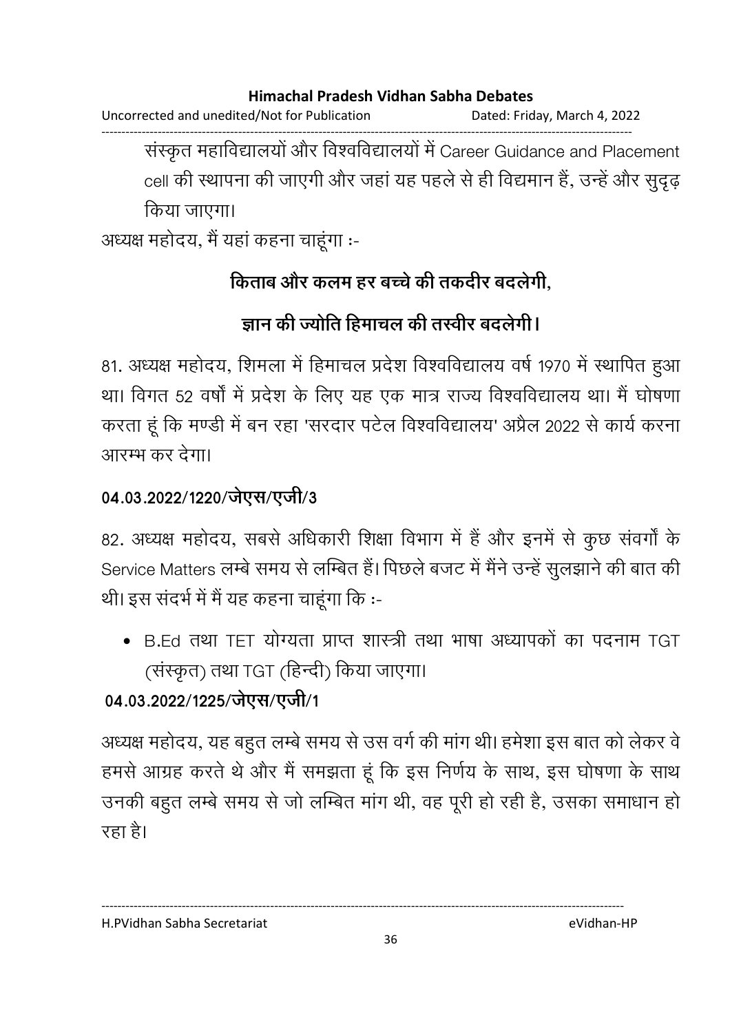Uncorrected and unedited/Not for Publication Dated: Friday, March 4, 2022

------------------------------------------------------------------------------------------------------------------------------------ संस्कृत महाविद्यालयों और विश्वविद्यालयों में Career Guidance and Placement cell की स्थापना की जाएगी और जहां यह पहले से ही विद्यमान हैं, उन्हें और सुदृढ़ किया जाएगा।

अध्यक्ष महोदय, मैं यहाँ कहना चाहूँगा :-

## किताब और कलम हर बच्चे की तकदीर बदलेगी,

## ज्ञान की ज्योति हिमाचल की तस्वीर बदलेगी।

81. अध्यक्ष महोदय, शिमला में हिमाचल प्रदेश विश्वविद्यालय वर्ष 1970 में स्थापित हुआ था। विगत 52 वर्षों में प्रदेश के लिए यह एक मात्र राज्य विश्वविद्यालय था। मैं घोषणा करता हूं कि मण्डी में बन रहा 'सरदार पटेल विश्वविद्यालय' अंप्रैल 2022 से कार्य करना आरम्भ कर देगा।

### 04.03.2022/1220/जेएस/एजी/3

82. अध्यक्ष महोदय, सबसे अधिकारी शिक्षा विभाग में है और इनमें से कुछ सवर्गा के Service Matters लम्बे समय से लम्बित हैं। पिछले बजट में मैंने उन्हें सुलझाने की बात की थी। इस संदर्भ में मैं यह कहना चाहूंगा कि :-

• B.Ed तथा TET योग्यता प्राप्त शास्त्री तथा भाषा अध्यापकों का पदनाम TGT (संस्कृत) तथा TGT (हिन्दी) किया जाएगा।

### 04.03.2022/1225/जेएस/एजी/1

अध्यक्ष महोदय, यह बहुत लम्बे समय से उस वर्ग की मांग थी। हमेशा इस बात को लेकर वे हमसे आग्रह करते थे और मैं समझता हूं कि इस निर्णय के साथ, इस घोषणा के साथ उनकी बहुत लम्बे समय से जो लम्बित मांग थी, वह पूरी हो रही है, उसका समाधान हो रहा है।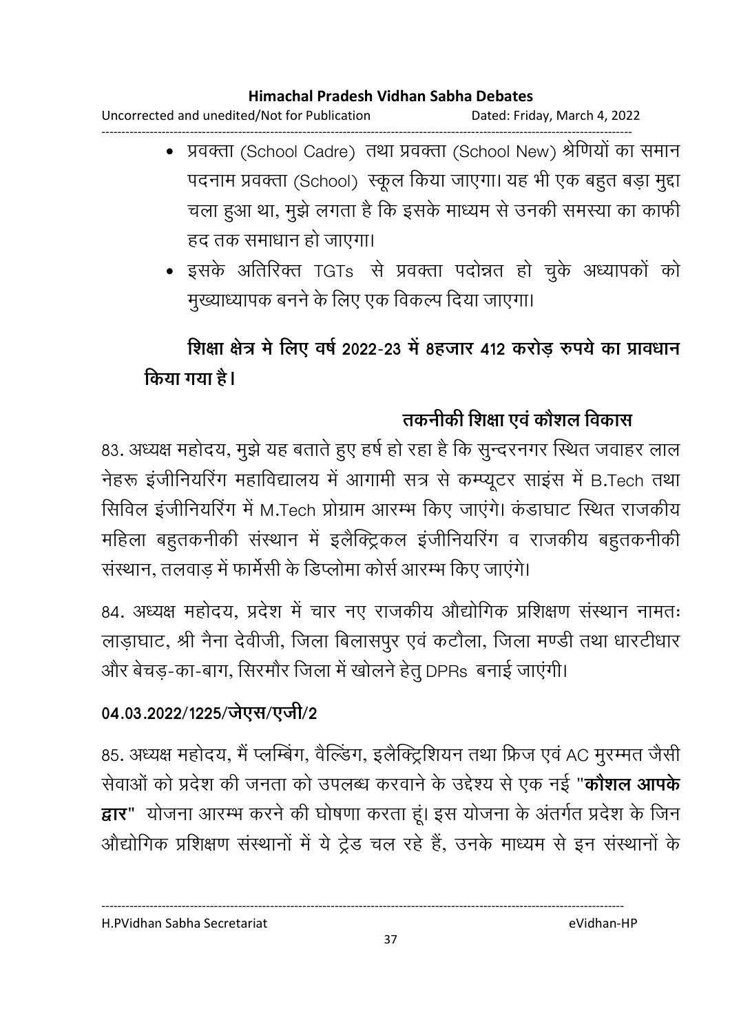Uncorrected and unedited/Not for Publication Dated: Friday, March 4, 2022 ------------------------------------------------------------------------------------------------------------------------------------

- प्रवक्ता (School Cadre) तथा प्रवक्ता (School New) श्रेणियों का समान पदनाम प्रवक्ता (School) स्कूल किया जाएगा। यह भी एक बहुत बड़ा मुद्दा चला हुआ था, मुझे लगता है कि इसके माध्यम से उनकी समस्या का काफी हद तक समाधान हो जाएगा।
- इसके अतिरिक्त TGTs से प्रवक्ता पदोन्नत हो चुके अध्यापकों को मुख्याध्यापक बनने के लिए एक विकल्प दिया जाएगा।

# शिक्षा क्षेत्र में लिए वर्ष 2022-23 में 8हजार 412 करोड़ रुपये का प्रावधान किया गया <del>है</del>।

# तकनीकी शिक्षा एवं कौशल विकास

83. अध्यक्ष महोदय, मुझे यह बताते हुए हर्ष हो रहा है कि सुन्दरनगर स्थित जवाहर लाल नेहरू इंजीनियरिंग महाविद्यालय में आगामी सत्र से कम्प्यूटर साइंस में B.Tech तथा सिविल इंजीनियरिंग में M.Tech प्रोग्राम आरम्भ किए जाएंगे। कंडाघाट स्थित राजकीय महिला बहुतकनीकी संस्थान में इलैक्ट्रिकल इंजीनियरिंग व राजकीय बहुतकनीकी संस्थान, तलवाड में फार्मेसी के डिप्लोमा कोर्स आरम्भ किए जाएंगे।

84. अध्यक्ष महोदय, प्रदेश में चार नए राजकीय ओद्योगिक प्रशिक्षण संस्थान नामतः लाड़ाघाट, श्री नैना देवीजी, जिला बिलासपुर एवं कटौला, जिला मण्डी तथा धारटीधार और बेचड़-का-बाग, सिरमौर जिला में खोलने हेतु DPRs बनाई जाएंगी।

## 04.03.2022/1225/जेएस/एजी/2

85. अध्यक्ष महोदय, मै प्लम्बिग, वैल्डिंग, इलैक्ट्रिशियन तथा फ्रिज एवं AC मुरम्मत जैसी सेवाओं को प्रदेश की जनता को उपलब्ध करवाने के उद्देश्य से एक नई "**कोशल आपके द्वार"** योजना आरम्भ करने की घोषणा करता हूं। इस योजना के अंतर्गत प्रदेश के जिन ओद्योगिक प्रशिक्षण संस्थानों में ये ट्रेड चल रहे हैं, उनके माध्यम से इन संस्थानों के

H.PVidhan Sabha Secretariat eVidhan-HP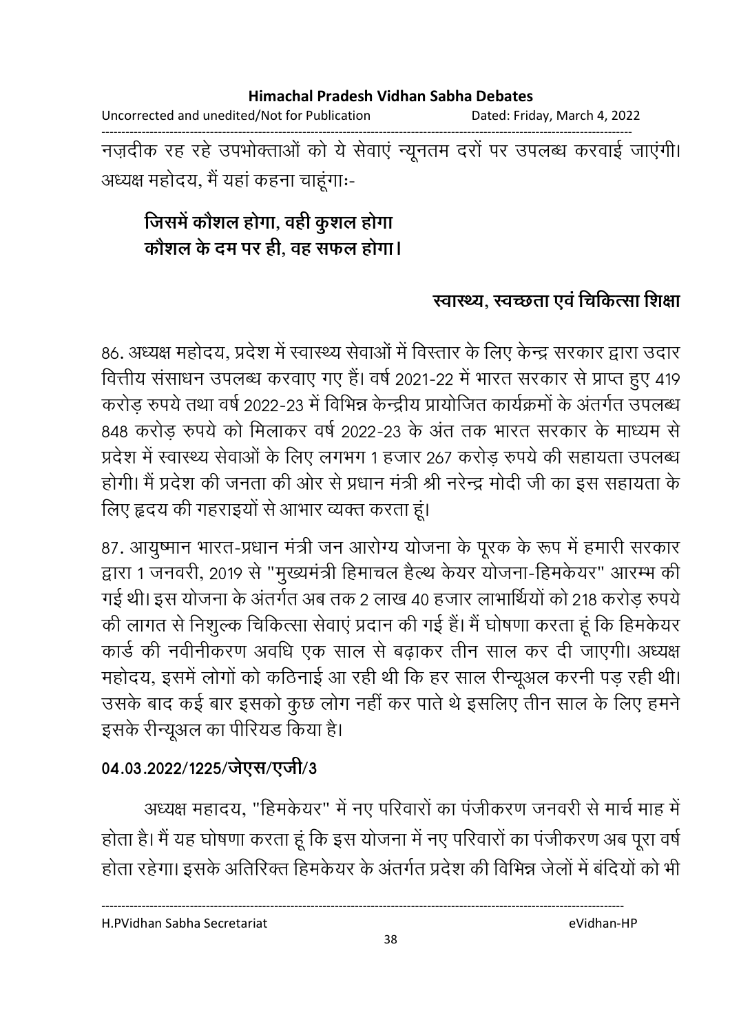Uncorrected and unedited/Not for Publication Dated: Friday, March 4, 2022

------------------------------------------------------------------------------------------------------------------------------------ नज़दीक रह रहे उपभोक्ताओं को ये सेवाए न्यूनतम दरों पर उपलब्ध करवाई जाएगी। अध्यक्ष महोदय, मैं यहाँ कहना चाहूँगाः-

# जिसमे कौशल होगा, वही कुशल होगा कौशल के दम पर ही, वह सफल होगा**।**

## स्वास्थ्य, स्वच्छता एव चिकित्सा शिक्षा

86. अध्यक्ष महोदय, प्रदेश में स्वास्थ्य सेवाओं में विस्तार के लिए केन्द्र सरकार द्वारा उदार वित्तीय संसाधन उपलब्ध करवाए गए हैं। वर्ष 2021-22 में भारत सरकार से प्राप्त हुए 419 करोड़ रुपये तथा वर्ष 2022-23 में विभिन्न केन्द्रीय प्रायोजित कार्यक्रमों के अंतर्गत उपलब्ध 848 करोड़ रुपये को मिलाकर वर्ष 2022-23 के अंत तक भारत सरकार के माध्यम से प्रदेश में स्वास्थ्य सेवाओं के लिए लगभग 1 हजार 267 करोड़ रुपये की सहायता उपलब्ध होगी। मैं प्रदेश की जनता की ओर से प्रधान मंत्री श्री नरेन्द्र मोदी जी का इस सहायता के लिए हृदय की गहराइयों से आभार व्यक्त करता हूं।

87. आयुष्मान भारत-प्रधान मंत्री जन आरोग्य योजना के पूरक के रूप में हमारी सरकार द्वारा 1 जनवरी, 2019 से "मुख्यमंत्री हिमाचल हैल्थ केयर योजना-हिमकेयर" आरम्भ की गई थी। इस योजना के अंतर्गत अब तक 2 लाख 40 हजार लाभार्थियों को 218 करोड़ रुपये | की लागत से निशुल्क चिकित्सा सेवाएं प्रदान की गई हैं। मैं घोषणा करता हूं कि हिमकेयर कार्ड की नवीनीकरण अवधि एक साल से बढ़ाकर तीन साल कर दी जाएगी। अध्यक्ष महोदय, इसमें लोगों को कठिनाई आ रही थी कि हर साल रेन्यूिल करनी पड़ रही थी। उसके बाद कई बार इसको कुछ लोग नहीं कर पाते थे इसलिए तीन साल के लिए हमने इसके रेन्यूअल का पीरियंड किया है।

## 04.03.2022/1225/जेएस/एजी/3

अध्यक्ष महादय, "हिमकेयर" में नए परिवारों का पंजीकरण जनवरी से मार्च माह में होता है। मैं यह घोषणा करता हूं कि इस योजना में नए परिवारों का पंजीकरण अब पूरा वर्षे होता रहेगा। इसके अतिरिक्त हिमकेयर के अंतर्गत प्रदेश की विभिन्न जेलों में बर्दियों को भी

H.PVidhan Sabha Secretariat eVidhan-HP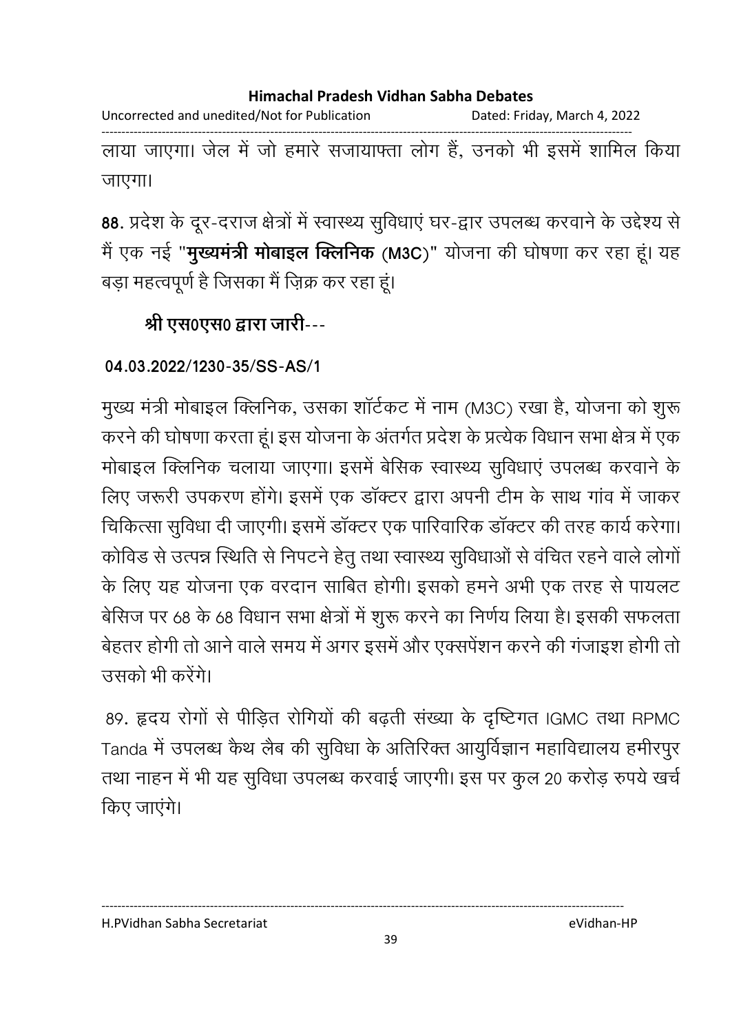Uncorrected and unedited/Not for Publication Dated: Friday, March 4, 2022 ------------------------------------------------------------------------------------------------------------------------------------

लाया जाएगा। जेल में जो हमारे संजायाफ्ता लोग है, उनको भी इसमें शामिल किया जाएगा।

88. प्रदेश के दूर-दराज क्षेत्रों में स्वास्थ्य सुविधाएं घर-द्वार उपलब्ध करवाने के उद्देश्य से मैं एक नई "**मुख्यमंत्री मोबाइल क्लिनिक** (M3C)" योजना की घोषणा कर रहा हू। यह बड़ा महत्वपूर्ण है जिसका मैं ज़िक्र कर रहा हूं।

# <u>श्री एस0एस0 द्वारा जारी---</u>

## **04.03.2022/1230-35/SS-AS/1**

मुख्य मंत्री मोबाइल क्लिनिक, उसका शार्टकट में नाम (M3C) रखा है, योजना को शुरू करने की घोषणा करता हूं। इस योजना के अंतर्गत प्रदेश के प्रत्येक विधान सभा क्षेत्र में एक मोबाइल क्लिनिक चलाया जाएगा। इसमें बेसिक स्वास्थ्य सुविधाएं उपलब्ध करवाने के लिए जरूरी उपकरण होंगे। इसमें एक डाक्टर द्वारा अपनी टीम के साथ गांव में जांकर चिकित्सा सुविधा दी जाएगी। इसमें डॉक्टर एक पारिवारिक डॉक्टर की तरह कार्य करेगा। कोविड से उत्पन्न स्थिति से निपटने हेतु तथा स्वास्थ्य सुविधाओं से वंचित रहने वाले लोगों के लिए यह योजना एक वरदान साबित होगी। इसको हमने अभी एक तरह से पायलट बेसिज पर 68 के 68 विधान सभा क्षेत्रों में शुरू करने का निर्णय लिया है। इसकी सफलता बेहतर होंगी तो आने वाले समय में अगर इसमें और एक्सपेशन करने की गंजाइश होंगी तो उसको भी करेंगे।

89. हृदय रोगों से पीड़ित रोगियों की बढ़ती संख्या के दृष्टिंगत IGMC तथा RPMC Tanda में उपलब्ध कैथ लैब की सुविधा के अतिरिक्त आयुर्विज्ञान महाविद्यालय हमीरपुर तथा नाहन में भी यह सुविधा उपलब्ध करवाई जाएगी। इस पर कुल 20 करोड़ रुपये खर्च किए जाएंगे।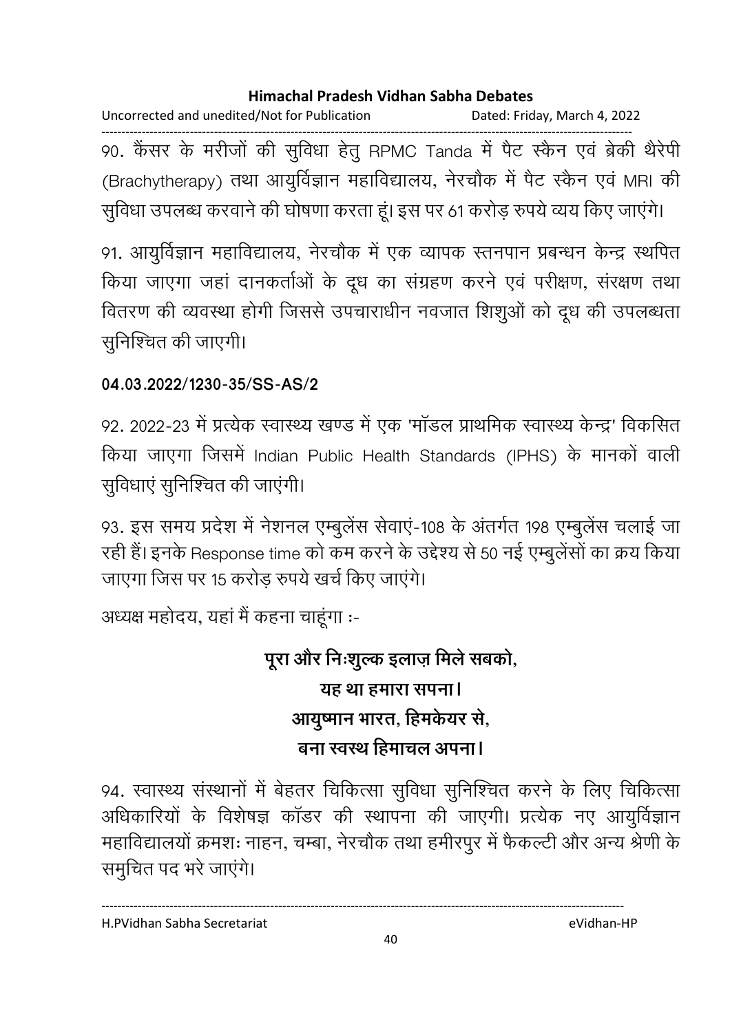Uncorrected and unedited/Not for Publication Dated: Friday, March 4, 2022 ------------------------------------------------------------------------------------------------------------------------------------ 90. कैंसर के मरीजों की सुविधा हेतु RPMC Tanda में पैट स्कैन एवं ब्रेकी थैरेपी (Brachytherapy) तथा आयुर्विज्ञान महाविद्यालय, नेरचौक में पैट स्कैन एवं MRI की सुविधा उपलब्ध करवाने की घोषणा करता हूं। इस पर 61 करोड़ रुपये व्यय किए जाएंगे।

91. आयुर्विज्ञान महाविद्यालय, नेरचौक में एक व्यापक स्तनपान प्रबन्धन केन्द्र स्थपित किया जाएगा जहां दानकर्ताओं के दूध का संग्रहण करने एवं परीक्षण, संरक्षण तथा वितरण की व्यवस्था होगी जिससे उपचाराधीन नवजात शिशुओं को दूध की उपलब्धता सुनिश्चित की जाएगी।

## **04.03.2022/1230-35/SS-AS/2**

92. 2022-23 में प्रत्येक स्वास्थ्य खण्ड में एक 'मॉडल प्राथमिक स्वास्थ्य केन्द्र' विकसित किया जाएगा जिसमें Indian Public Health Standards (IPHS) के मानकों वाली सुविधाएं सुनिश्चित की जाएंगी।

93. इस समय प्रदेश में नेशनल एम्बुलेस सेवाए-108 के अंतर्गत 198 एम्बुलेस चलाई जा रही हैं। इनके Response time को कम करने के उद्देश्य से 50 नई एम्बुलेंसों का क्रय किया जाएगा जिस पर 15 करोड़ रुपये खर्च किए जाएंगे।

अध्यक्ष महोदय, यहां मैं कहना चाहूंगा :-

# पूरा और निःशुल्क इलाज़ मिले सबको, <u>यह था हमारा सपना।</u> आयुष्मान भारत, हिमकेयर से, बना स्वस्थ हिमाचल अपना।

94. स्वास्थ्य संस्थानों में बेहतर चिकित्सा सुविधा सुनिश्चित करने के लिए चिकित्सा अधिकारियों के विशेषज्ञ कांडर की स्थापना की जाएगी। प्रत्येक नए आयुर्विज्ञान महाविद्यालयो क्रमशः नाहन, चम्बा, नेरचौंक तथा हमीरपुर में फैकल्टी और अन्य श्रेणी के समुचित पद भरे जाएंगे।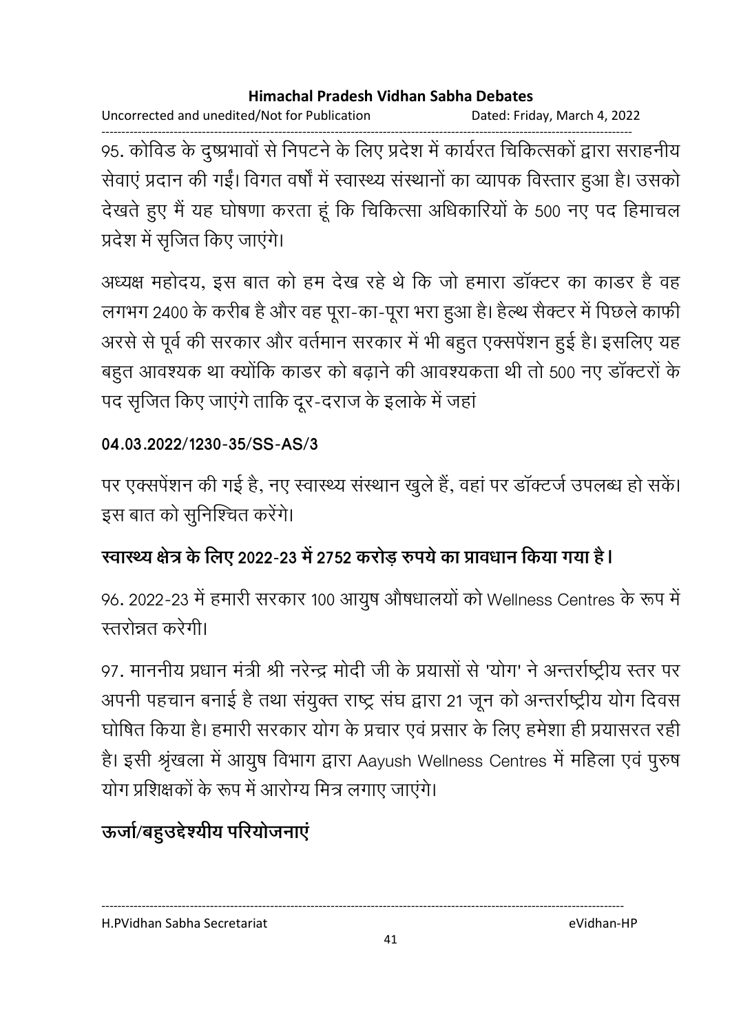Uncorrected and unedited/Not for Publication Dated: Friday, March 4, 2022

------------------------------------------------------------------------------------------------------------------------------------ 95. कोविंड के दुष्प्रभावों से निपटने के लिए प्रदेश में कार्यरत चिकित्सको द्वारा सराहनीय सेवाएं प्रदान की गईं। विगत वर्षों में स्वास्थ्य संस्थानों का व्यापक विस्तार हुआ है। उसको देखते हुए मैं यह घोषणा करता हूँ कि चिकित्सा अधिकारियों के 500 नए पद हिमाचल प्रदेश में सृजित किए जाएंगे।

अध्यक्ष महोदय, इस बात को हम देख रहे थे कि जो हमारा डाक्टर का कांडर है वह लगभग 2400 के करीब है और वह पूरा-का-पूरा भरा हुआ है। हैल्थ सैक्टर में पिछले काफी अरसे से पूर्व की सरकार और वर्तमान सरकार में भी बहुत एक्सपेशन हुई है। इसलिए यह बहुत आवश्यक था क्योंकि काडर को बढ़ाने की आवश्यकता थी तो 500 नए डॉक्टरों के पद सृजित किए जाएंगे ताकि दूर-दराज के इलाके में जहां

### **04.03.2022/1230-35/SS-AS/3**

पर एक्सपेंशन की गई है, नए स्वास्थ्य संस्थान खुले हैं, वहां पर डॉक्टर्ज उपलब्ध हो सकें। इस बात को सुनिश्चित करेंगे।

## स्वास्थ्य क्षेत्र के लिए 2022-23 में 2752 करोड़ रुपये का प्रावधान किया गया <del>है</del>।

96. 2022-23 में हमारी सरकार 100 आयुष औषधालयों को Wellness Centres के रूप में स्तरोन्नत करेगी।

97. माननीय प्रधान मंत्री श्री नरेन्द्र मोदी जी के प्रयासों से 'योग' ने अन्तर्राष्ट्रीय स्तर पर अपनी पहचान बनाई है तथा संयुक्त राष्ट्र संघ द्वारा 21 जून को अन्तर्राष्ट्रीय योग दिवस घोषित किया है। हमारी सरकार योग के प्रचार एवं प्रसार के लिए हमेशा ही प्रयासरत रही है। इसी श्रृंखला में आयुष विभाग द्वारा Aayush Wellness Centres में महिला एवं पुरुष योग प्रशिक्षकों के रूप में आरोग्य मित्र लगाए जाएंगे।

# ऊर्जा/बहुउद्देश्यीय परियोजनाए

---------------------------------------------------------------------------------------------------------------------------------- H.PVidhan Sabha Secretariat eVidhan-HP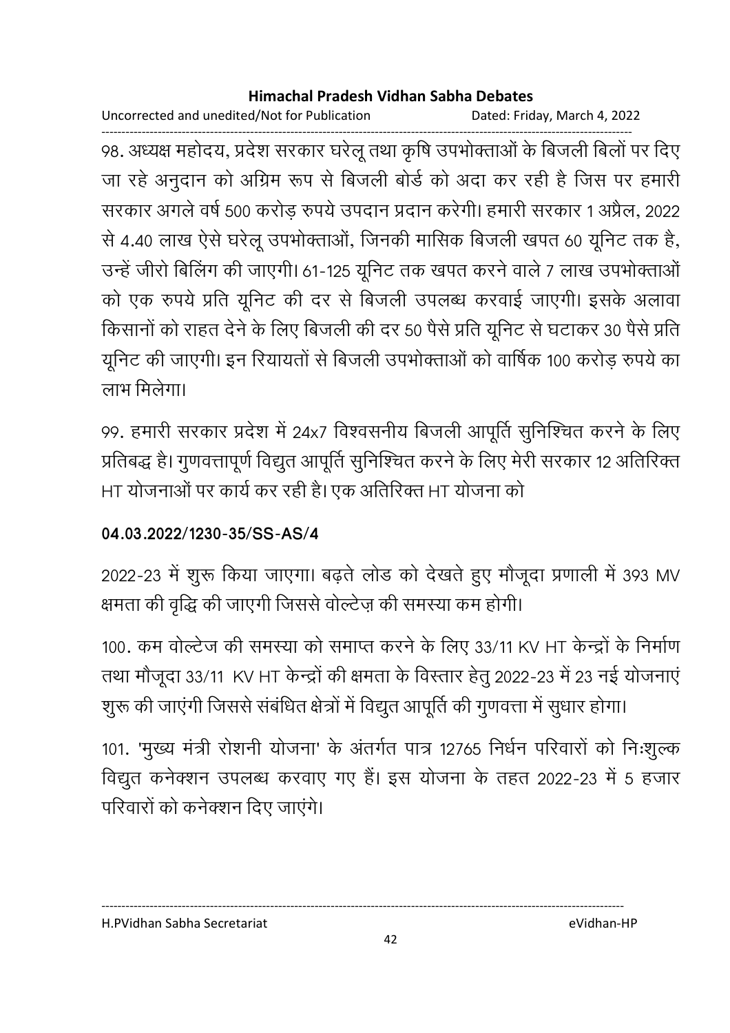Uncorrected and unedited/Not for Publication Dated: Friday, March 4, 2022

------------------------------------------------------------------------------------------------------------------------------------ 98. अध्यक्ष महोदय, प्रदेश सरकार घरेलू तथा कृषि उपभोक्ताओं के बिजली बिलों पर दिए जा रहे अनुदान को अग्रिम रूप से बिजली बोर्ड को अदा कर रही है जिस पर हमारी सरकार अगले वर्ष 500 करोड़ रुपये उपदान प्रदान करेगी। हमारी सरकार 1 अप्रैल, 2022 से 4.40 लाख ऐसे घरेलू उपभोक्ताओं, जिनकी मासिक बिजली खपत 60 यूनिट तक है, उन्हें जीरो बिलिंग की जाएगी। 61-125 यूनिट तक खपत करने वाले 7 लाख उपभोक्ताओं को एक रुपये प्रति यूनिट की दर से बिजली उपलब्ध करवाई जाएगी। इसके अलावा किसानों को राहत देने के लिए बिजली की दर 50 पैसे प्रति यूनिट से घटाकर 30 पैसे प्रति यूनिट की जाएगी। इन रियायतों से बिजली उपभोक्ताओं को वार्षिक 100 करोड़ रुपये का लाभ मिलेगा।

99. हमारी सरकार प्रदेश में 24x7 विश्वसनीय बिजली आपूर्ति सुनिश्चित करने के लिए प्रतिबद्ध है। गुणवत्तापूर्ण विद्युत आपूर्ति सुनिश्चित करने के लिए मेरी सरकार 12 अतिरिक्त HT योजनाओं पर कार्य कर रही है। एक अतिरिक्त HT योजना को

## **04.03.2022/1230-35/SS-AS/4**

2022-23 में शुरू किया जाएगा। बढ़ते लोड को देखते हुए मौजूदा प्रणाली में 393 MV क्षमता की वृद्धि की जाएगी जिससे वोल्टेज़ की समस्या कम होगी।

100. कम वोल्टेज की समस्या को समाप्त करने के लिए 33/11 KV HT केन्द्रों के निर्माण तथा मौजूदा 33/11 KV HT केन्द्रों की क्षमता के विस्तार हेतु 2022-23 में 23 नई योजनाएं शुरू की जाएंगी जिससे संबंधित क्षेत्रों में विद्युत आपूर्ति की गुणवत्ता में सुधार होगा।

101. 'मुख्य मंत्री रोशनी योजना' के अंतर्गत पात्र 12765 निर्धन परिवारों को निःशुल्क विद्युत कनेक्शन उपलब्ध करवाए गए हैं। इस योजना के तहत 2022-23 में 5 हजार परिवारों को कनेक्शन दिए जाएंगे।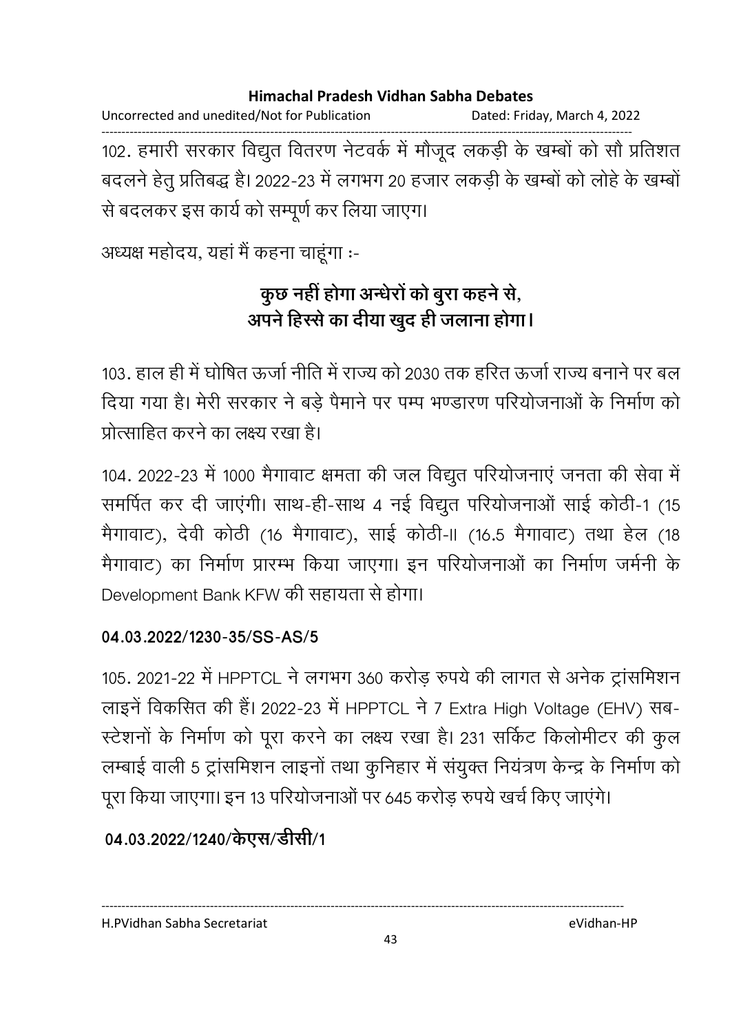Uncorrected and unedited/Not for Publication Dated: Friday, March 4, 2022 ------------------------------------------------------------------------------------------------------------------------------------ 102. हमारी सरकार विद्युत वितरण नेटवर्क में मौजूद लकड़ी के खम्बों को सौ प्रतिशत बदलने हेतु प्रतिबद्ध है। 2022-23 में लगभग 20 हजार लकड़ी के खम्बों को लोहे के खम्बों से बदलकर इस कार्य को सम्पूर्ण कर लिया जाएग।

अध्यक्ष महोदय, यहां मैं कहना चाहूंगा :-

# कुछ नहीं होगा अन्धेरों को बुरा कहने से, अपने हिस्से का दीया खुद ही जलाना होगा।

103. हाल ही में घोषित ऊर्जा नीति में राज्य को 2030 तक हरित ऊर्जा राज्य बनाने पर बल दिया गया है। मेरी सरकार ने बड़े पैमाने पर पम्प भण्डारण परियोजनाओं के निर्माण को प्रोत्साहित करने का लक्ष्य रखा है।

104. 2022-23 में 1000 मैगावाट क्षमता की जल विद्युत परियोजनाएं जनता की सेवा में समर्पित कर दी जाएंगी। साथ-ही-साथ 4 नई विद्युत परियोजनाओं साई कोठी-1 (15 मैगावाट), देवी कोठी (16 मैगावाट), साई कोठी-।। (16.5 मैगावाट) तथा हेल (18 मैगावाट) का निर्माण प्रारम्भ किया जाएगा। इन परियोजनाओं का निर्माण जर्मनी के Development Bank KFW की सहायता से होगा।

### **04.03.2022/1230-35/SS-AS/5**

105. 2021-22 में HPPTCL ने लगभग 360 करोड़ रुपये की लागत से अनेक ट्रांसमिशन लाइनें विकसित की हैं। 2022-23 में HPPTCL ने 7 Extra High Voltage (EHV) सब-स्टेशनों के निर्माण को पूरा करने का लक्ष्य रखा है। 231 सर्किट किलोमीटर की कुल लम्बाई वाली 5 ट्रांसमिशन लाइनों तथा कुनिहार में संयुक्त नियंत्रण केन्द्र के निर्माण को पूरा किया जाएगा। इन 13 परियोजनाओं पर 645 करोड़ रुपये खर्च किए जाएंगे।

## 04.03.2022/1240/केएस/डीसी/1

---------------------------------------------------------------------------------------------------------------------------------- H.PVidhan Sabha Secretariat eVidhan-HP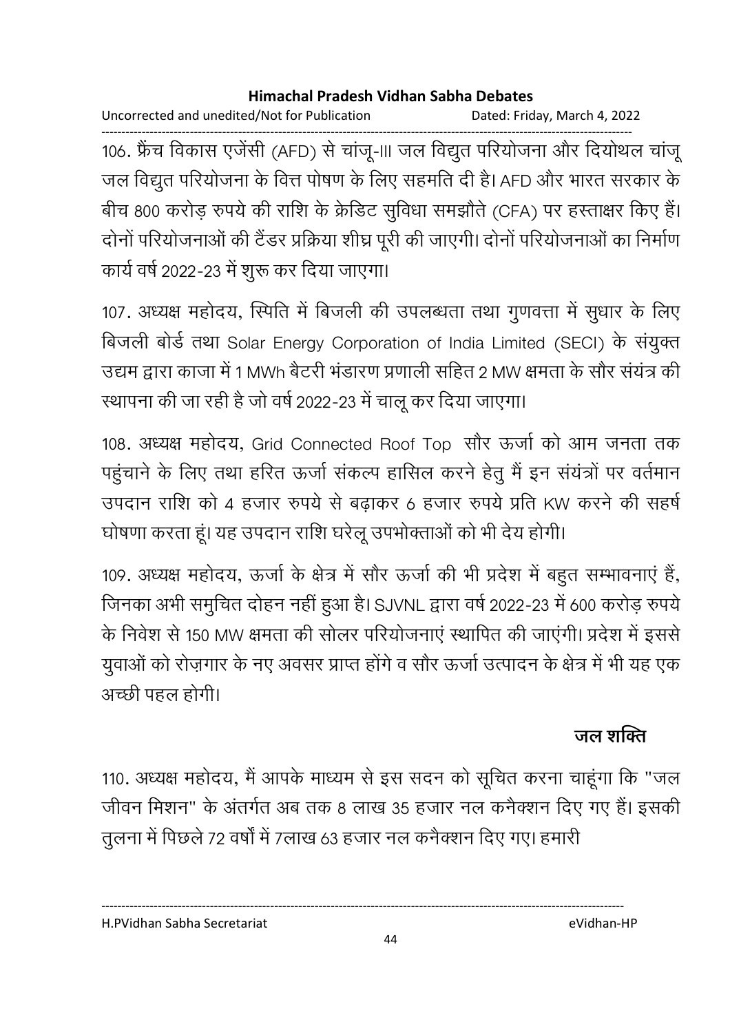Uncorrected and unedited/Not for Publication Dated: Friday, March 4, 2022

------------------------------------------------------------------------------------------------------------------------------------ 106. फ्रेंच विकास एजेंसी (AFD) से चांजू-III जल विद्युत परियोजना और दियोथल चांजू जल विद्युत परियोजना के वित्त पोषण के लिए सहमति दी है। AFD और भारत सरकार के बीच 800 करोड़ रुपये की राशि के क्रेडिट सुविधा समझौते (CFA) पर हस्ताक्षर किए हैं। दोनों परियोजनाओं की टैंडर प्रक्रिया शीघ्र पूरी की जाएगी। दोनों परियोजनाओं का निर्माण कार्य वर्ष 2022-23 में शुरू कर दिया जाएगा।

107. अध्यक्ष महोदय, स्पिति में बिजली की उपलब्धता तथा गुणवत्ता में सुधार के लिए बिजली बोर्ड तथा Solar Energy Corporation of India Limited (SECI) के संयुक्त उद्यम द्वारा काजा में 1 MWh बैटरी भंडारण प्रणाली सहित 2 MW क्षमता के सौर संयंत्र की स्थापना की जा रही है जो वर्ष 2022-23 में चालू कर दिया जाएगा।

108. अध्यक्ष महोदय, Grid Connected Roof Top सौर ऊर्जा को आम जनता तक पहुंचाने के लिए तथा हरित ऊर्जा संकल्प हासिल करने हेतु मैं इन संयंत्रों पर वर्तमान उपदान राशि को 4 हजार रुपये से बढ़ाकर 6 हजार रुपये प्रति KW करने की सहर्ष घोषणा करता हूं। यह उपदान राशि घरेलू उपभोक्ताओं को भी देय होगी।

109. अध्यक्ष महोदय, ऊर्जा के क्षेत्र में सौर ऊर्जा की भी प्रदेश में बहुत सम्भावनाएं हैं, जिनका अभी समुचित दोहन नहीं हुआ है। SJVNL द्वारा वर्ष 2022-23 में 600 करोड़ रुपये | के निवेश से 150 MW क्षमता की सोलर परियोजनाएं स्थापित की जाएंगी। प्रदेश में इससे युवाओं को रोज़गार के नए अवसर प्राप्त होंगे व सौर ऊर्जा उत्पादन के क्षेत्र में भी यह एक अच्छी पहल होगी।

# जल शक्ति

110. अध्यक्ष महोदय, मैं आपके माध्यम से इस सदन को सूचित करना चाहूंगा कि "जल जीवन मिशन" के अंतर्गत अब तक 8 लाख 35 हजार नल कनैक्शन दिए गए हैं। इसकी तूलना में पिछले 72 वर्षों में 7लाख 63 हजार नल कनैक्शन दिए गए। हमारी

H.PVidhan Sabha Secretariat eVidhan-HP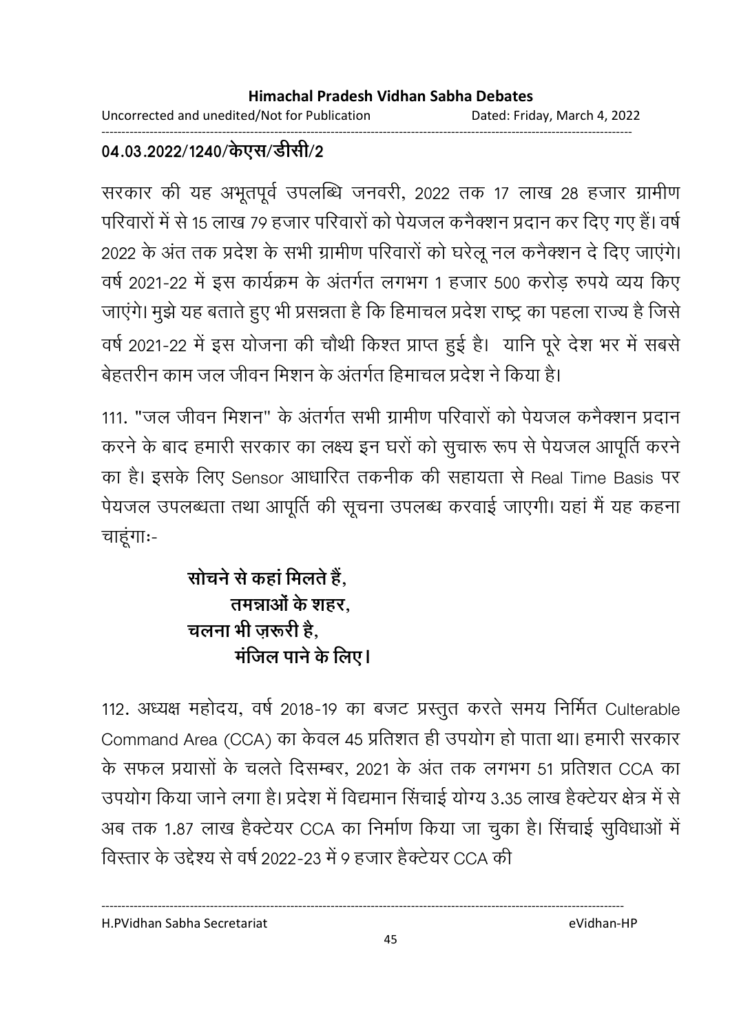Uncorrected and unedited/Not for Publication Dated: Friday, March 4, 2022

#### ------------------------------------------------------------------------------------------------------------------------------------ 04.03.2022/1240/केएस/डेसि*\*/2

सरकार की यह अभूतपूर्व उपलब्धि जनवरी, 2022 तक 17 लाख 28 हजार ग्रामीण परिवारों में से 15 लाख 79 हजार परिवारों को पेयजल कनैक्शन प्रदान कर दिए गए हैं। वर्ष 2022 के अंत तक प्रदेश के सभी ग्रामीण परिवारों को घरेलू नल कनैक्शन दें दिए जाएंगे। वर्ष 2021-22 में इस कार्यक्रम के अंतर्गत लगभग 1 हजार 500 करोड़ रुपये व्यय किए जाएंगे। मुझे यह बताते हुए भी प्रसन्नता है कि हिमाचल प्रदेश राष्ट्र का पहला राज्य है जिसे वर्ष 2021-22 में इस योजना की चौथी किश्त प्राप्त हुई है। यानि पूरे देश भर में सबसे बेहतरीन काम जल जीवन मिशन के अंतर्गत हिमाचल प्रदेश ने किया है।

111. "जल जीवन मिशन" के अंतर्गत सभी ग्रामीण परिवारों को पेयजल कर्नेक्शन प्रदान करने के बाद हमारी सरकार का लक्ष्य इन घरों को सूचारू रूप से पेयजल आपूर्ति करने का है। इसके लिए Sensor आधारित तकनीक की सहायता से Real Time Basis पर पेयजल उपलब्धता तथा आपूर्ति की सूचना उपलब्ध करवाई जाएगी। यहां मैं यह कहना चाहूंगाः-

# सोचने से कहा मिलते हैं, तमन्नाओं के शहर, चलना भी जरूरी है. **R** मजिल पाने के लिए।

112. अध्यक्ष महोदय, वर्ष 2018-19 का बजट प्रस्तुत करते समय निर्मित Culterable Command Area (CCA) का केवल 45 प्रतिशत ही उपयोग हो पाता था। हमारी सरकार के सफल प्रयासों के चलते दिसम्बर, 2021 के अंत तक लगभग 51 प्रतिशत CCA का उपयोग किया जाने लगा है। प्रदेश में विद्यमान सिंचाई योग्य 3.35 लाख हैक्टेयर क्षेत्र में से अब तक 1.87 लाख हैक्टेयर CCA का निर्माण किया जा चुका है। सिचाई सुविधाओं में विस्तार के उद्देश्य से वर्ष 2022-23 में 9 हजार हैक्टेयर CCA की

H.PVidhan Sabha Secretariat eVidhan-HP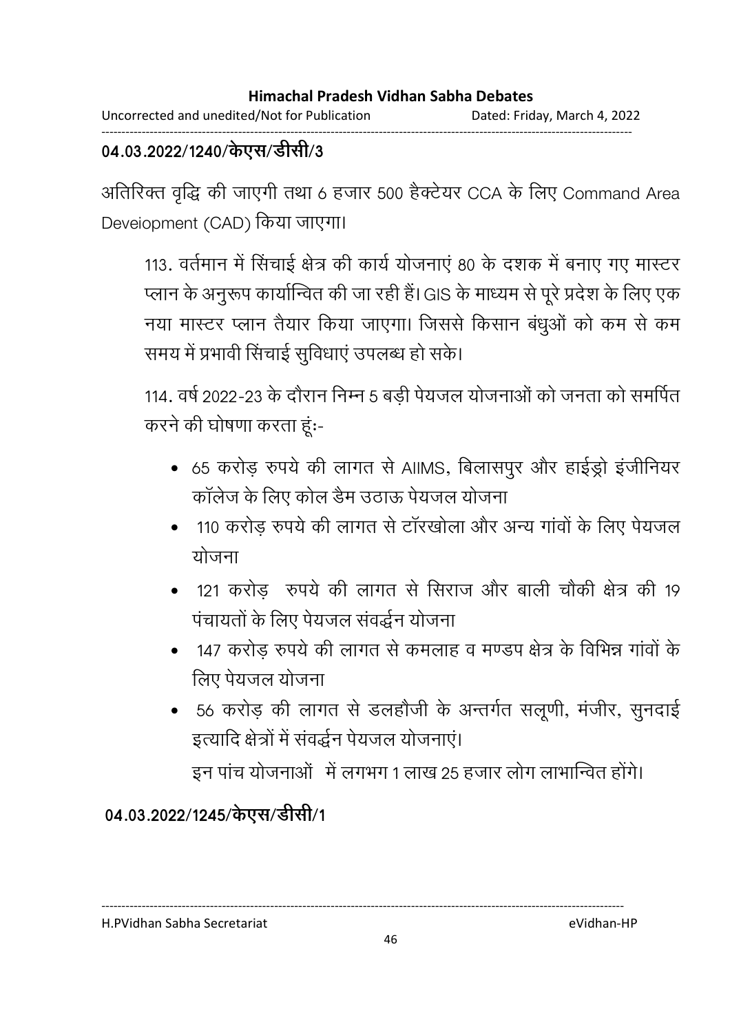#### ------------------------------------------------------------------------------------------------------------------------------------ 04.03.2022/1240/केएस/डेसि*\*3

आतीरक्त वृद्धि की जाएगी तथा 6 हजार 500 हैक्टेयर CCA के लिए Command Area Deveiopment (CAD) किया जाएगा।

113. वर्तमान में सिंचाई क्षेत्र की कार्य योजनाएं 80 के दशक में बनाए गए मास्टर प्लान के अनुरूप कार्यान्वित की जा रही है। GIS के माध्यम से पूरे प्रदेश के लिए एक नया मास्टर प्लान तैयार किया जाएगा। जिससे किसान बंधुओं को कम से कम समय में प्रभावी सिंचाई सुविधाएं उपलब्ध हो सके।

114. वर्ष 2022-23 के दौरान निम्न 5 बड़ी पेयजल योजनाओं को जनता को समर्पित करने की घोषणा करता हूं:-

- 65 करोड़ रुपये की लागत से AIIMS, बिलासपुर और हाईड्रो इंजीनियर कॉलेज के लिए कोल डैम उठाऊ पेयजल योजना
- 110 करोड़ रुपये की लागत से टॉरखोला और अन्य गांवों के लिए पेयजल योजना
- 121 करोड़ रुपये की लागत से सिराज और बाली चौकी क्षेत्र की 19 पंचायतों के लिए पेयजल संवर्द्धन योजना
- 147 करोड रुपये की लागत से कमलाह व मण्डप क्षेत्र के विभिन्न गांवों के लिए पेयजल योजना
- 56 करोड़ की लागत से डलहौजी के अन्तर्गत सलूणी, मंजीर, सुनदाई इत्यादि क्षेत्रों में संवर्द्धन पेयजल योजनाएं।

इन पांच योजनाओं में लगभग 1 लाख 25 हजार लोग लाभान्वित होंगे।

## 04.03.2022/1245/केएस/डीसी/1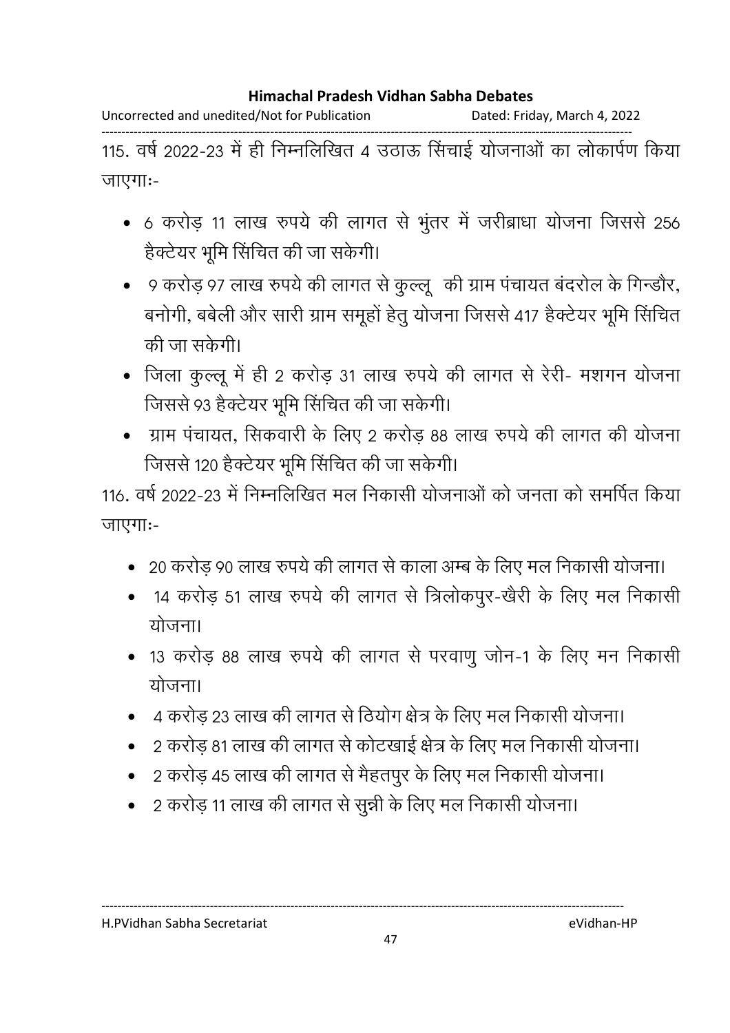Uncorrected and unedited/Not for Publication Dated: Friday, March 4, 2022

------------------------------------------------------------------------------------------------------------------------------------ 115. वर्ष 2022-23 में ही निम्नलिखित 4 उठाऊ सिंचाई योजनाओं का लोकार्पण किया जाएगाः-

- 6 करोड़ 11 लाख रुपये की लागत से भुंतर में जरीब्राधा योजना जिससे 256 हैक्टेयर भूमि सिंचित की जा सकेगी।
- 9 करोड़ 97 लाख रुपये की लागत से कुल्लू की ग्राम पंचायत बंदरोल के गिन्डौर, बनोगी, बबेली और सारी ग्राम समूहों हेतु योजना जिससे 417 हैक्टेयर भूमि सिंचित की जा सकेगी।
- जिला कुल्लू में ही 2 करोड़ 31 लाख रुपये की लागत से रेरी- मशगन योजना जिससे 93 हैक्टेयर भूमि सिंचित की जा सकेगी।
- ग्राम पंचायत, सिकवारी के लिए 2 करोड़ 88 लाख रुपये की लागत की योजना जिससे 120 हैक्टेयर भूमि सिंचित की जा सकेगी।

116. वर्ष 2022-23 में निम्नलिखित मल निकासी योजनाओं को जनता को समर्पित किया जाएगाः-

- 20 करोड़ 90 लाख रुपये की लागत से काला अम्ब के लिए मल निकासी योजना।
- 14 करोड़ 51 लाख रुपये की लागत से त्रिलोकपूर-खेरी के लिए मल निकासी <u>योजना।</u>
- 13 करोड़ 88 लाख रुपये की लागत से परवाणु जोन-1 के लिए मन निकासी योजना।
- 4 करोड़ 23 लाख की लागत से ठियोग क्षेत्र के लिए मल निकासी योजना।
- 2 करोड़ 81 लाख की लागत से कोटखाई क्षेत्र के लिए मल निकासी योजना।
- 2 करोड़ 45 लाख की लागत से मैहतपुर के लिए मल निकासी योजना।

----------------------------------------------------------------------------------------------------------------------------------

2 करोड़ 11 लाख की लागत से सुन्नी के लिए मल निकासी योजना।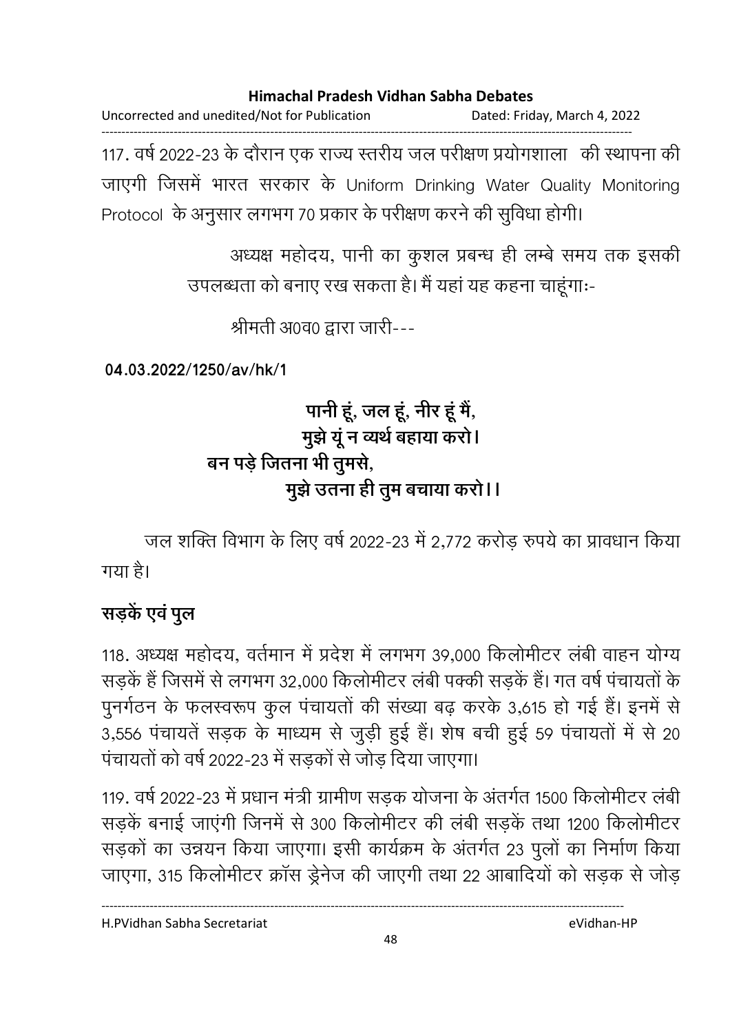Uncorrected and unedited/Not for Publication Dated: Friday, March 4, 2022 ------------------------------------------------------------------------------------------------------------------------------------

117. वर्ष 2022-23 के दौरान एक राज्य स्तरीय जल परीक्षण प्रयोगशाला) की स्थापना की जाएगी जिसमें भारत सरकार के Uniform Drinking Water Quality Monitoring Protocol) के अनुसार लगभग 70 प्रकार के परीक्षण करने की सुविधा होगी।

> अध्यक्ष महोदय, पानी का कुशल प्रबन्ध ही लम्बे समय तक इसकी उपलब्धता को बनाए रख सकता है। मैं यहां यह कहना चाहूंगाः-

> > श्रीमती अ0व0 द्वारा जारी---

**04.03.2022/1250/av/hk/1**

# <u>पानी हं, जल हं, नीर हं मैं,</u> मुझे यू न व्यथे बहाया करो। <u>बन पड़े जितना भी तुमर्स,</u> <u> मु</u>झे उतना ही तुम बचाया करो।।

जल शक्ति विभाग के लिए वर्ष 2022-23 में 2,772 करोड़ रुपये का प्रावधान किया गया है।

# **सड़कें** एवं पूल

118. अध्यक्ष महोदय, वर्तमान में प्रदेश में लगभग 39,000 किलोमीटर लंबी वाहन योग्य सड़कें हैं जिसमें से लगभग 32,000 किलोमीटर लंबी पक्की सड़कें हैं। गत वर्ष पंचायतों के पुनर्गठन के फलस्वरूप कुल पचायतों की संख्या बढ़ करके 3,615 हो गई हैं। इनमें से 3,556 पंचायतें सड़क के माध्यम से जुड़ी हुई हैं। शेष बची हुई 59 पंचायतों में से 20 पंचायतों को वर्ष 2022-23 में सड़कों से जोड़ दिया जाएगा।

119. वर्ष 2022-23 में प्रधान मंत्री ग्रामीण संड़क योजना के अंतर्गत 1500 किलोमीटर लंबी सड़कें बनाई जाएंगी जिनमें से 300 किलोमीटर की लंबी सड़कें तथा 1200 किलोमीटर सड़को का उन्नयन किया जाएगा। इसी कार्यक्रम के अंतर्गत 23 पुलो का निर्माण किया जाएगा, 315 किलोमीटर क्रॉस ड्रेनेज की जाएगी तथा 22 आबादियों को सड़क से जोड़

----------------------------------------------------------------------------------------------------------------------------------

H.PVidhan Sabha Secretariat eVidhan-HP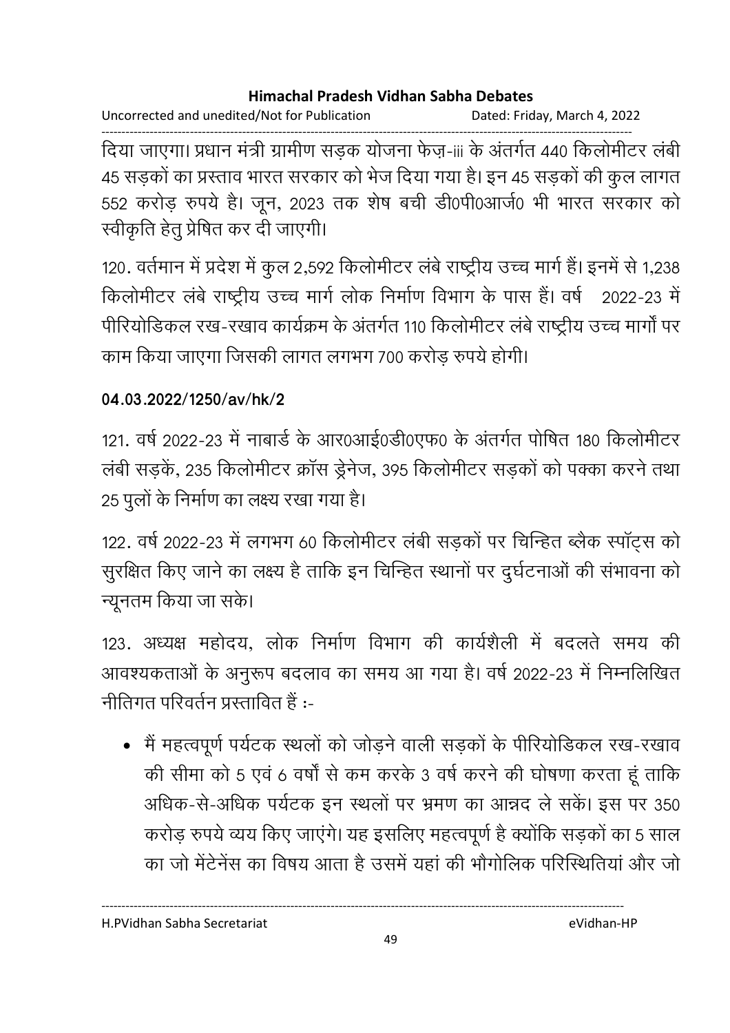Uncorrected and unedited/Not for Publication Dated: Friday, March 4, 2022

------------------------------------------------------------------------------------------------------------------------------------ दिया जाएगा। प्रधान मंत्री ग्रामीण संडक योजना फेज़-iii के अंतर्गत 440 किलोमीटर लंबी 45 सड़कों का प्रस्ताव भारत सरकार को भेज दिया गया है। इन 45 सड़कों की कुल लागत 552 करोड़ रुपये है। जून, 2023 तक शेष बची डी0पी0आर्ज0 भी भारत सरकार को स्वीकृति हेतु प्रेषित कर दी जाएगी।

120. वर्तमान में प्रदेश में कुल 2,592 किलोमीटर लंबे राष्ट्रीय उच्च मार्ग हैं। इनमें से 1,238 किलोमीटर लंबे राष्ट्रीय उच्च मार्ग लोक निर्माण विभाग के पास हैं। वर्ष 2022-23 में पीरियोडिकल रख-रखाव कार्यक्रम के अंतर्गत 110 किलोमीटर लंबे राष्ट्रीय उच्च मार्गा पर काम किया जाएगा जिसकी लागत लगभग 700 करोड़ रुपये होगी।

## **04.03.2022/1250/av/hk/2**

121. वर्ष 2022-23 में नाबार्ड के आर0आई0र्डी0एफ0 के अंतर्गत पोषित 180 किलोमीटर लंबी सड़कें, 235 किलोमीटर क्रॉस ड्रेनेज, 395 किलोमीटर सड़कों को पक्का करने तथा 25 पुलों के निर्माण का लक्ष्य रखा गया है।

122. वर्ष 2022-23 में लगभग 60 किलोमीटर लंबी सड़कों पर चिन्हित ब्लैक स्पॉट्स को सुरक्षित किए जाने का लक्ष्य है ताकि इन चिन्हित स्थानों पर दुर्घटनाओं की संभावना को न्यूनतम किया जा सके।

123. अध्यक्ष महोदय, लोक निर्माण विभाग की कार्यशैली में बदलते समय की आवश्यकताओं के अनुरूप बंदलाव का समय आ गया है। वर्ष 2022-23 में निम्नोलेखित नीतिगत परिवर्तन प्रस्तावित हैं $:$ 

• मैं महत्वपूर्ण पर्यटक स्थलों को जोड़ने वाली सड़कों के पीरियोडिकल रख-रखाव की सीमा को 5 एवं 6 वर्षों से कम करके 3 वर्ष करने की घोषणा करता हूं ताकि आंधक-से-अधिक पर्यटक इन स्थलों पर भ्रमण का आन्नद ले सके। इस पर 350 करोड़ रुपये व्यय किए जाएंगे। यह इसलिए महत्वपूर्ण है क्योंकि सड़कों का 5 साल का जो मेंटेनेंस का विषय आता है उसमें यहां की भौगोलिक परिस्थितियां और जो

H.PVidhan Sabha Secretariat eVidhan-HP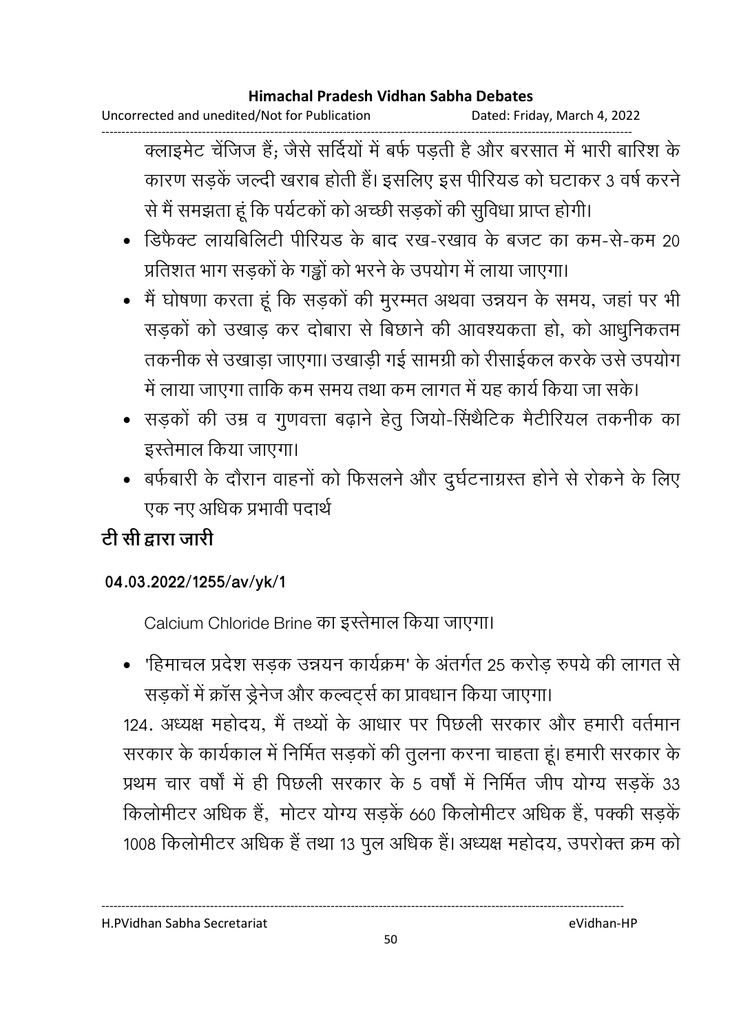Uncorrected and unedited/Not for Publication Dated: Friday, March 4, 2022

------------------------------------------------------------------------------------------------------------------------------------ क्लाइमेंट चेजिज हैं; जैसे सर्दियों में बर्फ पड़ती है और बरसात में भारी बारिश के कारण सड़कें जल्दी खराब होती हैं। इसलिए इस पीरियड को घटाकर 3 वर्ष करने से मैं समझता हूं कि पर्यटकों को अच्छी सड़कों की सुविधा प्राप्त होगी।

- डिफेक्ट लायबिलिटी पीरियड के बाद रख-रखाव के बजट का कम-से-कम 20 प्रतिशत भाग सड़कों के गड्ढों को भरने के उपयोग में लाया जाएगा।
- मैं घोषणा करता हूं कि सड़कों की मुरम्मत अथवा उन्नयन के समय, जहां पर भी सड़कों को उखाड़ कर दोबारा से बिछाने की आवश्यकता हो, को आधुनिकतम तकनीक से उखाड़ा जाएगा। उखाड़ी गई सामग्री को रीसाईकल करके उसे उपयोग में लाया जाएगा ताकि कम समय तथा कम लागत में यह कार्य किया जा सके।
- सड़कों की उम्र व गुणवत्ता बढ़ाने हेतु जियो-सिंथैटिक मैटीरियल तकनीक का इस्तेमाल किया जाएगा।
- बर्फबारी के दौरान वाहनों को फिसलने और दूर्घटनाग्रस्त होने से रोकने के लिए एक नए अधिक प्रभावी पदार्थ |

# टी सी द्वारा जारी

## **04.03.2022/1255/av/yk/1**

Calcium Chloride Brine का इस्तेमाल किया जाएगा।

• 'हिमाचल प्रदेश सड़क उन्नयन कार्यक्रम' के अंतर्गत 25 करोड़ रुपये की लागत से सड़कों में क्रॉस ड्रेनेज और कल्वटर्स का प्रावधान किया जाएगा।

124. अध्यक्ष महोदय, मैं तथ्यों के आधार पर पिछली सरकार और हमारी वर्तमान सरकार के कार्यकाल में निर्मित सड़कों की तुलना करना चाहता हूं। हमारी सरकार के प्रथम चार वर्षों में ही पिछली सरकार के 5 वर्षों में निर्मित जीप योग्य सडकें 33 किलोमीटर अधिक हैं, मोटर योग्य सड़के 660 किलोमीटर अधिक है, पक्की सड़के 1008 किलोमीटर अधिक है तथा 13 पुल अधिक है। अध्यक्ष महोदय, उपरोक्त क्रम को

H.PVidhan Sabha Secretariat eVidhan-HP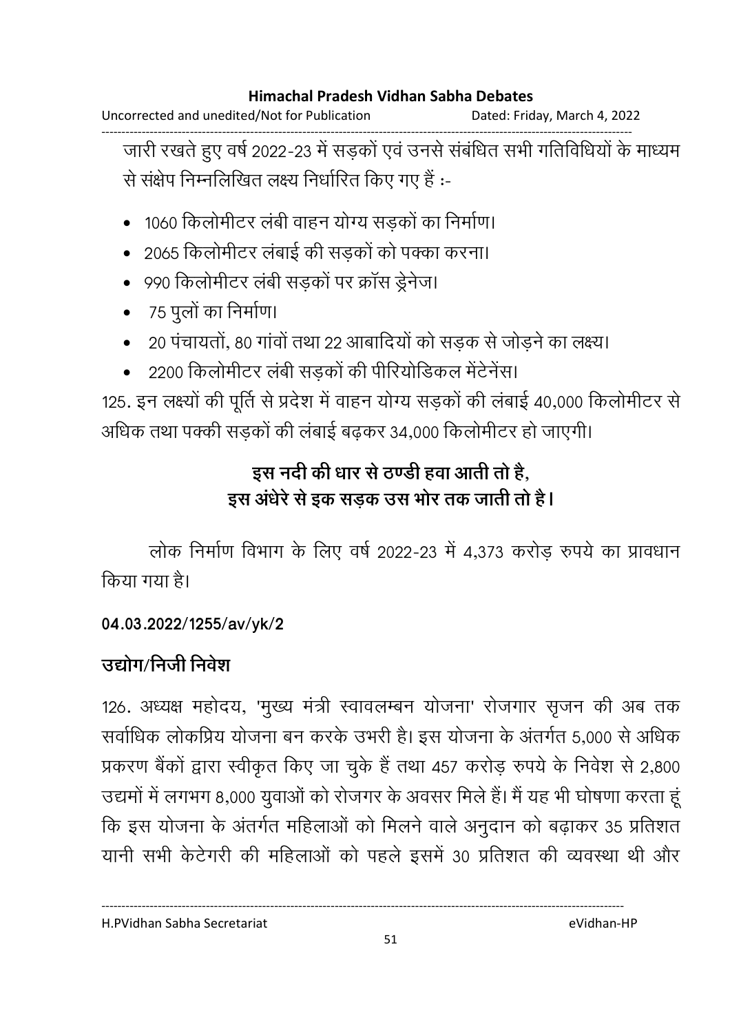Uncorrected and unedited/Not for Publication Dated: Friday, March 4, 2022

------------------------------------------------------------------------------------------------------------------------------------ जारी रखते हुए वर्ष 2022-23 में सड़को एवं उनसे संबंधित सभी गतिविधियों के माध्यम से संक्षेप निम्नलिखित लक्ष्य निर्धारित किए गए हैं :-

- 1060 किलोमीटर लंबी वाहन योग्य सडकों का निर्माण।
- 2065 किलोमीटर लंबाई की सड़कों को पक्का करना।
- 990 किलोमीटर लंबी सड़कों पर क्रॉस ड्रेनेज।
- <u>75 पु</u>लों का निर्माण।
- 20 पंचायतों, 80 गांवों तथा 22 आबादियों को सड़क से जोड़ने का लक्ष्य।
- <u>२२०० किलोमीटर लंबी सडकों की पीरियोडिकल मेंटेनेंस।</u>

125. इन लक्ष्यों की पूर्ति से प्रदेश में वाहन योग्य सड़कों की लंबाई 40,000 किलोमीटर से आंधेक तथा पक्की सड़कों की लबाई बढ़कर 34,000 किलोमीटर हो जाएगी।

# इस नदी की धार से ठण्डी हवा आती तो है, इस अर्धरे से इक सड़क उस भोर तक जाती तो है।

लोक निर्माण विभाग के लिए वर्ष 2022-23 में 4,373 करोड रुपये का प्रावधान किया गया है।

## **04.03.2022/1255/av/yk/2**

## उद्योग/निजी निर्वेश

126. अध्यक्ष महोदय, 'मुख्य मंत्री स्वावलम्बन योजना' रोजगार सृजन की अब तक सर्वाधिक लोकप्रिय योजना बन करके उभरी है। इस योजना के अंतर्गत 5,000 से अधिक प्रकरण बैंकों द्वारा स्वीकृत किए जा चुके हैं तथा 457 करोड़ रुपये के निवेश से 2,800 उद्यमों में लगभग 8,000 युवाओं को रोजगर के अवसर मिले हैं। मैं यह भी घोषणा करता हू कि इस योजना के अंतर्गत महिलाओं को मिलने वाले अनुदान को बढ़ाकर 35 प्रतिशत यानी सभी केटेगरी की महिलाओं को पहले इसमें 30 प्रतिशत की व्यवस्था थी और

H.PVidhan Sabha Secretariat eVidhan-HP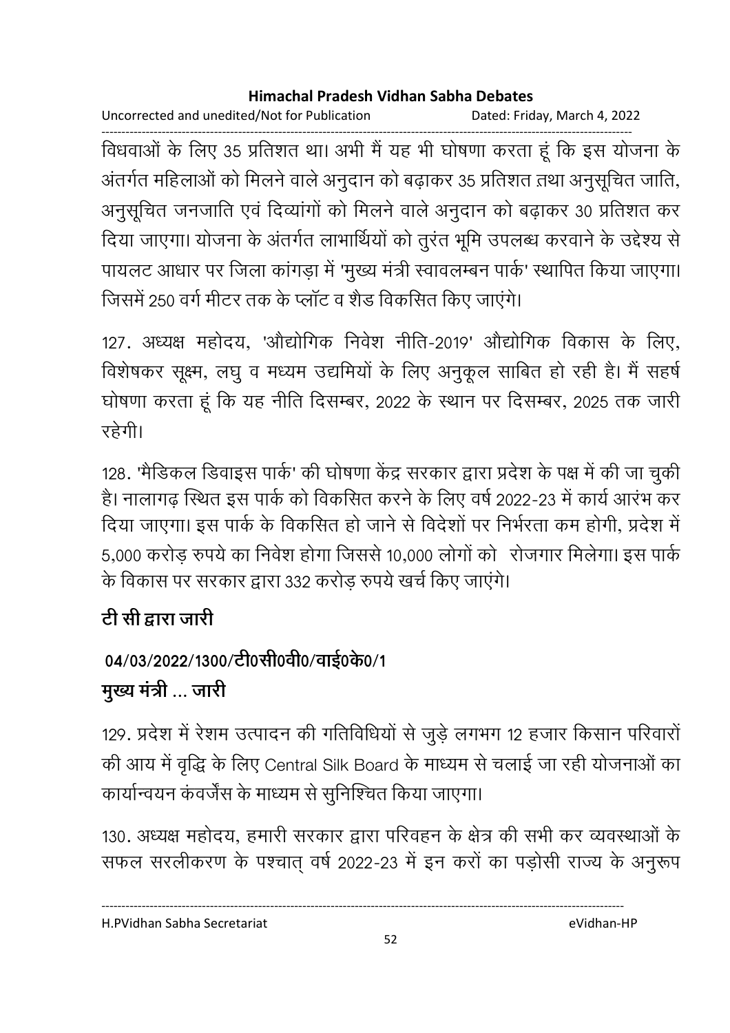Uncorrected and unedited/Not for Publication Dated: Friday, March 4, 2022

------------------------------------------------------------------------------------------------------------------------------------ विधवाओं के लिए 35 प्रतिशत था। अभी मैं यह भी घोषणा करता हूं कि इस योजना के अंतर्गत महिलाओं को मिलने वाले अनुदान को बढ़ाकर 35 प्रतिशत तथा अनुसूचित जाति, अनुसूचित जनजाति एवं दिव्यांगों को मिलने वाले अनुदान को बढ़ाकर 30 प्रतिशत कर दिया जाएगा। योजना के अंतर्गत लाभार्थियों को तुरंत भूमि उपलब्ध करवाने के उद्देश्य से पायलट आधार पर जिला कागड़ा में 'मुख्य मंत्री स्वावलम्बन पार्क' स्थापित किया जाएगा। जिसमें 250 वर्ग मीटर तक के प्लॉट व शैड विकसित किए जाएंगे।

127. अध्यक्ष महोदय, 'औद्योगिक निवेश नीति-2019' औद्योगिक विकास के लिए, विशेषकर सूक्ष्म, लघु व मध्यम उद्यमियों के लिए अनुकूल साबित हो रही हैं। मैं सहर्ष घोषणा करता हूं कि यह नीति दिसम्बर, 2022 के स्थान पर दिसम्बर, 2025 तक जारी रहेगी।

128. 'मैडिकल डिवाइस पार्क' की घोषणा केंद्र सरकार द्वारा प्रदेश के पक्ष में की जा चुकी है। नालागढ़ स्थित इस पार्क को विकसित करने के लिए वर्ष 2022-23 में कार्य आरंभ कर दिया जाएगा। इस पार्क के विकसित हो जाने से विदेशों पर निर्भरता कम होगी, प्रदेश में 5,000 करोड रुपये का निवेश होगा जिससे 10,000 लोगों को रोजगार मिलेगा। इस पार्क के विकास पर सरकार द्वारा 332 करोड़ रुपये खर्च किए जाएंगे।

# <u>टी सी द्वारा जारी</u>

# 04/03/2022/1300/टी0सी0वी0/वाई0के0/1 **मुख्य मंत्री ... जारी**

129. प्रदेश में रेशम उत्पादन की गतिविधियों से जुड़े लगभग 12 हजार किसान परिवारों की आय में वृद्धि के लिए Central Silk Board के माध्यम से चलाई जा रही योजनाओं का कार्यान्वयन कंवर्जेंस के माध्यम से सूनिश्चित किया जाएगा।

130. अध्यक्ष महोदय, हमारी सरकार द्वारा परिवहन के क्षेत्र की सभी कर व्यवस्थाओं के सफल सरलीकरण के पश्चात् वर्ष 2022-23 में इन करों का पड़ोसी राज्य के अनुरूप

H.PVidhan Sabha Secretariat eVidhan-HP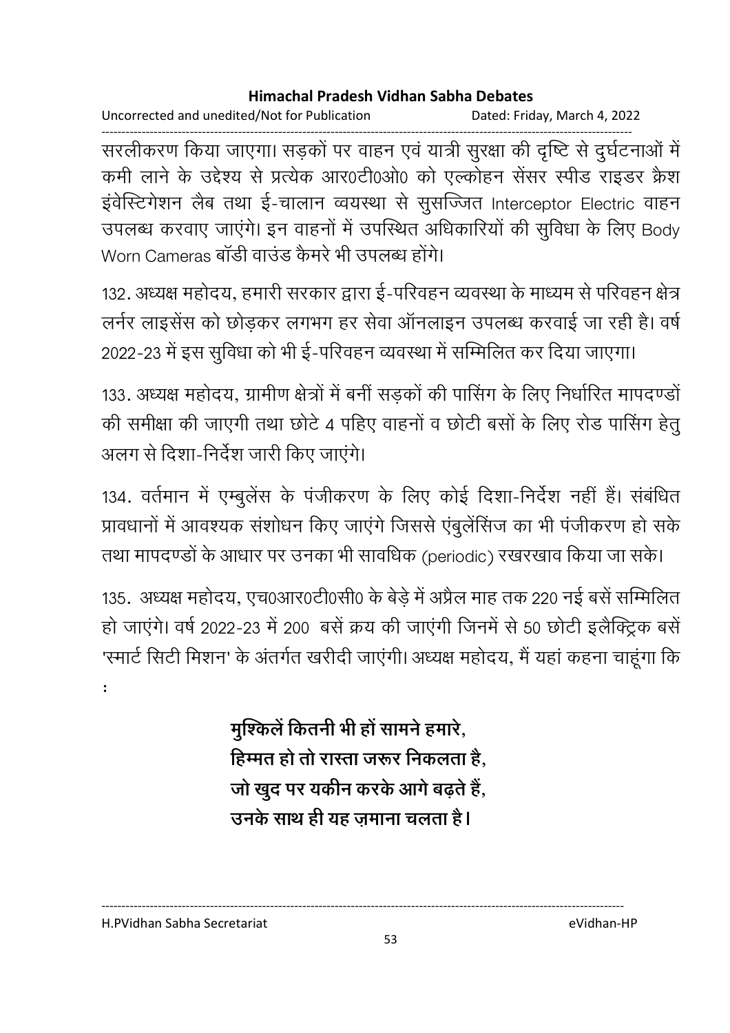Uncorrected and unedited/Not for Publication Dated: Friday, March 4, 2022

------------------------------------------------------------------------------------------------------------------------------------ सरलेकिरण किया जाएगा। सड़को पर वाहन एव यात्री सुरक्षा की दृष्टि से दुर्घटनाओं में कमी लाने के उद्देश्य से प्रत्येक आर0टी0ओ0 को एल्कोहन सेंसर स्पीड राइडर क्रैश इंवेस्टिगेशन लैब तथा ई-चालान व्वयस्था से सुसज्जित Interceptor Electric वाहन उपलब्ध करवाए जाएंगे। इन वाहनों में उपस्थित अधिकारियों की सुर्विधा के लिए Body Worn Cameras बॉडी वाउंड कैमरे भी उपलब्ध होंगे।

132. अध्यक्ष महोदय, हमारी सरकार द्वारा ई-परिवहन व्यवस्था के माध्यम से परिवहन क्षेत्र लर्नर लाइसेंस को छोडकर लगभग हर सेवा ऑनलाइन उपलब्ध करवाई जा रही है। वर्ष 2022-23 में इस सुविधा को भी ई-परिवहन व्यवस्था में सम्मिलित कर दिया जाएगा।

133. अध्यक्ष महोदय, ग्रामीण क्षेत्रों में बनी सड़कों की पार्सिंग के लिए निर्धारित मापदण्डो की समीक्षा की जाएगी तथा छोटे 4 पहिए वाहनों व छोटी बसों के लिए रोड पासिंग हेतु अलग से दिशा-निर्देश जारी किए जाएंगे।

134. वर्तमान में एम्बुलेंस के पंजीकरण के लिए कोई दिशा-निर्देश नहीं हैं। संबंधित प्रावधानों में आवश्यक संशोधन किए जाएंगे जिससे एंबुलेंसिंज का भी पंजीकरण हो सके तथा मापदण्डों के आधार पर उनका भी सावधिक (periodic) रखरखाव किया जा सके।

135. अध्यक्ष महोदय, एच0आर0टी0सी0 के बेड़े में अप्रैल माह तक 220 नई बसे सम्मिलित हो जाएंगे। वर्ष 2022-23 में 200 बसें क्रय की जाएंगी जिनमें से 50 छोटी इलैक्ट्रिक बसें 'स्मार्ट सिटी मिशन' के अंतर्गत खरीदी जाएगी। अध्यक्ष महोदय, मैं यहां कहना चाहूंगा कि

> मुश्किले कितनी भी हो सामने हमारे, हिम्मत हो तो रास्ता जरूर निकलता है, जो खुद पर यकीन करके आगे बढ़ते हैं, <u>उनके साथ ही यह ज़माना चलता है।</u>

----------------------------------------------------------------------------------------------------------------------------------

: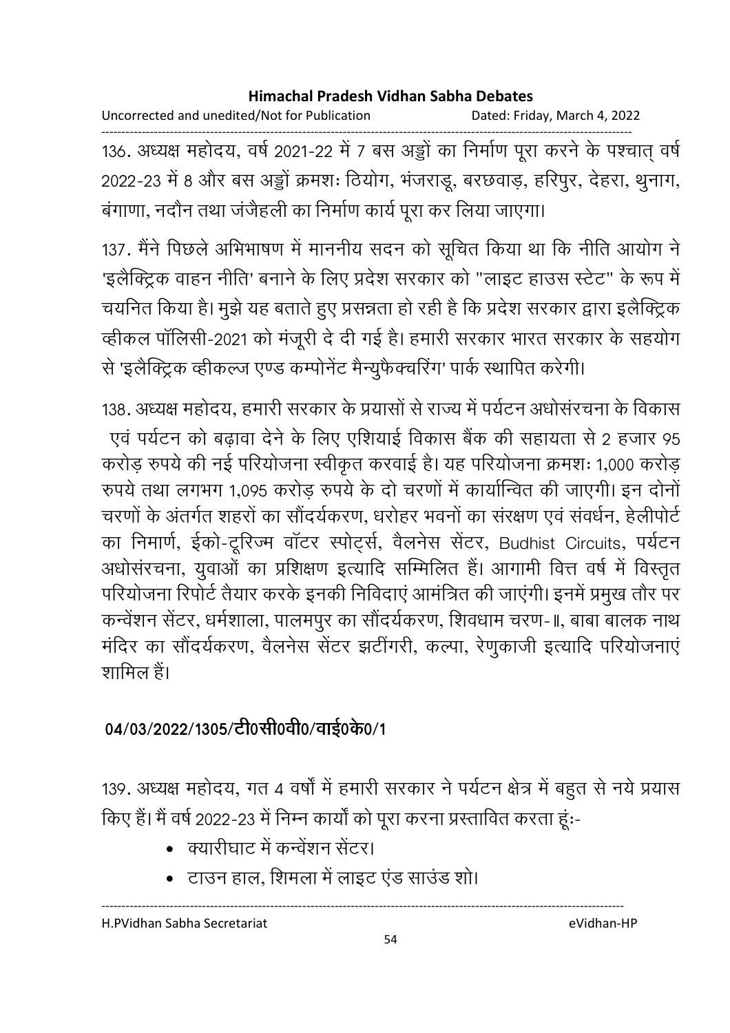Uncorrected and unedited/Not for Publication Dated: Friday, March 4, 2022

------------------------------------------------------------------------------------------------------------------------------------ 136. अध्यक्ष महोदय, वर्ष 2021-22 में 7 बस अड्डो का निर्माण पूरा करने के पश्चात् वर्षे 2022-23 में 8 और बस अड्डो क्रमशः ठियोग, भजराडू, बरछवाड़, हरिपुर, देहरा, थुनाग, बंगाणा, नदौन तथा जंजैहली का निर्माण कार्य पूरा कर लिया जाएगा।

137. मैंने पिछले अभिभाषण में माननीय सदन को सूचित किया था कि नीति आयोग ने 'इलैक्ट्रिक वाहन नीति' बनाने के लिए प्रदेश सरकार को "लाइट हाउस स्टेट" के रूप में चयनित किया है। मुझे यह बताते हुए प्रसन्नता हो रही है कि प्रदेश सरकार द्वारा इलैक्ट्रिक व्हीकल पॉलिसी-2021 को मंजूरी दे दी गई है। हमारी सरकार भारत सरकार के सहयोग से 'इलैक्ट्रिक व्हीकल्ज एण्ड कम्पोनेंट मैन्युफैक्चरिंग' पार्क स्थापित करेगी।

138. अध्यक्ष महोदय, हमारी सरकार के प्रयासों से राज्य में पर्यटन अधोसरचना के विकास एवं पर्यटन को बढ़ावा देने के लिए एशियाई विकास बैंक की सहायता से 2 हजार 95 करोड़ रुपये की नई परियोजना स्वीकृत करवाई है। यह परियोजना क्रमशः 1,000 करोड़ रुपये तथा लगभग 1,095 करोड़ रुपये के दो चरणों में कार्यान्वित की जाएगी। इन दोनों चरणों के अंतर्गत शहरों का सौंदर्यकरण, धरोहर भवनों का संरक्षण एवं संवर्धन, हेलीपोर्ट का निमार्ण, ईको-टूरिज्म वॉटर स्पोर्ट्स, वैलनेस सेंटर, Budhist Circuits, पर्यटन अर्धासरचना, युवाओं का प्रशिक्षण इत्यादि सम्मिलित है। आगामी वित्त वर्ष में विस्तृत परियोजना रिपोर्ट तैयार करके इनकी निविदाएं आमंत्रित की जाएंगी। इनमें प्रमुख तौर पर कन्वेंशन सेंटर, धर्मशाला, पालमपुर का सौंदर्यकरण, शिवधाम चरण-॥, बाबा बालक नाथ मंदिर का सौंदर्यकरण, वैलनेस सेंटर झटींगरी, कल्पा, रेणुकाजी इत्यादि परियोजनाएं शामिल हैं।

# 04/03/2022/1305/टी0सी0वी0/वाई0के0/1

139. अध्यक्ष महोदय, गत 4 वर्षा में हमारी सरकार ने पर्यटन क्षेत्र में बहुत से नये प्रयास किए हैं। मैं वर्ष 2022-23 में निम्न कार्यों को पूरा करना प्रस्तावित करता हूं:-

- क्यारीघाट में कन्वेंशन सेंटर।
- टाउन हाल, शिमला में लाइट एंड साउंड शो।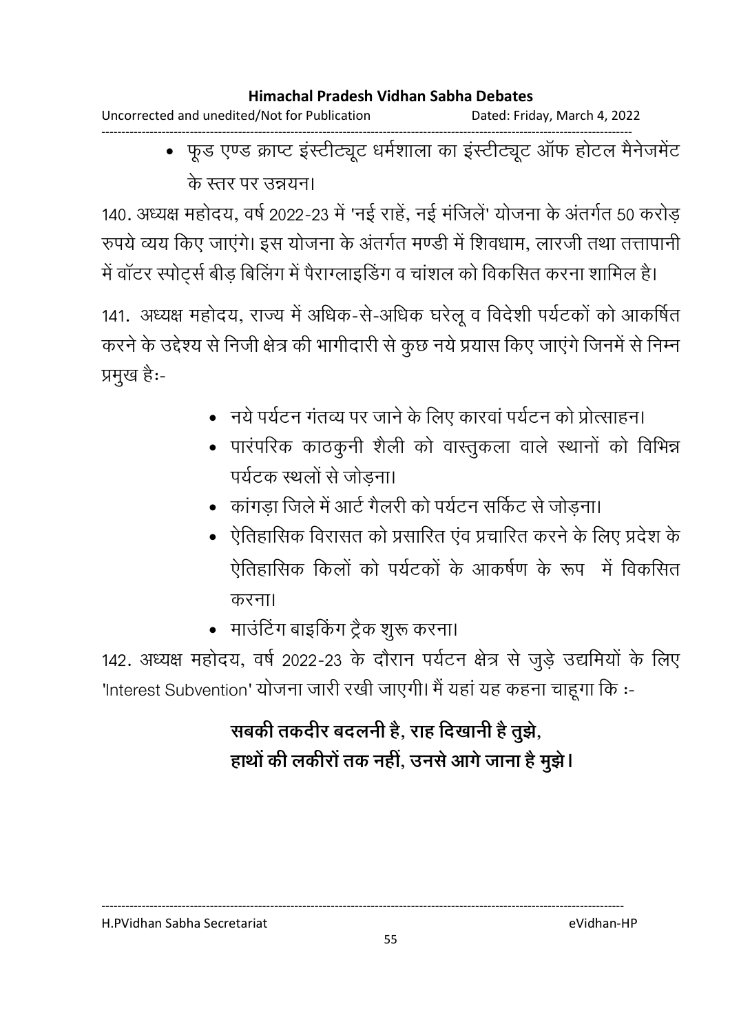Uncorrected and unedited/Not for Publication Dated: Friday, March 4, 2022

------------------------------------------------------------------------------------------------------------------------------------ • फूड एण्ड क्राप्ट इंस्टीट्यूट धर्मशाला का इंस्टीट्यूट ऑफ होटल मैनेजमेंट के स्तर पर उन्रग्नन।

140. अध्यक्ष महोदय, वर्ष 2022-23 में 'नई राहे, नई मर्जिले' योजना के अंतर्गत 50 करोड़ रुपर्य व्यय किए जाएंगे। इस योजना के अंतर्गत मण्डी में शिवधाम, लारजी तथा तत्तापानी में वॉटर स्पोर्ट्स बीड़ बिलिंग में पैराग्लाइडिंग व चांशल को विकसित करना शामिल है।

141. अध्यक्ष महोदय, राज्य में अधिक-से-अधिक घरेलू व विदेशी पर्यटकों को आकर्षित करने के उद्देश्य से निजी क्षेत्र की भागीदारी से कुछ नये प्रयास किए जाएंगे जिनमें से निम्न प्रमुख है:-

- नये पर्यटन गंतव्य पर जाने के लिए कारवां पर्यटन को प्रोत्साहन।
- पारंपरिक काठकुनी शैली को वास्तुकला वाले स्थानों को विभिन्न पर्यटक स्थलों से जोडना।
- कांगड़ा जिले में आर्ट गैलरी को पर्यटन सर्किट से जोड़ना।
- ऐतिहासिक विरासत को प्रसारित एंव प्रचारित करने के लिए प्रदेश के ऐतिहासिक किलों को पर्यटकों के आकर्षण के रूप में विकसित करना।
- माउंटिंग बाइकिंग ट्रैक शुरू करना।

142. अध्यक्ष महोदय, वर्ष 2022-23 के दौरान पर्यटन क्षेत्र से जुड़े उद्यमियों के लिए 'Interest Subvention' योजना जारी रखी जाएगी। मैं यहां यह कहना चाहूगा कि :-

# सबकी तकदीर बदलनी है, राह दिखानी है तुझे, हाथों की लकीरों तक नहीं, उनसे आगे जाना है मुझें l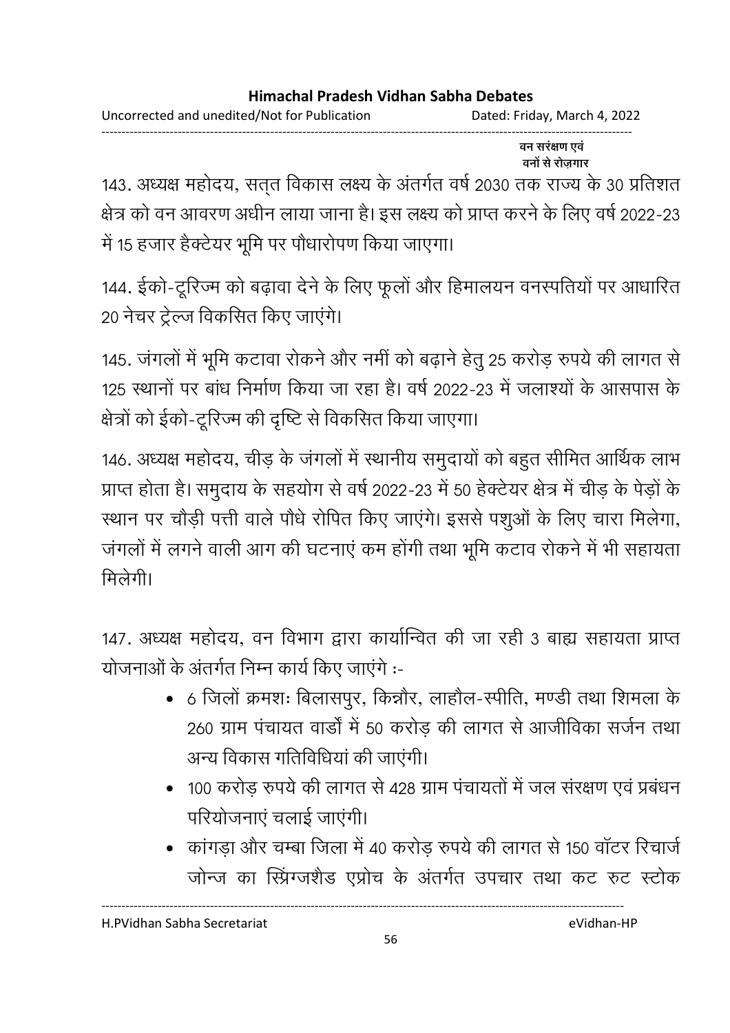Uncorrected and unedited/Not for Publication Dated: Friday, March 4, 2022 ------------------------------------------------------------------------------------------------------------------------------------

वन सरंक्षण एवं प्रदेश के प्रदेश के बाद प्रदेश के बाद प्रदेश के बाद प्रदेश के बाद प्रदेश के बाद प्रदेश के बाद प्रदेश के बाद प् <u>वनों से रोजगार</u>

143. अध्यक्ष महोदय, सत्त विकास लक्ष्य के अंतर्गत वर्ष 2030 तक राज्य के 30 प्रतिशत क्षेत्र को वन आवरण अर्धीन लाया जाना है। इस लक्ष्य को प्राप्त करने के लिए वर्ष 2022-23 में 15 हजार हैक्टेयर भूमि पर पौधारोपण किया जाएगा।

144. ईको-टूरिज्म को बढ़ावा देने के लिए फूलों और हिमालयन वनस्पतियों पर आधारित 20 नेचर ट्रेल्ज विकसित किए जाएंगे।

145. जंगलों में भूमि कटावा रोकने और नमीं को बढ़ाने हेतु 25 करोड़ रुपये की लागत से 125 स्थानों पर बांध निर्माण किया जा रहा है। वर्ष 2022-23 में जलाश्यों के आसपास के क्षेत्रों को ईको-टूरिज्म की दृष्टि से विकसित किया जाएगा।

146. अध्यक्ष महोदय, चीड़ के जगलों में स्थानीय समुदायों को बहुत सीमित आर्थिक लाभ प्राप्त होता है। समुदाय के सहयोग से वर्ष 2022-23 में 50 हेक्टेयर क्षेत्र में चीड़ के पेड़ों के स्थान पर चौड़ी पत्ती वाले पौधे रोपित किए जाएंगे। इससे पशुओं के लिए चारा मिलेगा, जंगलों में लगने वाली आग की घटनाएं कम होंगी तथा भूमि कटाव रोकने में भी सहायता मिलेगी।

147. अध्यक्ष महोदय, वन विभाग द्वारा कार्यान्वित की जा रही 3 बाह्य सहायता प्राप्त योजनाओं के अंतर्गत निम्न कार्य किए जाएंगे :-

- 6 जिलों क्रमशः बिलासपूर, किन्नौर, लाहौल-स्पीति, मण्डी तथा शिमला के 260 ग्राम पंचायत वार्डों में 50 करोड़ की लागत से आजीविका सर्जन तथा अन्य विकास गतिविधिया की जाएगी।
- 100 करोड़ रुपये की लागत से 428 ग्राम पंचायतों में जल संरक्षण एवं प्रबंधन परियोजनाएं चलाई जाएंगी।
- कांगड़ा और चम्बा जिला में 40 करोड़ रुपये की लागत से 150 वॉटर रिचार्ज जोन्ज का स्प्रिंग्जर्शैंड एप्रोच के अंतर्गत उपचार तथा कट रुट स्टॉक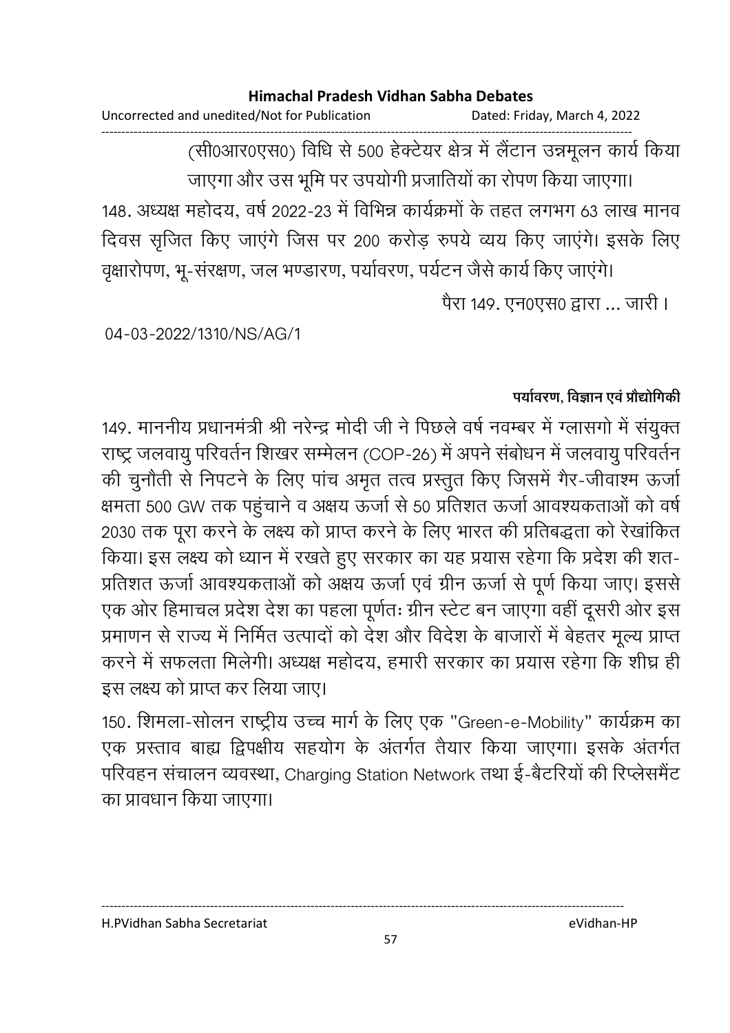Uncorrected and unedited/Not for Publication Dated: Friday, March 4, 2022 ------------------------------------------------------------------------------------------------------------------------------------

(सी०आर०एस०) विधि से 500 हेक्टेयर क्षेत्र में लैटान उन्नमूलन कार्य किया जाएगा और उस भूमि पर उपयोगी प्रजातियों का रोपण किया जाएगा।

148. अध्यक्ष महोदय, वर्ष 2022-23 में विभिन्न कार्यक्रमों के तहत लगभग 63 लाख मानव दिवस सृजित किए जाएंगे जिस पर 200 करोड़ रुपये व्यय किए जाएंगे। इसके लिए

वृक्षारोपण, भू-संरक्षण, जल भण्डारण, पर्यावरण, पर्यटन जैसे कार्य किए जाएंगे। पैरा 149. एन0एस0 द्वारा ... जारी।

04-03-2022/1310/NS/AG/1

## पर्यावरण, विज्ञान एवं प्रौद्योगिकी

149. माननीय प्रधानमंत्री श्री नरेन्द्र मोदी जी ने पिछले वर्ष नवम्बर में ग्लासगो में संयुक्त राष्ट्र जलवायु परिवर्तन शिखर सम्मेलन (COP-26) में अपने संबोधन में जलवायु परिवर्तन की चुनौती से निपटने के लिए पांच अमृत तत्व प्रस्तुत किए जिसमें गैर-जीवाश्म ऊर्जा क्षमता 500 GW तक पहुचाने व अक्षय ऊर्जा से 50 प्रतिशत ऊर्जा आवश्यकताओं को वर्ष 2030 तक पूरा करने के लक्ष्य को प्राप्त करने के लिए भारत की प्रतिबद्धता को रेखांकित किया। इस लक्ष्य को ध्यान में रखते हुए सरकार का यह प्रयास रहेगा कि प्रदेश की शत-प्रतिशत ऊर्जा आवश्यकताओं को अक्षय ऊर्जा एवं ग्रीन ऊर्जा से पूर्ण किया जाए। इससे एक ओर हिमाचल प्रदेश देश का पहला पूर्णतः ग्रीन स्टेट बन जाएगा वहीं दूसरी ओर इस प्रमाणन से राज्य में निर्मित उत्पादों को देश और विदेश के बाजारों में बेहतर मूल्य प्राप्त करने में सफलता मिलेगी। अध्यक्ष महोदय, हमारी सरकार का प्रयास रहेगा कि शीघ्र ही इस लक्ष्य को प्राप्त कर लिया जाए।

150. शिमला-सोलन राष्ट्रीय उच्च मार्ग के लिए एक "Green-e-Mobility" कार्यक्रम का एक प्रस्ताव बाह्य द्विपक्षीय सहयोग के अंतर्गत तैयार किया जाएगा। इसके अंतर्गत परिवहन संचालन व्यवस्था, Charging Station Network तथा ई-बेटरियों की रिप्लेसमेंट का प्रावधान किया जाएगा।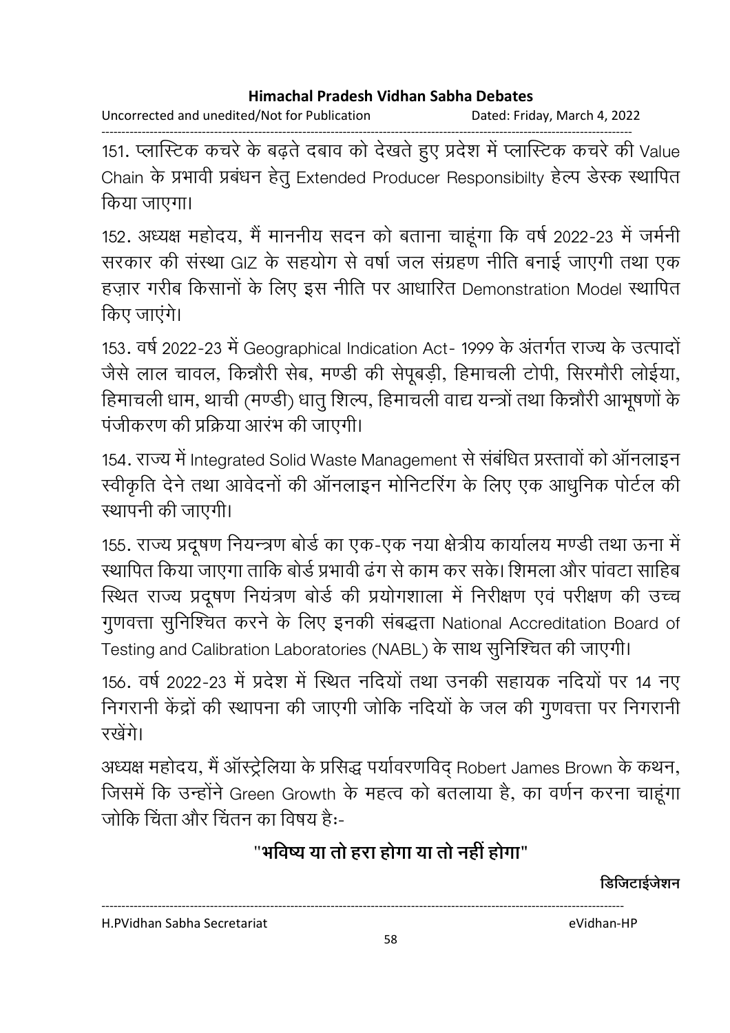------------------------------------------------------------------------------------------------------------------------------------ 151. प्लास्टिक कचरे के बढ़ते दबाव को देखते हुए प्रदेश में प्लास्टिक कचरे की Value Chain के प्रभावी प्रबंधन हेतू Extended Producer Responsibilty हेल्प डेस्क स्थापित किया जाएगा।

152. अध्यक्ष महोदय, मैं माननीय सदन को बताना चाहूंगा कि वर्ष 2022-23 में जर्मनी सरकार की संस्था GIZ के सहयोग से वर्षा जल संग्रहण नीति बनाई जाएगी तथा एक हज़ार गरीब किसानों के लिए इस नीति पर आधारित Demonstration Model स्थापित किए जाएंगे।

153. वर्ष 2022-23 में Geographical Indication Act- 1999 के अंतर्गत राज्य के उत्पादो जैसे लाल चावल, किन्नौरी सेब, मण्डी की सेपूबड़ी, हिमाचली टोपी, सिरमौरी लोईया, हिमाचली धाम, थाची (मण्डी) धातु शिल्प, हिमाचली वाद्य यन्त्रों तथा किन्नौरी आभूषणों के पंजीकरण की प्रक्रिया आरंभ की जाएगी।

154. राज्य में Integrated Solid Waste Management से संबंधित प्रस्तावों को ऑनलाइन स्वीकृति देने तथा आवेदनों की ऑनलाइन मोनिटरिंग के लिए एक आधुनिक पोर्टल की स्थापनी की जाएगी।

155. राज्य प्रदूषण नियन्त्रण बोर्ड का एक-एक नया क्षेत्रीय कार्यालय मण्डी तथा ऊना में रथापित किया जाएगा ताकि बोर्ड प्रभावी ढंग से काम कर सके। शिमला और पांवटा साहिब स्थित राज्य प्रदूषण नियंत्रण बोर्ड की प्रयोगशाला में निरीक्षण एवं परीक्षण की उच्च गुणवत्ता सुनिश्चित करने के लिए इनकी संबद्धता National Accreditation Board of Testing and Calibration Laboratories (NABL) के साथ सुनिश्चित की जाएगी।

156. वर्ष 2022-23 में प्रदेश में स्थित नदियों तथा उनकी सहायक नदियों पर 14 नए निगरानी केंद्रों की स्थापना की जाएगी जोकि नदियों के जल की गुणवत्ता पर निगरानी रखेंगे।

अध्यक्ष महोदय, मैं आस्ट्रेलिया के प्रसिद्ध पर्यावरणविद् Robert James Brown के कथन, जिसमें कि उन्होंने Green Growth के महत्व को बतलाया है, का वर्णन करना चाहूंगा जोकि चिंता और चिंतन का विषय है:-

# "भविष्य या तो हरा होगा या तो नहीं होगा"

<u>डिजिटाईजेशन</u>

H.PVidhan Sabha Secretariat eVidhan-HP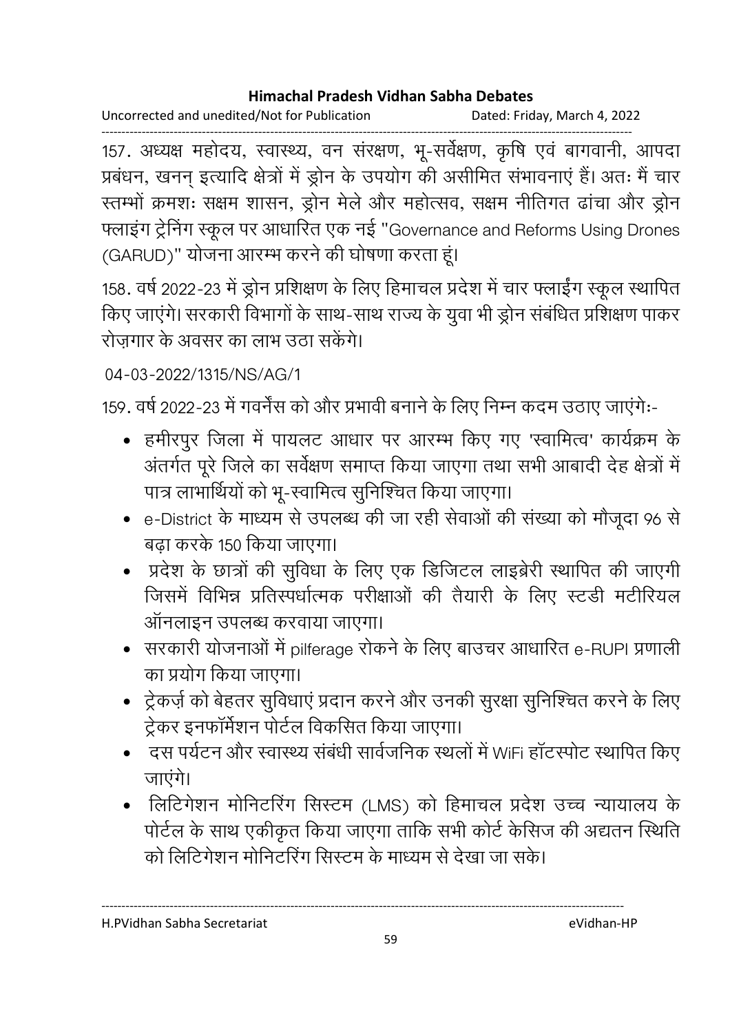Uncorrected and unedited/Not for Publication Dated: Friday, March 4, 2022

------------------------------------------------------------------------------------------------------------------------------------ 157. अध्यक्ष महोदय, स्वास्थ्य, वन सरक्षण, भू-सर्वेक्षण, कृषि एव बागवानी, आपदा प्रबंधन, खनन् इत्यादि क्षेत्रों में ड्रोन के उपयोग की असीमित संभावनाएं हैं। अतः मैं चार रतम्भों क्रमशः सक्षम शासन, ड्रोन मेले और महोत्सव, सक्षम नीतिगत ढांचा और ड्रोन फ्लाइंग ट्रेनिंग स्कूल पर आधारित एक नई "Governance and Reforms Using Drones (GARUD)" योजना आरम्भ करने की घोषणा करता हूं।

158. वर्ष 2022-23 में ड्रोन प्रशिक्षण के लिए हिमाचल प्रदेश में चार फ्लाईंग स्कूल स्थापित किए जाएंगे। सरकारी विभागों के साथ-साथ राज्य के युवा भी ड्रोन संबंधित प्रशिक्षण पाकर रोज़गार के अवसर का लाभ उठा सकेगे।

04-03-2022/1315/NS/AG/1

159. वर्ष 2022-23 में गवर्नेंस को और प्रभावी बनाने के लिए निम्न कदम उठाए जाएंगे:-

- हमीरपुर जिला में पायलट आधार पर आरम्भ किए गए 'स्वामित्व' कार्यक्रम के अंतर्गत पूरे जिले का सर्वेक्षण समाप्त किया जाएगा तथा सभी आबादी देह क्षेत्रों में पात्र लाभार्थियों को भू-स्वामित्व सुनिश्चित किया जाएगा।
- e-District के माध्यम से उपलब्ध की जा रही सेवाओं की संख्या को मौजूदा 96 से बढ़ा करके 150 किया जाएगा।
- प्रदेश के छात्रों की सुविधा के लिए एक डिजिटल लाइब्रेरी स्थापित की जाएगी जिसमें विभिन्न प्रतिस्पर्धात्मक परीक्षाओं की तैयारी के लिए स्टडी मटीरियल ऑनलाइन उपलब्ध करवाया जाएगा।
- सरकारी योजनाओं में pilferage रोकने के लिए बाउचर आधारित e-RUPI प्रणाली का प्रयोग किया जाएगा।
- ट्रेकर्ज़ को बेहतर सुविधाएं प्रदान करने और उनकी सुरक्षा सुनिश्चित करने के लिए ट्रेकर इनफॉर्मेशन पोर्टल विकसित किया जाएगा।
- दस पर्यटन और स्वास्थ्य संबंधी सार्वजनिक स्थलों में WiFi हॉटस्पोट स्थापित किए जाएंगे।
- लिटिगेशन मोनिटरिंग सिस्टम (LMS) को हिमाचल प्रदेश उच्च न्यायालय के पोर्टल के साथ एकीकृत किया जाएगा ताकि सभी कोर्ट केंसिज की अद्यतन स्थिति. <u>को लिटिगेशन मोनिटरिंग सिस्टम के माध्यम से देखा जा सके।</u>

H.PVidhan Sabha Secretariat eVidhan-HP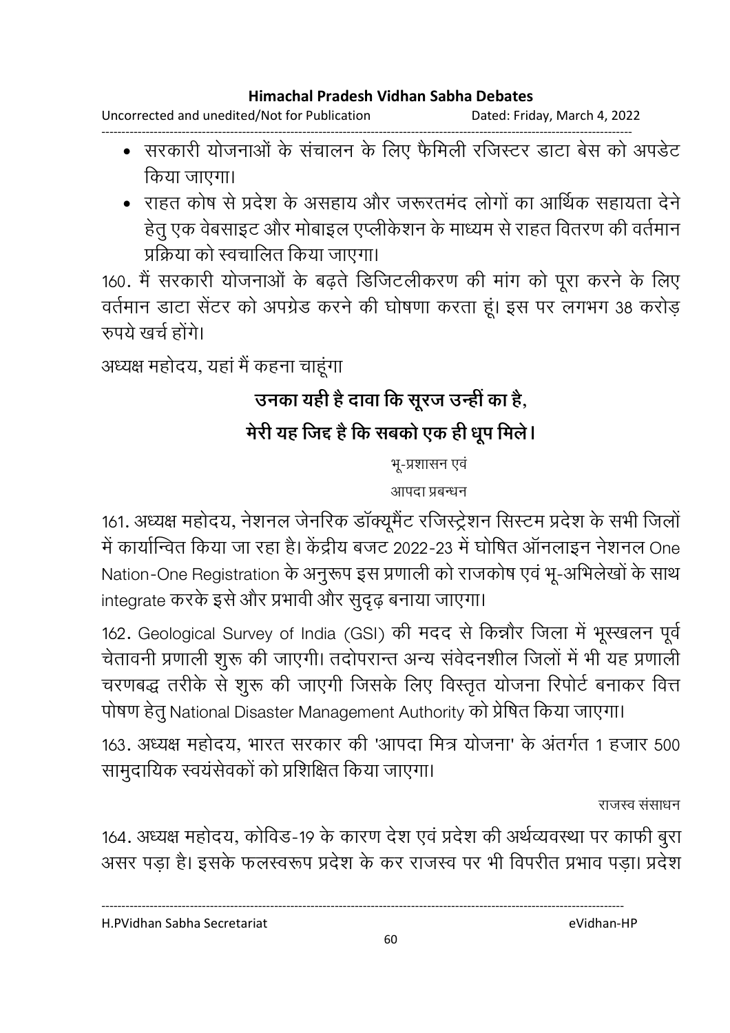Uncorrected and unedited/Not for Publication Dated: Friday, March 4, 2022

- ------------------------------------------------------------------------------------------------------------------------------------ • सरकारी योजनाओं के संचालन के लिए फैमिली रजिस्टर डाटा बेस को अपडेट किया जाएगा।
	- राहत कोष से प्रदेश के असहाय और जरूरतमंद लोगों का आर्थिक सहायता देने हेतु एक वेबसाइट और मोबाइल एप्लीकेशन के माध्यम से राहत वितरण की वर्तमान प्रक्रिया को स्वचालित किया जाएगा।

160. मैं सरकारी योजनाओं के बढ़ते डिजिटलीकरण की मांग को पूरा करने के लिए वर्तमान डाटा सेंटर को अपग्रेड करने की घोषणा करता हूं। इस पर लगभग 38 करोड़ रुपये खर्च होंगे।

अध्यक्ष महोदय, यहां मैं कहना चाहूंगा

# उनका यही है दावा कि सूरज उन्ही का है,

# मेरी यह जिंद है कि सबको एक ही धूप मिले।

भू-प्रशासन एवं

आपदा प्रबन्धन

161. अध्यक्ष महोदय, नेशनल जेनरिक डाक्यूमेंट रजिस्ट्रेशन सिस्टम प्रदेश के सभी जिलो में कार्यान्वित किया जा रहा है। केंद्रीय बजट 2022-23 में घोषित ऑनलाइन नेशनल One Nation-One Registration के अनुरूप इस प्रणाली को राजकोष एवं भू-अभिलेखों के साथ integrate करके इसे और प्रभावी और सुदृढ़ बनाया जाएगा।

162. Geological Survey of India (GSI) की मदद से किन्नौर जिला में भूस्खलन पूर्व चेतावनी प्रणाली शुरू की जाएगी। तदोपरान्त अन्य सर्वदनशील जिलों में भी यह प्रणाली चरणबद्ध तरीके से शुरू की जाएगी जिसके लिए विस्तृत योजना रिपोर्ट बनाकर वित्त पोषण हेतु National Disaster Management Authority को प्रेषित किया जाएगा।

163. अध्यक्ष महोदय, भारत सरकार की 'आपदा मित्र योजना' के अंतर्गत 1 हजार 500 सामुदायिक स्वयंसेवकों को प्रशिक्षित किया जाएगा।

राजस्व संसाधन

164. अध्यक्ष महोदय, कोविड-19 के कारण देश एवं प्रदेश की अर्थव्यवस्था पर काफी बुरा असर पड़ा है। इसके फलस्वरूप प्रदेश के कर राजस्व पर भी विपरीत प्रभाव पड़ा। प्रदेश

H.PVidhan Sabha Secretariat eVidhan-HP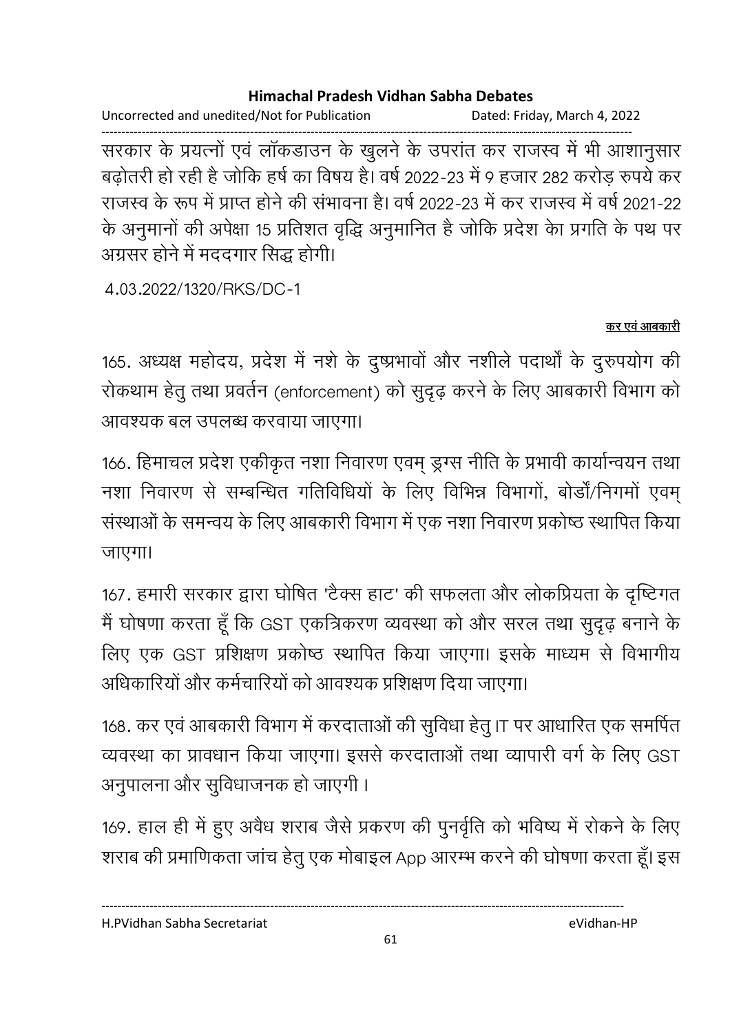Uncorrected and unedited/Not for Publication Dated: Friday, March 4, 2022

------------------------------------------------------------------------------------------------------------------------------------ सरकार के प्रयत्नों एवं लाकडाउन के खुलने के उपरांत कर राजस्व में भी आशानुसार बढ़ोतरी हो रही है जोकि हर्ष का विषय है। वर्ष 2022-23 में 9 हजार 282 करोड़ रुपये कर राजस्व के रूप में प्राप्त होने की संभावना है। वर्ष 2022-23 में कर राजस्व में वर्ष 2021-22 के अनुमानों की अपेक्षा 15 प्रतिशत वृद्धि अनुमानित है जोकि प्रदेश का प्रगति के पथ पर अंग्रसर होने में मददगार सिद्ध होगी।

4.03.2022/1320/RKS/DC-1

### <u>कर एवं आबकारी</u>

165. अध्यक्ष महोदय, प्रदेश में नशे के दुष्प्रभावों और नशीले पदार्थों के दुरुपयोग की रोकथाम हेतु तथा प्रवर्तन (enforcement) को सुदृढ़ करने के लिए आबकारी विभाग को आवश्यक बल उपलब्ध करवाया जाएगा।

166. हिमाचल प्रदेश एकीकृत नशा निवारण एवम् ड्रग्स नीति के प्रभावी कार्यान्वयन तथा नशा निवारण से सम्बन्धित गतिविधियों के लिए विभिन्न विभागों, बोर्डो/निगमों एवम् संस्थाओं के समन्वय के लिए आबकारी विभाग में एक नशा निवारण प्रकोष्ठ स्थापित किया जाएगा।

167. हमारी सरकार द्वारा घोषित 'टैक्स हाट' की सफलता और लोकप्रियता के दृष्टिगत मैं घोषणा करता हूँ कि GST एकत्रिकरण व्यवस्था को और सरल तथा सुदृढ़ बनाने के लिए एक GST प्रशिक्षण प्रकोष्ठ स्थापित किया जाएगा। इसके माध्यम से विभागीय आंधकारियों और कर्मचारियों को आवश्यक प्रशिक्षण दिया जाएगा।

168. कर एवं आबकारी विभाग में करदाताओं की सुविधा हेतू IT पर आधारित एक समर्पित व्यवस्था का प्रावधान किया जाएगा। इससे करदाताओं तथा व्यापारी वर्ग के लिए GST अनुपालना और सुविधाजनक हो जाएगी ।

169. हाल ही में हुए अवैध शराब जैसे प्रकरण की पुनवृति को भविष्य में रोकने के लिए शराब की प्रमाणिकता जांच हेतु एक मोबाइल App आरम्भ करने की घोषणा करता हूँ। इस

H.PVidhan Sabha Secretariat eVidhan-HP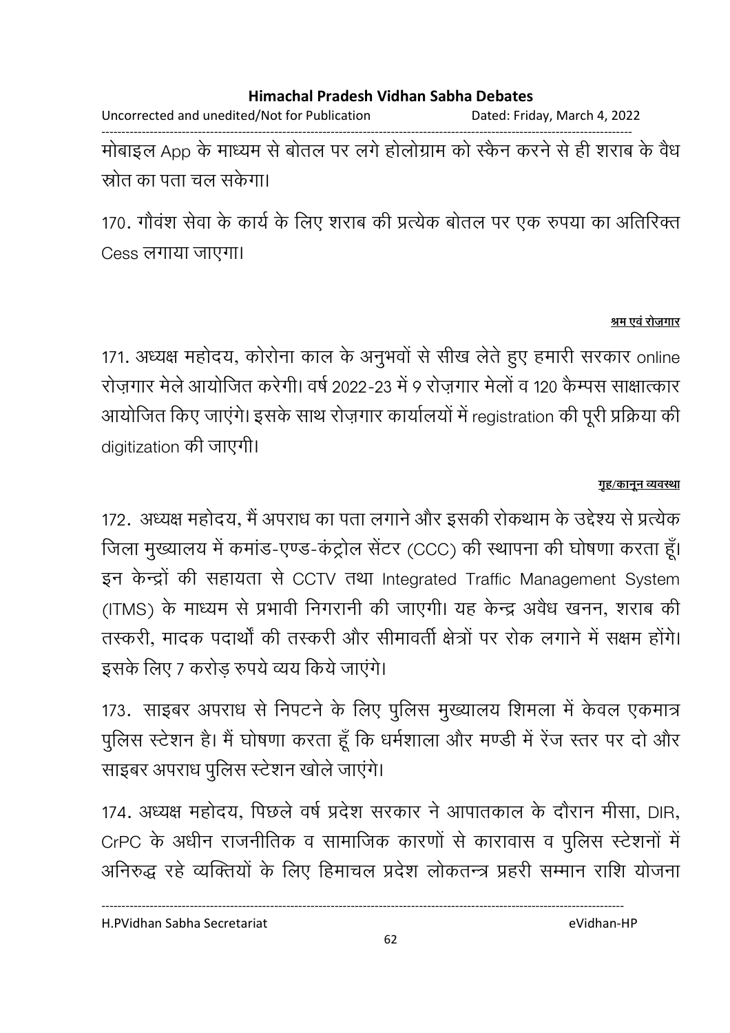Uncorrected and unedited/Not for Publication Dated: Friday, March 4, 2022 ------------------------------------------------------------------------------------------------------------------------------------ मोबाइल App के माध्यम से बोतल पर लगे होलोग्राम को स्कैन करने से ही शराब के वैध स्रोत का पता चल सकेगा।

170. गौवश सेवा के कार्य के लिए शराब की प्रत्येक बोतल पर एक रुपया का अतिरिक्त Cess लगाया जाएगा।

### श्रम एवं रोजगार

171. अध्यक्ष महोदय, कोरोना काल के अनुभवों से सीख लेते हुए हमारी सरकार online रोज़गार मेले आयोजित करेगी। वर्ष 2022-23 में 9 रोज़गार मेलों व 120 कैम्पस साक्षात्कार आयोजित किए जाएंगे। इसके साथ रोज़गार कार्यालयों में registration की पूरी प्रक्रिया की digitization की जाएगी।

### <u>गृह/कानून व्यवस्था</u>

172. अध्यक्ष महोदय, मैं अपराध का पता लगाने और इसकी रोकथाम के उद्देश्य से प्रत्येक जिला मुख्यालय में कमांड-एण्ड-कंट्रोल सेंटर (CCC) की स्थापना की घोषणा करता हूं। इन केन्द्रों की सहायता से CCTV तथा Integrated Traffic Management System (ITMS) के माध्यम से प्रभावी निगरानी की जाएगी। यह केन्द्र अवैध खनन, शराब की तस्करी, मादक पदार्थों की तस्करी और सीमावर्ती क्षेत्रों पर रोक लगाने में सक्षम होंगे। इसके लिए 7 करोड़ रुपये व्यय किये जाएंगे।

173. साइबर अपराध से निपटने के लिए पुलिस मुख्यालय शिमला में केवल एकमात्र पुलिस स्टेशन है। मैं घोषणा करता हूँ कि धर्मशाला और मण्डी में रेंज स्तर पर दो और साइबर अपराध पुलिस स्टेशन खोले जाएगे।

174. अध्यक्ष महोदय, पिछले वर्ष प्रदेश सरकार ने आपातकाल के दौरान मीसा, DIR, CrPC के अर्धीन राजनीतिक व सामाजिक कारणों से कारावास व पुलिस स्टेशनों में आंनेरुद्ध रहे व्यक्तियों के लिए हिमाचल प्रदेश लोकतन्त्र प्रहरी सम्मान राशि योजना

H.PVidhan Sabha Secretariat eVidhan-HP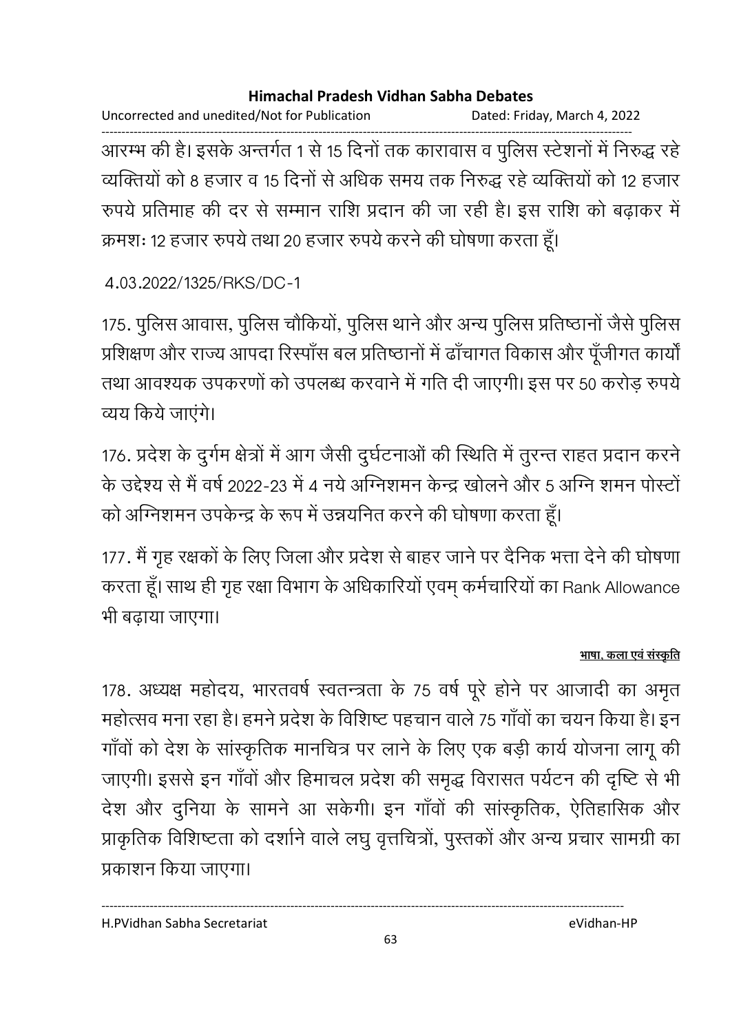Uncorrected and unedited/Not for Publication Dated: Friday, March 4, 2022 ------------------------------------------------------------------------------------------------------------------------------------ आरम्भ की है। इसके अन्तर्गत 1 से 15 दिनों तक कारावास व पुलिस स्टेशनों में निरुद्ध रहें व्यक्तियों को 8 हजार व 15 दिनों से अधिक समय तक निरुद्ध रहे व्यक्तियों को 12 हजार रुपये प्रतिमाह की दर से सम्मान राशि प्रदान की जा रही है। इस राशि को बढाकर में क्रमशः १२ हजार रुपये तथा २० हजार रुपये करने की घोषणा करता हूँ।

```
4.03.2022/1325/RKS/DC-1
```
175. पुलिस आवास, पुलिस चौंकियों, पुलिस थाने और अन्य पुलिस प्रतिष्ठानों जैसे पुलिस प्रशिक्षण और राज्य आपदा रिस्पॉंस बल प्रतिष्ठानों में ढाँचागत विकास और पूँजीगत कार्यों तथा आवश्यक उपकरणों को उपलब्ध करवाने में गति दी जाएगी। इस पर 50 करोड़ रुपये व्यय किये जाएंगे।

176. प्रदेश के दुर्गम क्षेत्रों में आग जैसी दुर्घटनाओं की स्थिति में तुरन्त राहत प्रदान करने के उद्देश्य से मैं वर्ष 2022-23 में 4 नये ओग्नेशमन केन्द्र खोलने और 5 ओग्ने शमन पोस्टो को अग्निशमन उपकेन्द्र के रूप में उन्नयनित करने की घोषणा करता हूं।

177. मैं गृह रक्षकों के लिए जिला और प्रदेश से बाहर जाने पर दैनिक भत्ता देने की घोषणा करता हूं। साथ ही गृह रक्षा विभाग के अधिकारियों एवम् कर्मचारियों का Rank Allowance भी बढ़ाया जाएगा।

### <u>भाषा, कला एव संस्कृति</u>

178. अध्यक्ष महोदय, भारतवर्ष स्वतन्त्रता के 75 वर्ष पूरे होने पर आजादी का अमृत महोत्सव मना रहा है। हमने प्रदेश के विशिष्ट पहचान वाले 75 गाँवों का चयन किया है। इन गाँवों को देश के सांस्कृतिक मानचित्र पर लाने के लिए एक बड़ी कार्य योजना लागू की जाएगी। इससे इन गाँवों और हिमाचल प्रदेश की समृद्ध विरासत पर्यटन की दृष्टि से भी देश और दुनिया के सामने आ सकेगी। इन गाँवों की सांस्कृतिक, ऐतिहासिक और प्राकृतिक विशिष्टता को दर्शाने वाले लघु वृत्तचित्रो, पुस्तको और अन्य प्रचार सामग्री का प्रकाशन किया जाएगा।

H.PVidhan Sabha Secretariat eVidhan-HP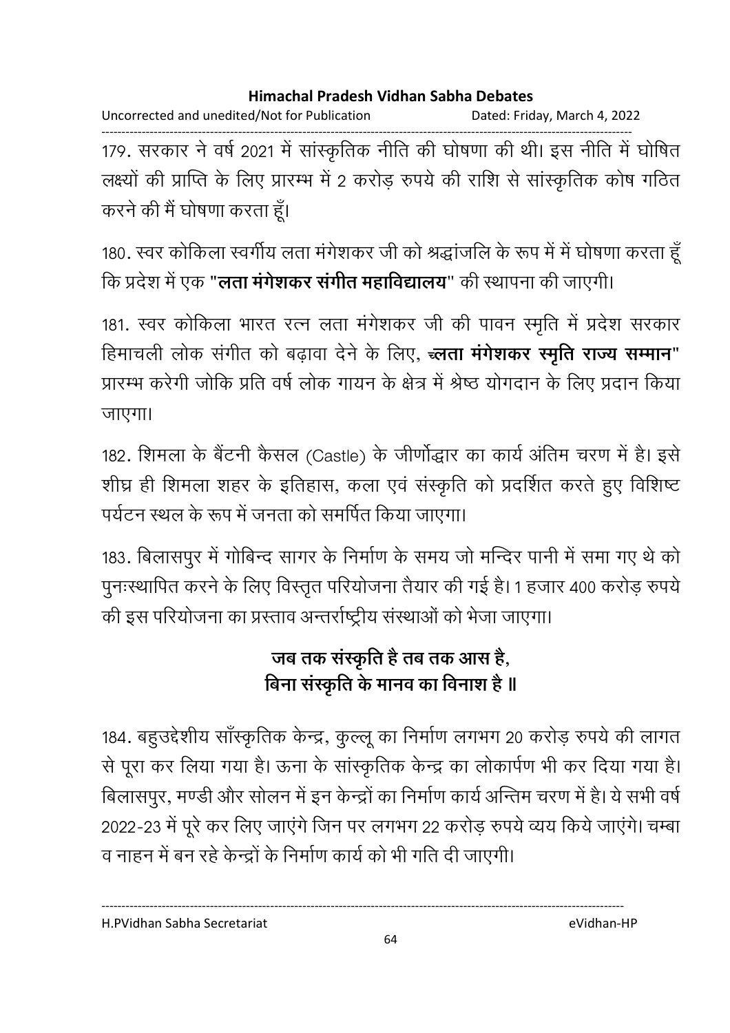Uncorrected and unedited/Not for Publication Dated: Friday, March 4, 2022

------------------------------------------------------------------------------------------------------------------------------------ 179. सरकार ने वर्ष 2021 में सांस्कृतिक नीति की घोषणा की थी। इस नीति में घोषित लक्ष्यों की प्राप्ति के लिए प्रारम्भ में 2 करोड़ रुपये की राशि से सांस्कृतिक कोष गठित करने की मैं घोषणा करता हूँ।

180. स्वर कोकिला स्वर्गीय लता मंगेशकर जी को श्रद्धांजलि के रूप में में घोषणा करता हूँ कि प्रदेश में एक "**लता मर्गशकर सर्गीत महाविद्यालय**" की स्थापना की जाएगी।

181. स्वर कोकिला भारत रत्न लता मंगेशकर जी की पावन स्मृति में प्रदेश सरकार हिमाचली लोक संगीत को बढ़ावा देने के लिए, **ज्लता मंगेशकर स्मृति राज्य सम्मान"** प्रारम्भ करेगी जोकि प्रति वर्ष लोक गायन के क्षेत्र में श्रेष्ठ योगदान के लिए प्रदान किया जाएगा।

182. शिमला के बैटनी कैसल (Castle) के जीणोद्धार का कार्य अतिम चरण में हैं। इसे शीघ्र ही शिमला शहर के इतिहास, कला एवं संस्कृति को प्रदर्शित करते हुए विशिष्ट पर्यटन स्थल के रूप में जनता को समर्पित किया जाएगा।

183. बिलासपुर में गोबिन्द सागर के निर्माण के समय जो मन्दिर पानी में समा गए थे को पुनःस्थापित करने के लिए विस्तृत परियोजना तैयार की गई है। 1 हजार 400 करोड़ रुपये की इस परियोजना का प्रस्ताव अन्तर्राष्ट्रीय संस्थाओं को भेजा जाएगा।

# जब तक संस्कृति <del>है</del> तब तक आस है, बिना संस्कृति के मानव का विनाश है ॥

184. बहुउद्देशीय साँस्कृतिक केन्द्र, कुल्लू का निर्माण लगभग 20 करोड़ रुपये की लागत से पूरा कर लिया गया है। ऊना के सांस्कृतिक केन्द्र का लोकार्पण भी कर दिया गया है। बिलासपुर, मण्डी और सोलन में इन केन्द्रों का निर्माण कार्य अन्तिम चरण में हैं। ये सभी वर्ष 2022-23 में पूरे कर लिए जाएंगे जिन पर लगभग 22 करोड़ रुपये व्यय किये जाएंगे। चम्बा व नाहन में बन रहे केन्द्रों के निर्माण कार्य को भी गति दी जाएगी।

H.PVidhan Sabha Secretariat eVidhan-HP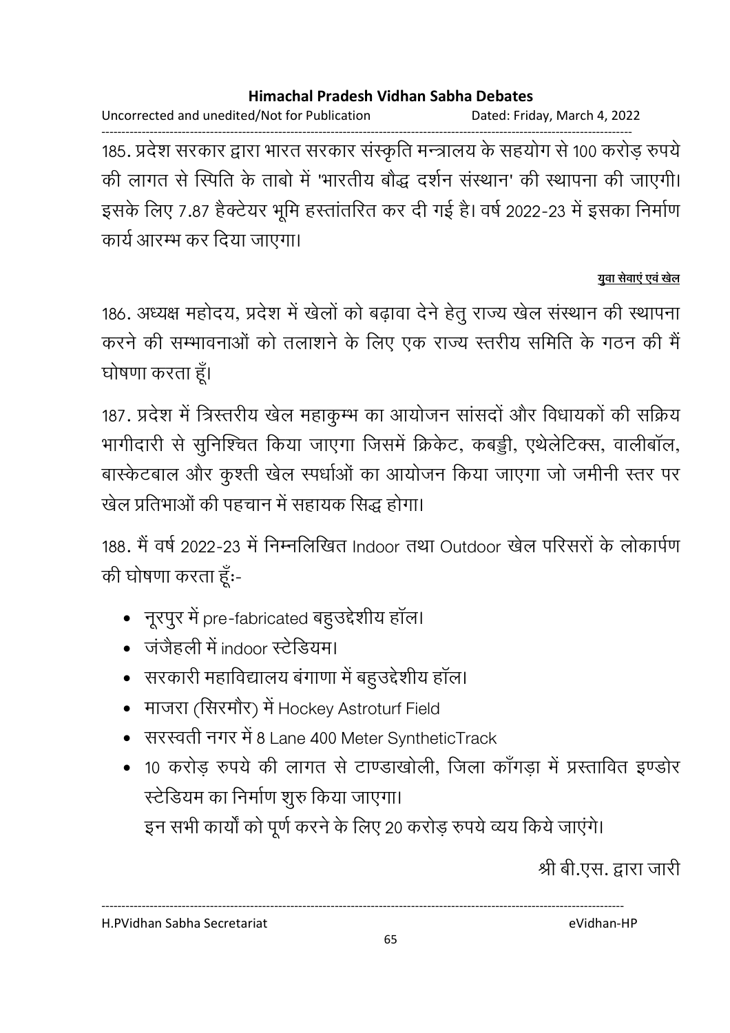Uncorrected and unedited/Not for Publication Dated: Friday, March 4, 2022

------------------------------------------------------------------------------------------------------------------------------------ 185. प्रदेश सरकार द्वारा भारत सरकार संस्कृति मन्त्रालय के सहयोग से 100 करोड़ रुपये की लागत से स्पिति के ताबो में 'भारतीय बौद्ध दर्शन संस्थान' की स्थापना की जाएगी। इसके लिए 7.87 हैक्टेयर भूमि हस्तांतरित कर दी गई है। वर्ष 2022-23 में इसका निर्माण कार्य आरम्भ कर दिया जाएगा।

### <u>युवा सेवाए एव खेल</u>

186. अध्यक्ष महोदय, प्रदेश में खेलों को बढ़ावा देने हेतु राज्य खेल संस्थान की स्थापना करने की सम्भावनाओं को तलाशने के लिए एक राज्य स्तरीय समिति के गठन की मैं घोषणा करता हूँ।

187. प्रदेश में त्रिस्तरीय खेल महाकुम्भ का आयोजन सांसदों और विधायकों की सक्रिय भागीदारी से सुनिश्चित किया जाएगा जिसमें क्रिकेट, कबड्डी, एथेलेटिक्स, वालीबॉल, बास्केटबाल और कुश्ती खेल स्पर्धाओं का आयोजन किया जाएगा जो जमीनी स्तर पर खेल प्रतिभाओं की पहचान में सहायक सिद्ध होगा।

188, मैं वर्ष 2022-23 में निम्नलिखित Indoor तथा Outdoor खेल परिसरों के लोकार्पण की घोषणा करता हूँ:-

- नूरपुर में pre-fabricated बहुउद्देशीय हॉल।
- जंजैहली में indoor स्टेडियम।
- सरकारी महाविद्यालय बंगाणा में बहुउद्देशीय हॉल।
- माजरा (सिरमौर) में Hockey Astroturf Field
- सरस्वती नगर में 8 Lane 400 Meter SyntheticTrack
- 10 करोड रुपये की लागत से टाण्डाखोली, जिला कॉंगड़ा में प्रस्तावित इण्डोर स्टेडियम का निर्माण शुरु किया जाएगा। इन सभी कार्यों को पूर्ण करने के लिए 20 करोड़ रुपये व्यय किये जाएंगे।

श्री बी.एस. द्वारा जारी

H.PVidhan Sabha Secretariat eVidhan-HP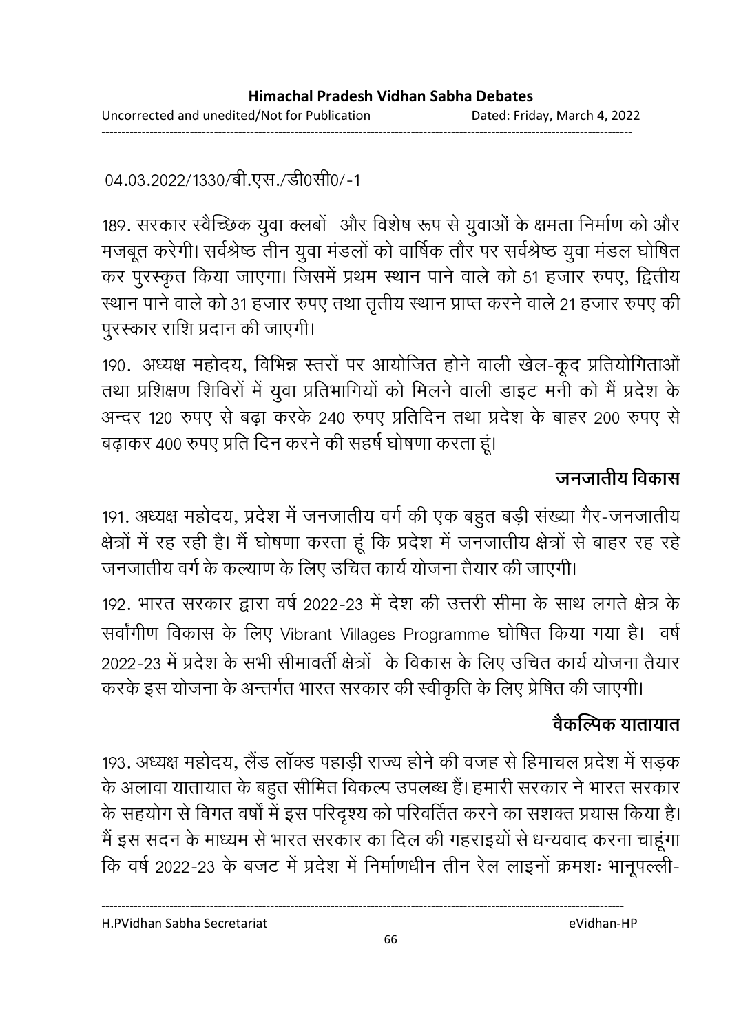04.03.2022/1330/बी.एस./डी0सी0/-1

189. सरकार स्वैच्छिक युवा क्लबों और विशेष रूप से युवाओं के क्षमता निर्माण को और मजबूत करेगी। सर्वश्रेष्ठ तीन युवा मंडलों को वार्षिक तौर पर सर्वश्रेष्ठ युवा मंडल घोषित कर पुरस्कृत किया जाएगा। जिसमें प्रथम स्थान पाने वाले को 51 हजार रुपए, द्वितीय स्थान पाने वाले को 31 हजार रुपए तथा तृतीय स्थान प्राप्त करने वाले 21 हजार रुपए की पुरस्कार राशि प्रदान की जाएगी।

190. अध्यक्ष महोदय, विभिन्न स्तरों पर आयोजित होने वाली खेल-कूद प्रतियोगिताओं तथा प्रशिक्षण शिविरों में युवा प्रतिभागियों को मिलने वाली डाइट मनी को मैं प्रदेश के अन्दर 120 रुपए से बढ़ा करके 240 रुपए प्रतिदिन तथा प्रदेश के बाहर 200 रुपए से बढ़ाकर 400 रुपए प्रति दिन करने की सहर्ष घोषणा करता हूं।

## जनजातीय विकास

191. अध्यक्ष महोदय, प्रदेश में जनजातीय वर्ग की एक बहुत बड़ी संख्या गैर-जनजातीय क्षेत्रों में रह रही है। मैं घोषणा करता हूं कि प्रदेश में जनजातीय क्षेत्रों से बाहर रह रहे जनजातीय वर्ग के कल्याण के लिए उचित कार्य योजना तैयार की जाएगी।

192. भारत सरकार द्वारा वर्ष 2022-23 में देश की उत्तरी सीमा के साथ लगते क्षेत्र के सर्वांगीण विकास के लिए Vibrant Villages Programme घोषित किया गया है। वर्ष 2022-23 में प्रदेश के सभी सीमावर्ती क्षेत्रों के विकास के लिए उचित कार्य योजना तैयार करके इस योजना के अन्तर्गत भारत सरकार की स्वीकृति के लिए प्रेषित की जाएगी।

## वैकल्पिक यातायात

193. अध्यक्ष महोदय, लैंड लाक्ड पहाड़ी राज्य होने की वजह से हिमाचल प्रदेश में सड़क के अलावा यातायात के बहुत सीमित विकल्प उपलब्ध है। हमारी सरकार ने भारत सरकार के सहयोग से विगत वर्षों में इस परिदृश्य को परिवर्तित करने का सशक्त प्रयास किया है। मैं इस सदन के माध्यम से भारत सरकार का दिल की गहराइयों से धन्यवाद करना चाहूंगा कि वर्ष 2022-23 के बजट में प्रदेश में निर्माणधीन तीन रेल लाइनों क्रमशः भानूपल्ली-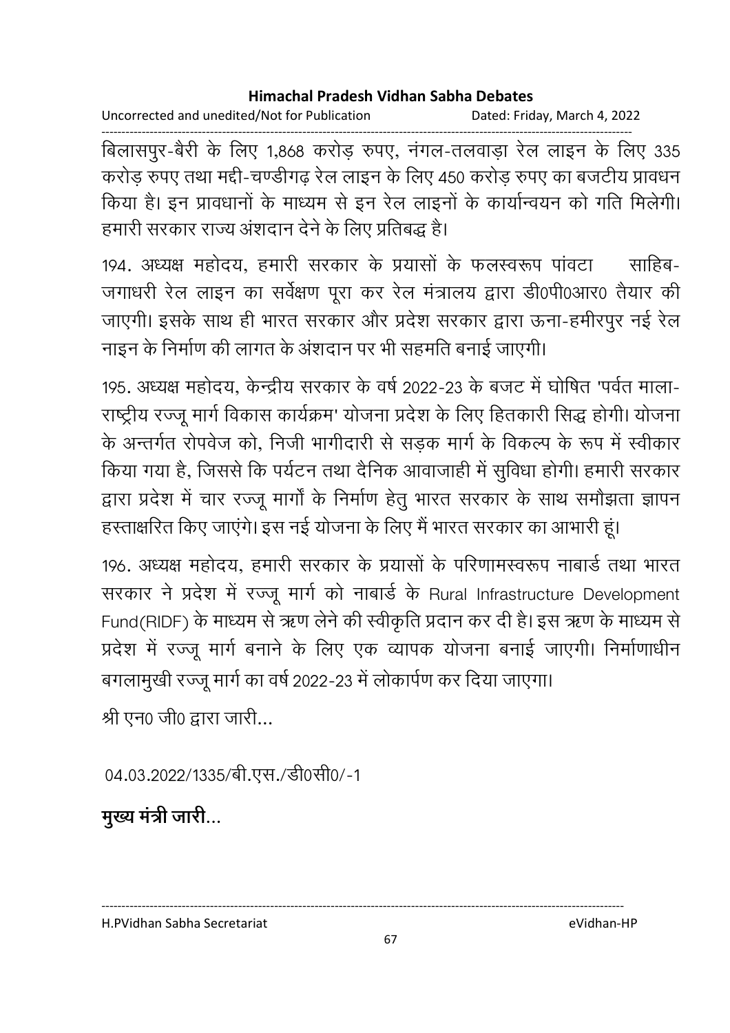Uncorrected and unedited/Not for Publication Dated: Friday, March 4, 2022

------------------------------------------------------------------------------------------------------------------------------------ बिलासपुर-बैरी के लिए 1,868 करोड़ रुपए, नंगल-तलवाड़ा रेल लाइन के लिए 335 करोड रुपए तथा मद्दी-चण्डीगढ रेल लाइन के लिए 450 करोड रुपए का बजटीय प्रावधन किया है। इन प्रावधानों के माध्यम से इन रेल लाइनों के कार्यान्वयन को गति मिलेगी। हमारी सरकार राज्य अशदान देने के लिए प्रतिबद्ध है।

194. अध्यक्ष महोदय, हमारी सरकार के प्रयासों के फलस्वरूप पावटा ँ साहिब-जगाधरी रेल लाइन का सर्वेक्षण पूरा कर रेल मंत्रालय द्वारा डी0पी0आर0 तैयार की जाएगी। इसके साथ ही भारत सरकार और प्रदेश सरकार द्वारा ऊना-हमीरपुर नई रेल नाइन के निर्माण की लागत के अशदान पर भी सहमति बनाई जाएगी।

195. अध्यक्ष महोदय, केन्द्रीय सरकार के वर्ष 2022-23 के बजट में घोषित 'पर्वत माला-राष्ट्रीय रज्जू मार्ग विकास कार्यक्रम' योजना प्रदेश के लिए हितकारी सिद्ध होगी। योजना के अन्तर्गत रोपवेज को, निजी भागीदारी से सड़क मार्ग के विकल्प के रूप में स्वीकार किया गया है, जिससे कि पर्यटन तथा दैनिक आवाजाही में सुविधा होगी। हमारी सरकार द्वारा प्रदेश में चार रज्जू मार्गों के निर्माण हेतु भारत सरकार के साथ समौझता ज्ञापन हस्ताक्षरित किए जाएंगे। इस नई योजना के लिए मैं भारत सरकार का आभारी हूं।

196. अध्यक्ष महोदय, हमारी सरकार के प्रयासों के परिणामस्वरूप नाबार्ड तथा भारत सरकार ने प्रदेश में रज्जू मार्ग को नाबार्ड के Rural Infrastructure Development Fund(RIDF) के माध्यम से ऋण लेने की स्वीकृति प्रदान कर दी है। इस ऋण के माध्यम से प्रदेश में रज्जू मार्ग बनाने के लिए एक व्यापक योजना बनाई जाएगी। निर्माणाधीन बगलामुखी रज्जू मार्ग का वर्ष 2022-23 में लोकार्पण कर दिया जाएगा।

श्री एन0 जी0 द्वारा जारी...

04.03.2022/1335/बी.एस./डी0सी0/-1

**मुख्य मंत्री जारी...** 

H.PVidhan Sabha Secretariat eVidhan-HP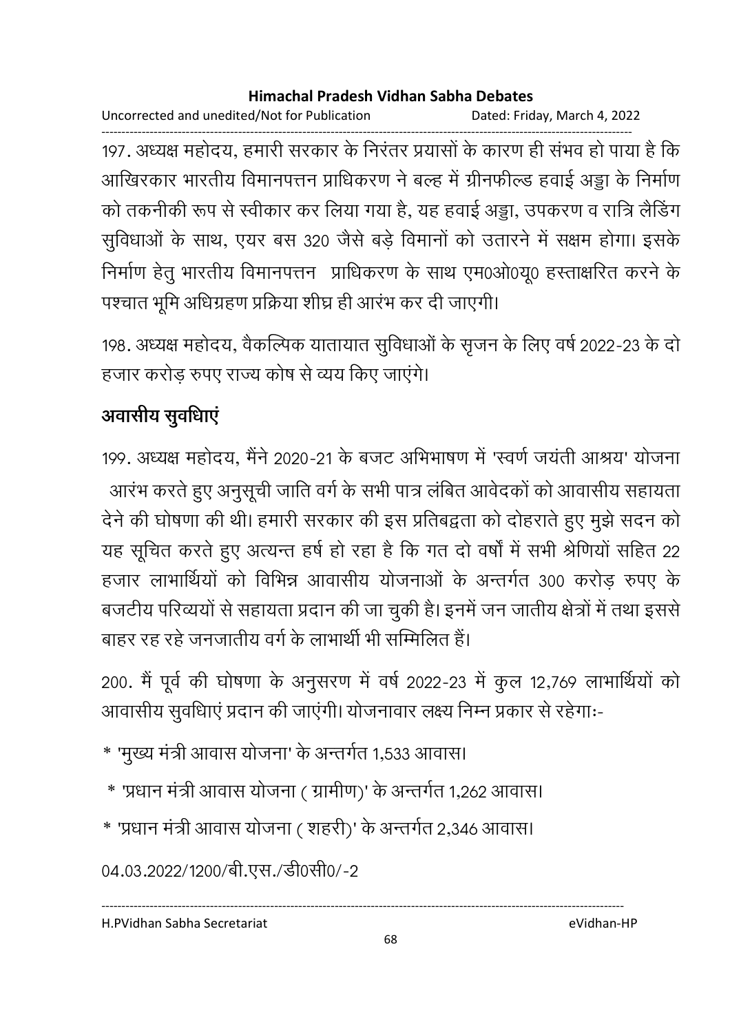Uncorrected and unedited/Not for Publication Dated: Friday, March 4, 2022

------------------------------------------------------------------------------------------------------------------------------------ 197. अध्यक्ष महोदय, हमारी सरकार के निरंतर प्रयासों के कारण ही संभव हो पाया है कि आखिरकार भारतीय विमानपत्तन प्राधिकरण ने बल्ह में ग्रीनफील्ड हवाई अड्डा के निर्माण को तकनीकी रूप से स्वीकार कर लिया गया है, यह हवाई अड्डा, उपकरण व रात्रि लैंडिंग सुविधाओं के साथ, एयर बस 320 जैसे बड़े विमानों को उतारने में सक्षम होगा। इसके निर्माण हेतू भारतीय विमानपत्तन प्राधिकरण के साथ एम0ओ0यू0 हस्ताक्षरित करने के पश्चात भूमि अधिग्रहण प्रक्रिया शीघ्र ही आरंभ कर दी जाएगी।

198. अध्यक्ष महोदय, वैकल्पिक यातायात सुविधाओं के सृजन के लिए वर्ष 2022-23 के दो हजार करोड रुपए राज्य कोष से व्यय किए जाएंगे।

# अवासीय सुवर्धिाए

199. अध्यक्ष महोदय, मैंने 2020-21 के बजट अभिभाषण में 'स्वर्ण जयती आश्रय' योजना आरभ करते हुए अनुसूची जाति वर्ग के सभी पात्र लबित आवेदकों को आवासीय सहायता. देने की घोषणा की थी। हमारी सरकार की इस प्रतिबद्वता को दोहराते हुए मुझे सदन को यह सूचित करते हुए अत्यन्त हर्ष हो रहा है कि गत दो वर्षों में सभी श्रीणेयो सहित 22 हजार लाभार्थियों को विभिन्न आवासीय योजनाओं के अन्तर्गत 300 करोड़ रुपए के बजटीय परिव्ययों से सहायता प्रदान की जा चुकी है। इनमें जन जातीय क्षेत्रों में तथा इससे बाहर रह रहे जनजातीय वर्ग के लाभार्थी भी सम्मिलित हैं।

200. मैं पूर्व की घोषणा के अनुसरण में वर्ष 2022-23 में कुल 12,769 लाभार्थियों को आवासीय सुवधिाएं प्रदान की जाएंगी। योजनावार लक्ष्य निम्न प्रकार से रहेगाः-

- \* 'मुख्य मंत्री आवास योजना' के अन्तर्गत 1,533 आवास।
- ै\* 'प्रधान मंत्री आवास योजना ( ग्रामीण)' के अन्तर्गत 1,262 आवास।
- \* 'प्रधान मंत्री आवास योजना ( शहरी)' के अन्तर्गत 2,346 आवास।

04.03.2022/1200/बी.एस./डी0सी0/-2

H.PVidhan Sabha Secretariat eVidhan-HP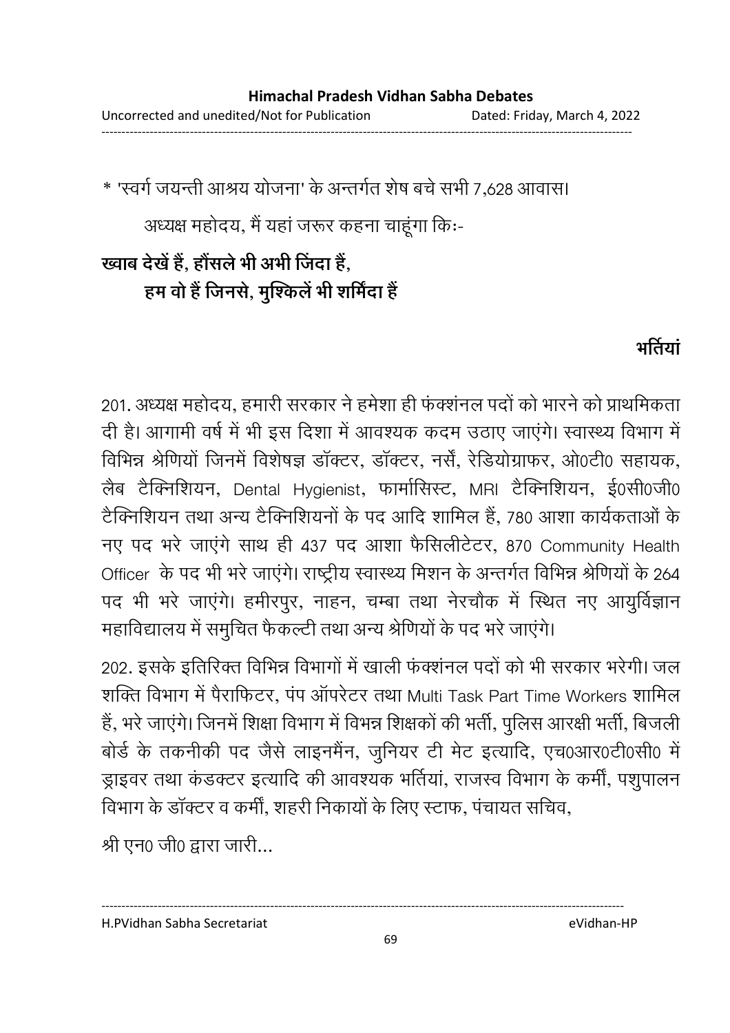\* 'स्वर्ग जयन्ती आश्रय योजना' के अन्तर्गत शेष बचे सभी 7,628 आवास।

अध्यक्ष महोदय, मैं यहा जरूर कहना चाहूगा कि:-

# ख्वाब देखे हैं, होसले भी अभी जिंदा है, हम वो है जिनसे, मुश्किले भी शर्मिंदा है

# **भर्तियां**

201. अध्यक्ष महोदय, हमारी सरकार ने हमेशा ही फक्शनल पर्दा को भारने को प्राथमिकता दी है। आगामी वर्ष में भी इस दिशा में आवश्यक कदम उठाए जाएंगे। स्वास्थ्य विभाग में विभिन्न श्रेणियों जिनमें विशेषज्ञ डॉक्टर, डॉक्टर, नर्सें, रेडियोग्राफर, ओ0टी0 सहायक, लैब टैक्निशियन, Dental Hygienist, फार्मासिस्ट, MRI टैक्निशियन, ई0सी0जी0 टैक्निशियन तथा अन्य टैक्निशियनों के पद आदि शामिल हैं, 780 आशा कार्यकताओं के नए पद भरे जाएंगे साथ ही 437 पद आशा फैसिलीटेटर, 870 Community Health Officer के पद भी भरे जाएंगे। राष्ट्रीय स्वास्थ्य मिशन के अन्तर्गत विभिन्न श्रीणयों के 264 पद भी भरे जाएंगे। हमीरपुर, नाहन, चम्बा तथा नेरचौक में स्थित नए आयुर्विज्ञान महाविद्यालय में समुचित फैकल्टी तथा अन्य श्रीणयों के पद भरे जाएंगे।

202. इसके इतिरिक्त विभिन्न विभागों में खाली फंक्शंनल पदों को भी सरकार भरेगी। जल शक्ति विभाग में पैराफिटर, पंप ऑपरेटर तथा Multi Task Part Time Workers शामिल हैं, भरे जाएंगे। जिनमें शिक्षा विभाग में विभन्न शिक्षकों की भर्ती, पुलिस आरक्षी भर्ती, बिजली बोर्ड के तकनीकी पद जैसे लाइनमैंन, जुनियर टी मेट इत्यादि, एच0आर0टी0सी0 में ड्राइवर तथा कंडक्टर इत्यादि की आवश्यक भर्तियां, राजस्व विभाग के कर्मीं, पशुपालन विभाग के डॉक्टर व कर्मी, शहरी निकायों के लिए स्टाफ, पंचायत सचिव,

श्री एन0 जी0 द्वारा जारी...

H.PVidhan Sabha Secretariat eVidhan-HP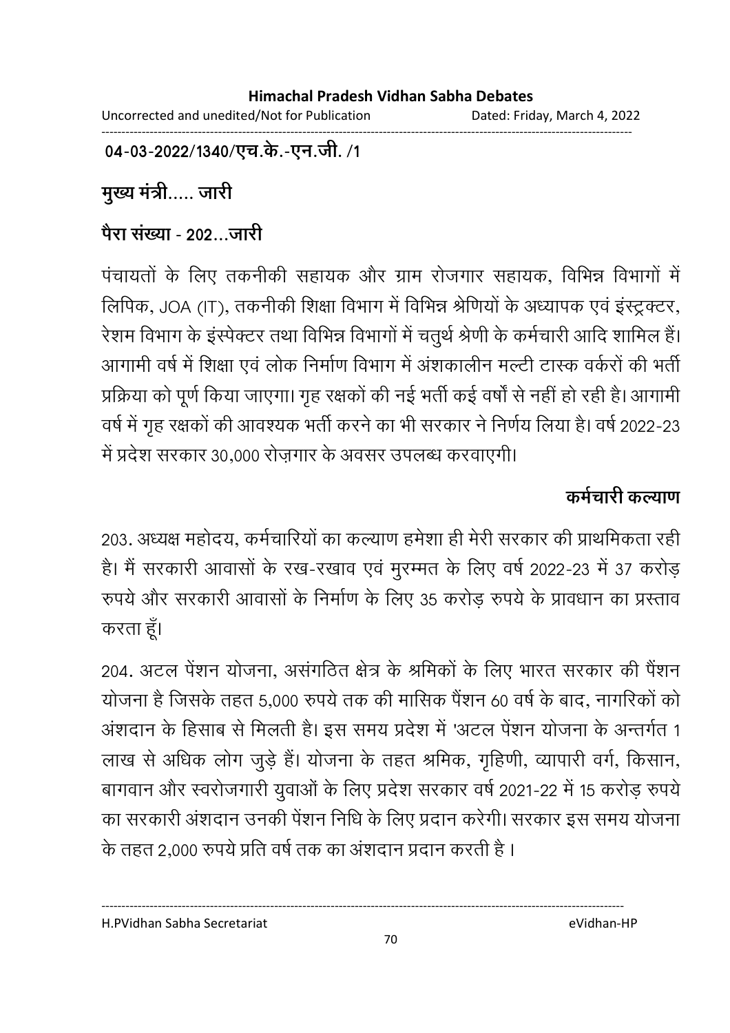Uncorrected and unedited/Not for Publication Dated: Friday, March 4, 2022 ------------------------------------------------------------------------------------------------------------------------------------

04-03-2022/1340/एच.के.-एन.जी. /1

मुख्य मंत्री..... जारी

## <u>पैरा संख्या - 202...जारी</u>

पंचायतों के लिए तकनीकी सहायक और ग्राम रोजगार सहायक, विभिन्न विभागों में लिपिक, JOA (IT), तकनीकी शिक्षा विभाग में विभिन्न श्रीणेयों के अध्यापक एवं इस्ट्रक्टर, रेशम विभाग के इंस्पेक्टर तथा विभिन्न विभागों में चतुर्थ श्रेणी के कर्मचारी आदि शामिल हैं। आगामी वर्ष में शिक्षा एवं लोक निर्माण विभाग में अशकालीन मल्टी टास्क वर्करों की भर्ती प्रक्रिया को पूर्ण किया जाएगा। गृह रक्षकों की नई भर्ती कई वर्षों से नहीं हो रही है। आगामी वर्ष में गृह रक्षकों की आवश्यक भर्ती करने का भी सरकार ने निर्णय लिया है। वर्ष 2022-23 में प्रदेश सरकार 30,000 रोज़गार के अवसर उपलब्ध करवाएगी।

## कर्मचारी कल्याण

203. अध्यक्ष महोदय, कर्मचारियों का कल्याण हमेशा ही मेरी सरकार की प्राथमिकता रही है। मैं सरकारी आवासों के रख-रखाव एवं मुरम्मत के लिए वर्ष 2022-23 में 37 करोड़ रुपये और सरकारी आवासों के निर्माण के लिए 35 करोड़ रुपये के प्रावधान का प्रस्ताव करता हूँ।

204. अटल पेशन योजना, असंगठित क्षेत्र के श्रमिकों के लिए भारत सरकार की पेशन योजना है जिसके तहत 5,000 रुपये तक की मासिक पैंशन 60 वर्ष के बाद, नागरिकों को अशदान के हिसाब से मिलती है। इस समय प्रदेश में 'अटल पेशन योजना के अन्तर्गत 1 लाख से अधिक लोग जुड़े हैं। योजना के तहत श्रमिक, गृहिणी, व्यापारी वर्ग, किसान, बागवान और स्वरोजगारी युवाओं के लिए प्रदेश सरकार वर्ष 2021-22 में 15 करोड़ रुपये का सरकारी अशदान उनकी पेशन निधि के लिए प्रदान करेगी। सरकार इस समय योजना के तहत 2,000 रुपये प्रति वर्ष तक का अशदान प्रदान करती है ।

H.PVidhan Sabha Secretariat eVidhan-HP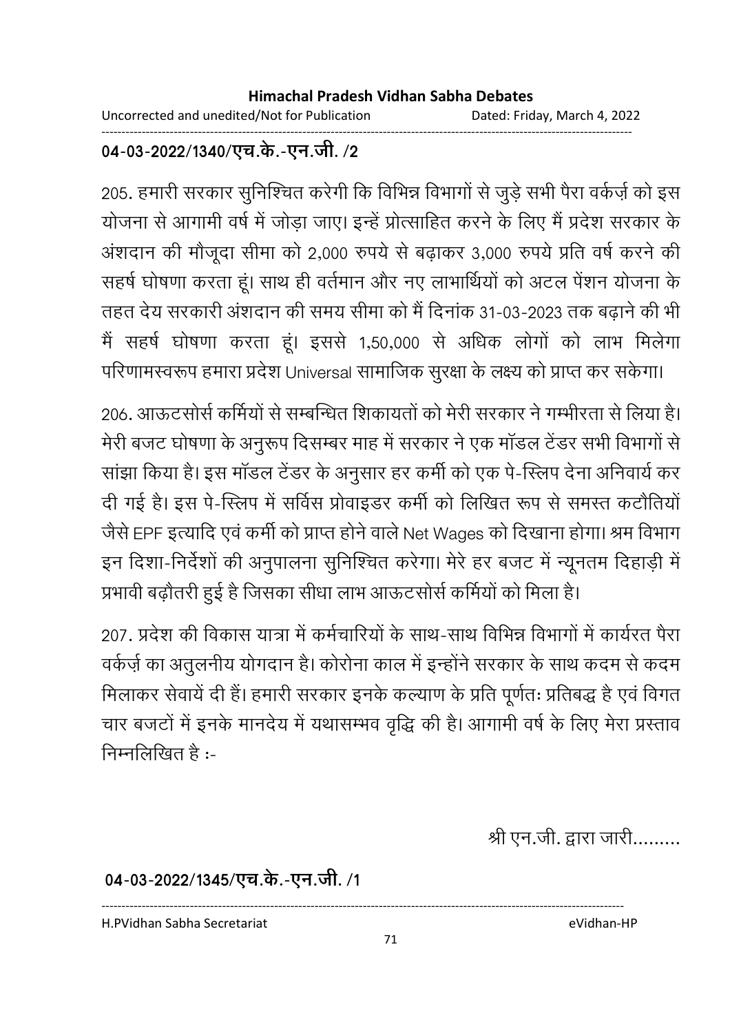Uncorrected and unedited/Not for Publication Dated: Friday, March 4, 2022 ------------------------------------------------------------------------------------------------------------------------------------

### 04-03-2022/1340/एच.के.-एन.जी. **/2**

205. हमारी सरकार सुनिश्चित करेगी कि विभिन्न विभागों से जुड़े सभी पैरा वर्कर्ज़ को इस योजना से आगामी वर्ष में जोड़ा जाए। इन्हें प्रोत्साहित करने के लिए मैं प्रदेश सरकार के अशदान की मौजूदा सीमा को 2,000 रुपये से बढ़ाकर 3,000 रुपये प्रति वर्ष करने की सहर्ष घोषणा करता हूं। साथ ही वर्तमान और नए लाभार्थियों को अटल पेशन योजना के तहत देय सरकारी अशदान की समय सीमा को मैं दिनाक 31-03-2023 तक बढ़ाने की भी मैं सहर्ष घोषणा करता हूं। इससे 1,50,000 से अधिक लोगों को लाभ मिलेगा परिणामस्वरूप हमारा प्रदेश Universal सामाजिक सूरक्षा के लक्ष्य को प्राप्त कर सकेगा।

206. आफटसोर्स कर्मियों से सम्बन्धित शिकायतों को मेरी सरकार ने गम्भीरता से लिया है। मेरी बजट घोषणा के अनुरूप दिसम्बर माह में सरकार ने एक मांडल टेंडर सभी विभागों से साझा किया है। इस मांडल टेंडर के अनुसार हर कमी को एक पे-स्लिप देना अनिवार्य कर दी गई है। इस पे-स्लिप में सर्विस प्रोवाइडर कर्मी को लिखित रूप से समस्त कटौतियों जैसे EPF इत्यादि एवं कर्मी को प्राप्त होने वाले Net Wages को दिखाना होगा। श्रम विभाग इन दिशा-निर्देशों की अनुपालना सुनिश्चित करेगा। मेरे हर बजट में न्यूनतम दिहाड़ी में प्रभावी बढ़ौतरी हुई है जिसका सीधा लाभ आऊटसोर्स कर्मियों को मिला है।

207, प्रदेश की विकास यात्रा में कर्मचारियों के साथ-साथ विभिन्न विभागों में कार्यरत पैरा वर्कज़े का अंतुलनीय योगदान है। कोरोना काल में इन्होंने सरकार के साथ कदम से कदम मिलाकर सेवायें दी हैं। हमारी सरकार इनके कल्याण के प्रति पूर्णतः प्रतिबद्ध है एवं विगत चार बजटों में इनके मानदेय में यथासम्भव वृद्धि की है। आगामी वर्ष के लिए मेरा प्रस्ताव निम्नलिखित $\hat{\epsilon}$  :-

श्री एन.जी. द्वारा जारी.........

04-03-2022/1345/एच.के.-एन.जी. /1

H.PVidhan Sabha Secretariat eVidhan-HP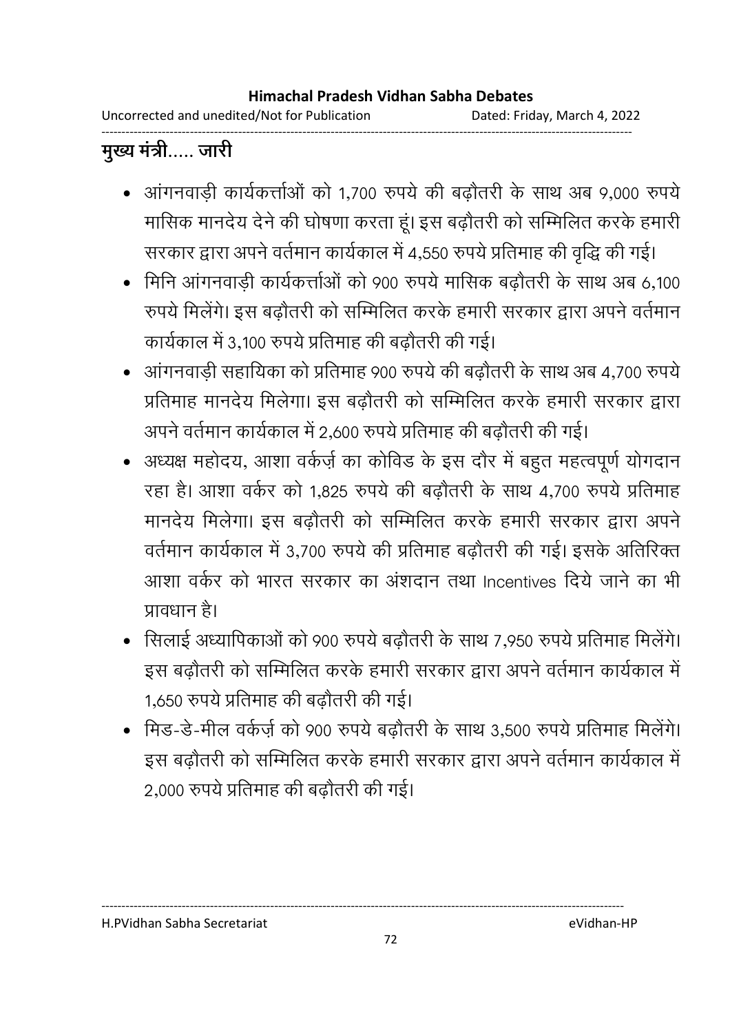Uncorrected and unedited/Not for Publication Dated: Friday, March 4, 2022 ------------------------------------------------------------------------------------------------------------------------------------

# मुख्य मंत्री..... जारी

- आंगनवाड़ी कार्यकर्त्ताओं को 1,700 रुपये की बढ़ौतरी के साथ अब 9,000 रुपये मासिक मानदेय देने की घोषणा करता हूं। इस बढ़ौतरी को सम्मिलित करके हमारी सरकार द्वारा अपने वर्तमान कार्यकाल में 4,550 रुपये प्रतिमाह की वृद्धि की गई।
- मिनि आंगनवाड़ी कार्यकर्त्ताओं को 900 रुपये मासिक बढ़ौतरी के साथ अब 6,100 रुपर्य मिलेगे। इस बढ़ौतरी को सम्मिलित करके हमारी सरकार द्वारा अपने वर्तमान कार्यकाल में 3,100 रुपये प्रतिमाह की बढौतरी की गई।
- .2&
X ह #%ह 900 Ö/ C=% ? 4,700 Ö/ प्रतिमाह मानदेय मिलेगा। इस बढौतरी को सम्मिलित करके हमारी सरकार द्वारा अपने वर्तमान कार्यकाल में 2,600 रुपये प्रतिमाह की बढ़ौतरी की गई।
- अध्यक्ष महोदय, आशा वर्कर्ज़ का कोविड के इस दौर में बहुत महत्वपूर्ण योगदान रहा है। आशा वर्कर को 1.825 रुपये की बढ़ौतरी के साथ 4.700 रुपये प्रतिमाह मानदेय मिलेगा। इस बढ़ौतरी को सम्मिलित करके हमारी सरकार द्वारा अपने वर्तमान कार्यकाल में 3,700 रुपये की प्रतिमाह बढ़ौतरी की गई। इसके अतिरिक्त आशा वर्कर को भारत सरकार का अशदान तथा Incentives दिये जाने का भी प्रावधान है।
- सिलाई अध्यापिकाओं को 900 रुपये बढ़ौतरी के साथ 7,950 रुपये प्रतिमाह मिलेंगे। इस बढ़ौतरी को सम्मिलित करके हमारी सरकार द्वारा अपने वर्तमान कार्यकाल में 1,650 रुपये प्रतिमाह की बढ़ौतरी की गई।
- मिड-डे-मील वर्कर्ज़ को 900 रुपये बढ़ौतरी के साथ 3,500 रुपये प्रतिमाह मिलेंगे। इस बढ़ौतरी को सम्मिलित करके हमारी सरकार द्वारा अपने वर्तमान कार्यकाल में 2,000 रुपये प्रतिमाह की बढ़ौतरी की गई।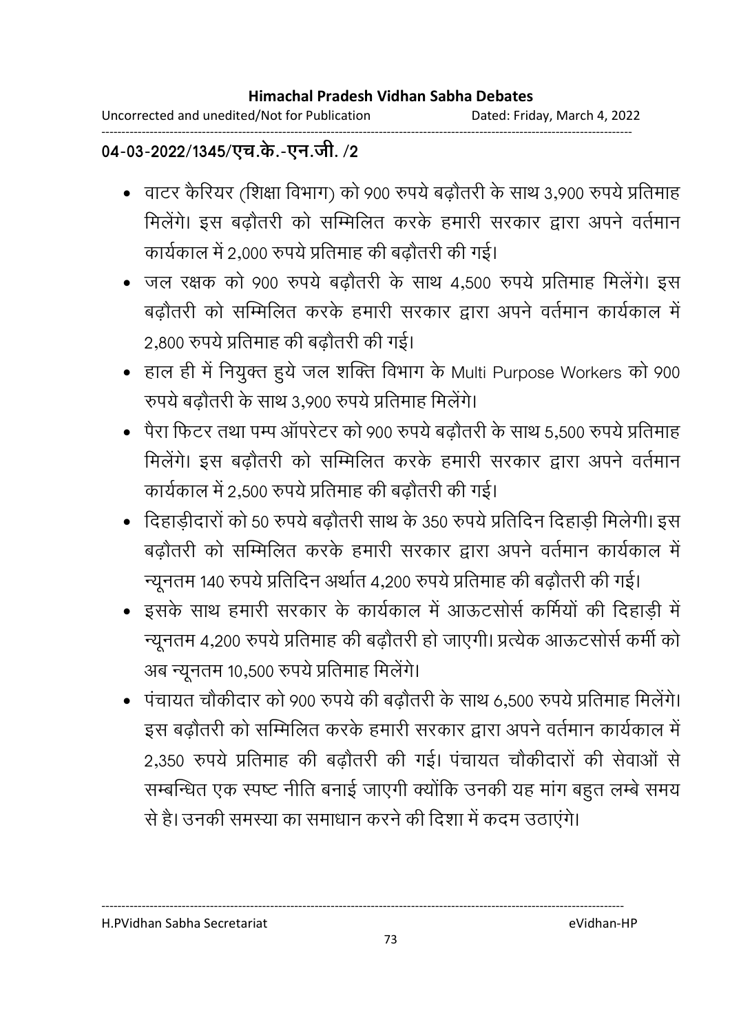Uncorrected and unedited/Not for Publication Dated: Friday, March 4, 2022 ------------------------------------------------------------------------------------------------------------------------------------

# 04-03-2022/1345/एच.के.-एन.जी. **/2**

- वाटर कैरियर (शिक्षा विभाग) को 900 रुपये बढ़ौतरी के साथ 3,900 रुपये प्रतिमाह मिलेगे। इस बढ़ौतरी को सम्मिलित करके हमारी सरकार द्वारा अपने वर्तमान कार्यकाल में 2,000 रुपये प्रतिमाह की बढ़ौतरी की गई।
- जल रक्षक को 900 रुपये बढ़ौतरी के साथ 4,500 रुपये प्रतिमाह मिलेंगे। इस बढ़ौतरी को सम्मिलित करके हमारी सरकार द्वारा अपने वर्तमान कार्यकाल में 2,800 रुपये प्रतिमाह की बढ़ौतरी की गई।
- हाल ही में नियुक्त हूये जल शक्ति विभाग के Multi Purpose Workers को 900 रुपये बढौतरी के साथ 3,900 रुपये प्रतिमाह मिलेंगे।
- पेरा फिटर तथा पम्प ऑपरेटर को 900 रुपये बढौतरी के साथ 5.500 रुपये प्रतिमाह मिलेगे। इस बढ़ौतरी को सम्मिलित करके हमारी सरकार द्वारा अपने वर्तमान कार्यकाल में 2,500 रुपये प्रतिमाह की बढौतरी की गई।
- दिहाडीदारों को 50 रुपये बढोंतरी साथ के 350 रुपये प्रतिदिन दिहाडी मिलेगी। इस बढ़ौतरी को सम्मिलित करके हमारी सरकार द्वारा अपने वर्तमान कार्यकाल में न्यूनतम 140 रुपये प्रतिदिन अर्थात 4,200 रुपये प्रतिमाह की बढ़ौतरी की गई।
- इसके साथ हमारी सरकार के कार्यकाल में आऊटसोर्स कर्मियों की दिहाड़ी में न्यूनतम 4,200 रुपये प्रतिमाह की बढ़ौतरी हो जाएगी। प्रत्येक आऊटसोर्स कर्मी को अब न्यूनतम 10,500 रुपये प्रतिमाह मिलेगे।
- पंचायत चौकीदार को 900 रुपये की बढ़ौतरी के साथ 6,500 रुपये प्रतिमाह मिलेंगे। इस बढ़ौतरी को सम्मिलित करके हमारी सरकार द्वारा अपने वर्तमान कार्यकाल में 2,350 रुपये प्रतिमाह की बढौतरी की गई। पंचायत चौकीदारों की सेवाओं से सम्बन्धित एक स्पष्ट नीति बनाई जाएगी क्योंकि उनकी यह मांग बहुत लम्बे समय से है। उनकी समस्या का समाधान करने की दिशा में कदम उठाएंगे।

H.PVidhan Sabha Secretariat eVidhan-HP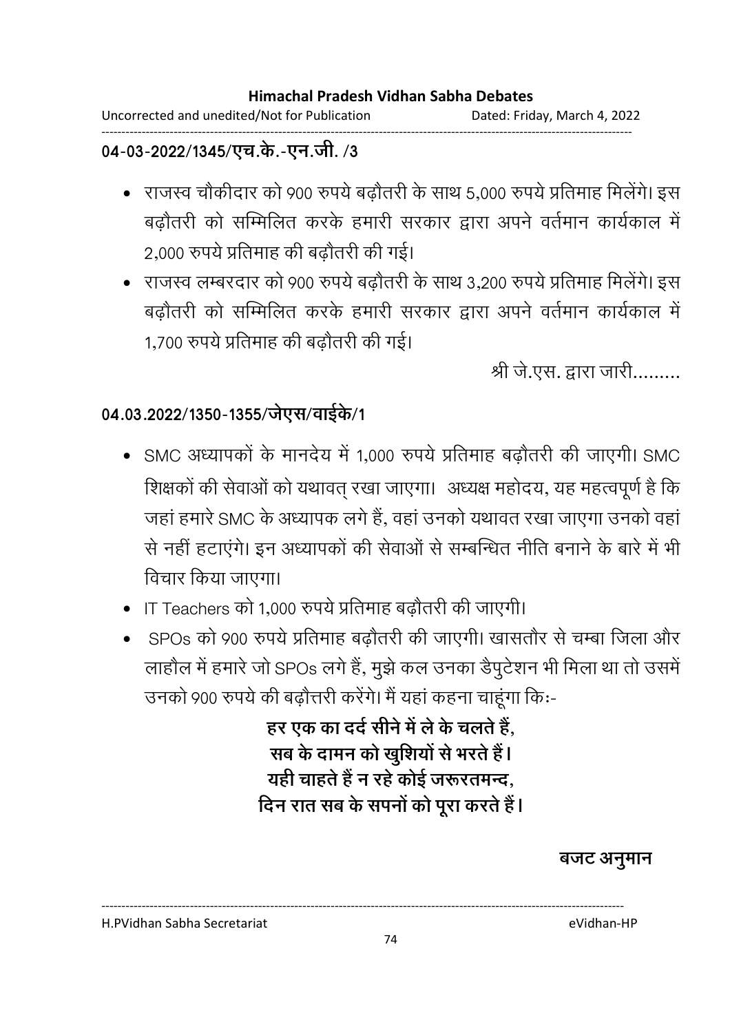Uncorrected and unedited/Not for Publication Dated: Friday, March 4, 2022 ------------------------------------------------------------------------------------------------------------------------------------

### 04-03-2022/1345/एच.के.-एन.जी. **/3**

- राजस्व चौकीदार को 900 रुपये बढ़ौतरी के साथ 5,000 रुपये प्रतिमाह मिलेंगे। इस बढ़ौतरी को सम्मिलित करके हमारी सरकार द्वारा अपने वर्तमान कार्यकाल में 2,000 रुपये प्रतिमाह की बढ़ौतरी की गई।
- राजस्व लम्बरदार को 900 रुपये बढ़ौतरी के साथ 3,200 रुपये प्रतिमाह मिलेंगे। इस बढ़ौतरी को सम्मिलित करके हमारी सरकार द्वारा अपने वर्तमान कार्यकाल में 1,700 रुपये प्रतिमाह की बढौतरी की गई।

श्री जे.एस. द्वारा जारी.........

### 04.03.2022/1350-1355/जेएस/वाईके/1

- SMC अध्यापकों के मानदेय में 1,000 रुपये प्रतिमाह बढ़ौतरी की जाएगी। SMC शिक्षकों की सेवाओं को यथावत् रखा जाएगा। अध्यक्ष महोदय, यह महत्वपूर्ण है कि जहाँ हमारे SMC के अध्यापक लगे हैं, वहाँ उनको यथावत रखा जाएगा उनको वहाँ से नहीं हटाएंगे। इन अध्यापकों की सेवाओं से सम्बन्धित नीति बनाने के बारे में भी विचार किया जाएगा।
- IT Teachers को 1,000 रुपये प्रतिमाह बढ़ौतरी की जाएगी।
- sPOs को 900 रुपये प्रतिमाह बढौतरी की जाएगी। खासतौर से चम्बा जिला और लाहौल में हमारे जो SPOs लगे हैं, मुझे कल उनका डैपुटेशन भी मिला था तो उसमें उनको 900 रुपये की बढ़ौत्तरी करेंगे। मैं यहां कहना चाहूंगा कि:-

हर एक का दर्द सीने में ले के चलते हैं, सब के दामन को खुशियों से भरते हैं l यही चाहते है न रहे कोई जरूरतमन्द, दिन रात सब के सपनों को पूरा करते हैं l

### बजट अनूमान

H.PVidhan Sabha Secretariat eVidhan-HP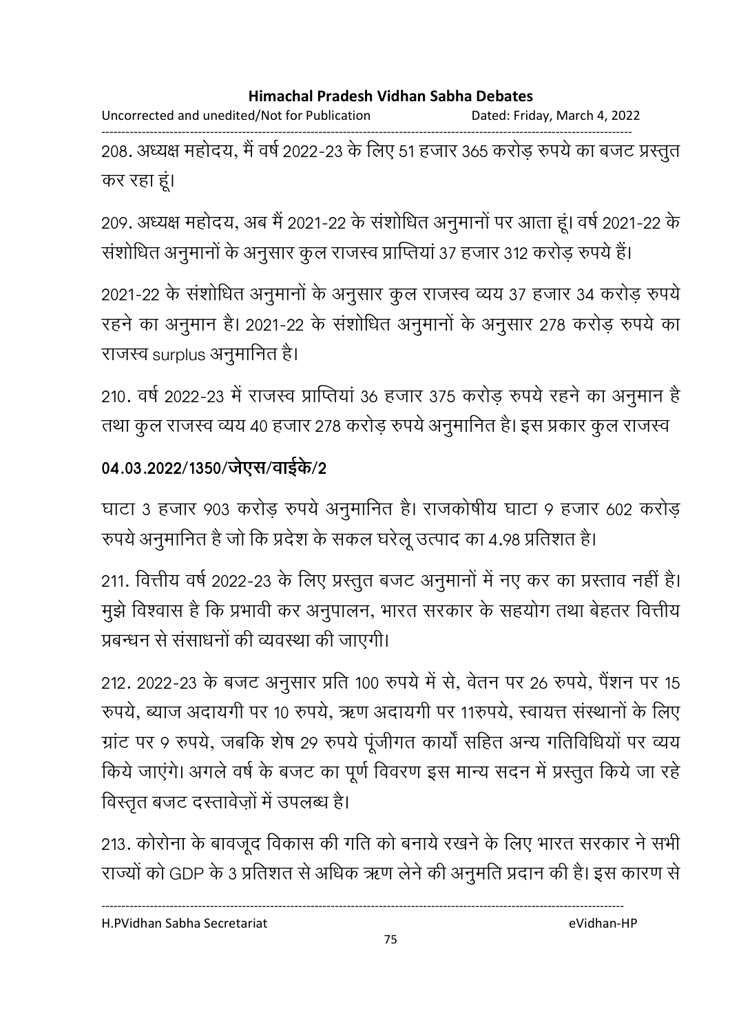Uncorrected and unedited/Not for Publication Dated: Friday, March 4, 2022

------------------------------------------------------------------------------------------------------------------------------------ 208. अध्यक्ष महोदय, मैं वर्ष 2022-23 के लिए 51 हजार 365 करोड़ रुपये का बजट प्रस्तुत कर रहा हूं।

209. अध्यक्ष महोदय, अब मै 2021-22 के संशोधित अनुमानों पर आता हूं। वर्ष 2021-22 के सशोधित अनुमानों के अनुसार कुल राजस्व प्राप्तिया 37 हजार 312 करोड़ रुपये हैं।

2021-22 के संशोधित अनुमानों के अनुसार कुल राजस्व व्यय 37 हजार 34 करोड़ रुपये | रहने का अनुमान है। 2021-22 के संशोधित अनुमानों के अनुसार 278 करोड़ रुपये का राजस्व surplus अनुमानित है।

210. वर्ष 2022-23 में राजस्व प्राप्तिया 36 हजार 375 करोड़ रुपये रहने का अनुमान है तथा कुल राजस्व व्यय ४० हजार २७८ करोड़ रुपये अनुमानित है। इस प्रकार कुल राजस्व

# 04.03.2022/1350/जेएस/वाईके/2

घाटा 3 हजार 903 करोड़ रुपर्य अनुमानित है। राजकर्षिय घाटा 9 हजार 602 करोड़ रुपर्य अनुमानित है जो कि प्रदेश के सकल घरेलू उत्पाद का 4.98 प्रतिशत है।

211. वित्तीय वर्ष 2022-23 के लिए प्रस्तुत बजट अनुमानों में नए कर का प्रस्ताव नहीं हैं। मुझे विश्वास है कि प्रभावी कर अनुपालन, भारत सरकार के सहयोग तथा बेहतर वित्तीय प्रबन्धन से संसाधनों की व्यवस्था की जाएगी।

212. 2022-23 के बजट अनुसार प्रति 100 रुपये में से, वेतन पर 26 रुपये, पैशन पर 15 रुपर्य, ब्याज अदायगी पर 10 रुपर्य, ऋण अदायगी पर 11रुपर्य, स्वायत्त संस्थानों के लिए ग्राट पर 9 रुपर्य, जबकि शेष 29 रुपर्य पूजीगत कार्या सहित अन्य गतिविधियों पर व्यय किये जाएंगे। अंगले वर्ष के बजट का पूर्ण विवरण इस मान्य सदन में प्रस्तुत किये जा रहें विस्तृत बजट दस्तावेज़ों में उपलब्ध है।

213. कोरोना के बावजूद विकास की गति को बनाये रखने के लिए भारत सरकार ने सभी राज्यों को GDP के 3 प्रतिशत से अधिक ऋण लेने की अनुमति प्रदान की है। इस कारण से

H.PVidhan Sabha Secretariat eVidhan-HP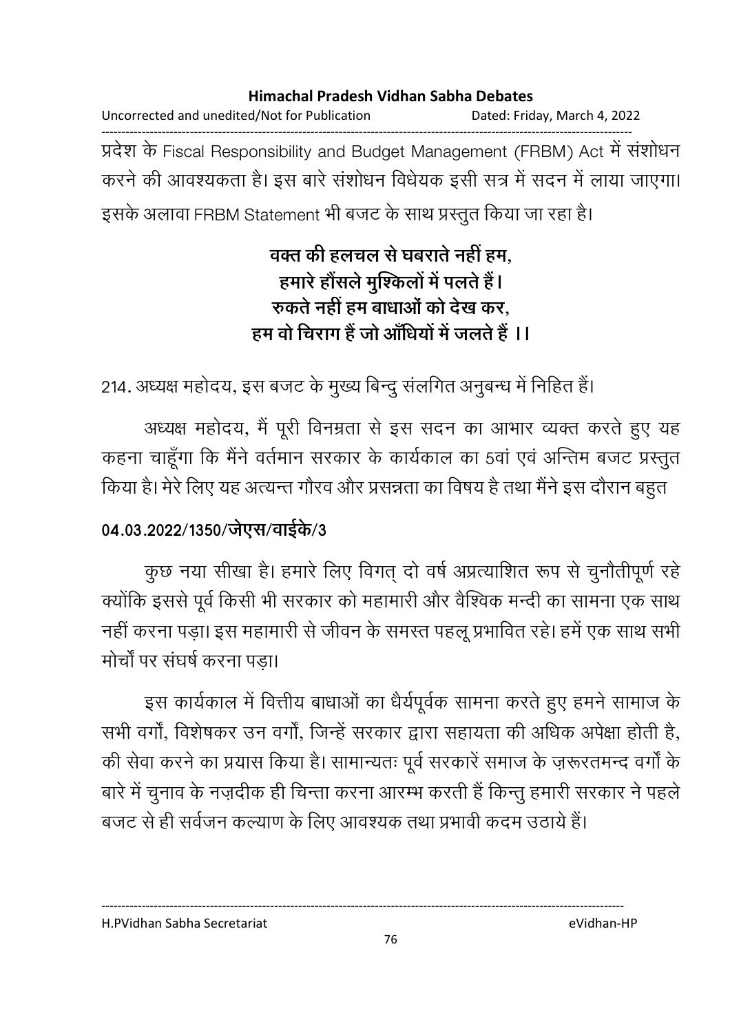Uncorrected and unedited/Not for Publication Dated: Friday, March 4, 2022 ------------------------------------------------------------------------------------------------------------------------------------ प्रदेश के Fiscal Responsibility and Budget Management (FRBM) Act में सशोधन करने की आवश्यकता है। इस बारे संशोधन विधेयक इसी सत्र में सदन में लाया जाएगा। इसके अलावा FRBM Statement भी बजट के साथ प्रस्तुत किया जा रहा है।

> वक्त की हलचल से घबराते नहीं हम, हमारे होसले मुश्किलो में पलते हैं l रुकते नहीं हम बाधाओं को देख कर, हम वो चिराग है जो आंधियों में जलते हैं I I

214. अध्यक्ष महोदय, इस बजट के मुख्य बिन्दु सलगित अनुबन्ध में निहित हैं।

अध्यक्ष महोदय, मैं पूरी विनम्रता से इस सदन का आभार व्यक्त करते हुए यह कहना चाहूंगा कि मैंने वर्तमान सरकार के कार्यकाल का 5वां एवं अन्तिम बजट प्रस्तुत किया है। मेरे लिए यह अत्यन्त गौरव और प्रसन्नता का विषय है तथा मैंने इस दौरान बहुत

### 04.03.2022/1350/जेएस/वाईके/3

कुछ नया सीखा है। हमारे लिए विगत् दो वर्ष अप्रत्याशित रूप से चुनौतीपूर्ण रहे क्योंकि इससे पूर्व किसी भी सरकार को महामारी और वैश्विक मन्दी का सामना एक साथ नहीं करना पड़ा। इस महामारी से जीवन के समस्त पहलू प्रभावित रहे। हमें एक साथ सभी मोर्चों पर संघर्ष करना पड़ा।

इस कार्यकाल में वित्तीय बाधाओं का धैर्यपूर्वक सामना करते हुए हमने सामाज के सभी वर्गा, विशेषकर उन वर्गा, जिन्हें सरकार द्वारा सहायता की अधिक अपेक्षा होती है, की सेवा करने का प्रयास किया है। सामान्यतः पूर्व सरकारें समाज के ज़रूरतमन्द वर्गों के बारे में चुनाव के नज़दीक ही चिन्ता करना आरम्भ करती हैं किन्तु हमारी सरकार ने पहले बजट से ही सर्वजन कल्याण के लिए आवश्यक तथा प्रभावी कदम उठाये हैं।

H.PVidhan Sabha Secretariat eVidhan-HP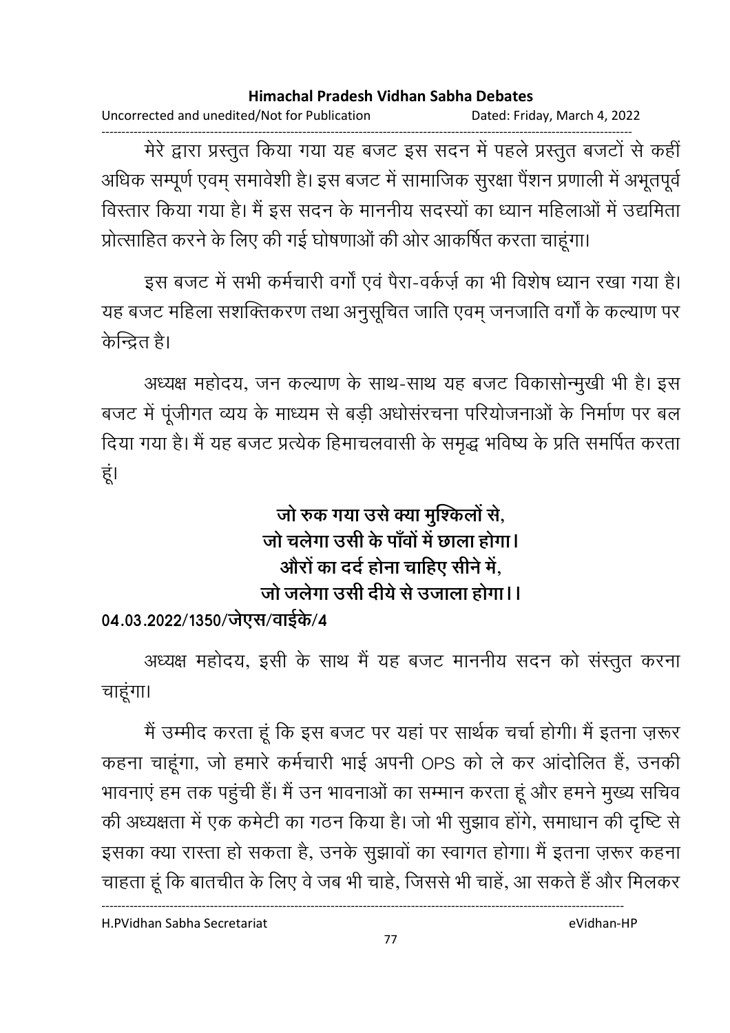Uncorrected and unedited/Not for Publication Dated: Friday, March 4, 2022

------------------------------------------------------------------------------------------------------------------------------------ मेरे द्वारा प्रस्तुत किया गया यह बजट इस सदन में पहले प्रस्तुत बजटों से कहीं आंधक सम्पूर्ण एवम् समावेशी है। इस बजट में सामाजिक सुरक्षा पेशन प्रणाली में अभूतपूर्व विस्तार किया गया है। मैं इस सदन के माननीय सदस्यों का ध्यान महिलाओं में उद्यमिता प्रोत्साहित करने के लिए की गई घोषणाओं की ओर आकर्षित करता चाहूंगा।

इस बजट में सभी कर्मचारी वर्गों एवं पैरा-वर्कर्ज़ का भी विशेष ध्यान रखा गया है। यह बजट महिला संशक्तिकरण तथा अनुसूचित जाति एवम् जनजाति वर्गा के कल्याण पर केन्द्रित है।

अध्यक्ष महोदय, जन कल्याण के साथ-साथ यह बजट विकासोन्मुखी भी है। इस बजट में पूजीगत व्यय के माध्यम से बड़ी अर्धासरचना परियोजनाओं के निर्माण पर बल दिया गया है। मैं यह बजट प्रत्येक हिमाचलवासी के समृद्ध भविष्य के प्रति समर्पित करता हूं।

# जो रुक गया उसे क्या मुश्किलों से, जो चलेगा उसी के पावों में छाला होगा। औरों का दर्द होना चाहिए सीने में, जो जलेगा उसी देयि से उजाला होगा।।

## 04.03.2022/1350/जेएस/वाईके/4

अध्यक्ष महोदय, इसी के साथ मैं यह बजट माननीय सदन को संस्तुत करना चाहंगा।

मैं उम्मीद करता हूं कि इस बजट पर यहां पर सार्थक चर्चा होगी। मैं इतना ज़रूर कहना चाहूगा, जो हमारे कर्मचारी भाई अपनी OPS को ले कर आदोलित है, उनकी भावनाए हम तक पहुंची है। मैं उन भावनाओं का सम्मान करता हूं और हमने मुख्य सचिव की अध्यक्षता में एक कमेटी का गठन किया है। जो भी सुझाव होंगे, समाधान की दृष्टि से इसका क्या रास्ता हो सकता है, उनके सुझावों का स्वागत होगा। मैं इतना ज़रूर कहना चाहता हूं कि बातचीत के लिए वे जब भी चाहे, जिससे भी चाहें, आ सकते हैं और मिलकर

H.PVidhan Sabha Secretariat eVidhan-HP